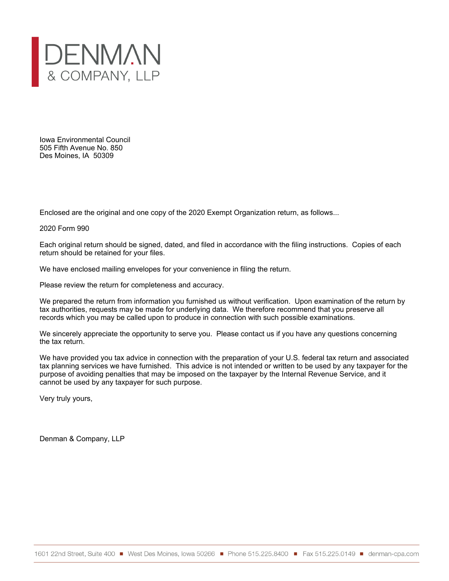

Iowa Environmental Council 505 Fifth Avenue No. 850 Des Moines, IA 50309

Enclosed are the original and one copy of the 2020 Exempt Organization return, as follows...

2020 Form 990

Each original return should be signed, dated, and filed in accordance with the filing instructions. Copies of each return should be retained for your files.

We have enclosed mailing envelopes for your convenience in filing the return.

Please review the return for completeness and accuracy.

We prepared the return from information you furnished us without verification. Upon examination of the return by tax authorities, requests may be made for underlying data. We therefore recommend that you preserve all records which you may be called upon to produce in connection with such possible examinations.

We sincerely appreciate the opportunity to serve you. Please contact us if you have any questions concerning the tax return.

We have provided you tax advice in connection with the preparation of your U.S. federal tax return and associated tax planning services we have furnished. This advice is not intended or written to be used by any taxpayer for the purpose of avoiding penalties that may be imposed on the taxpayer by the Internal Revenue Service, and it cannot be used by any taxpayer for such purpose.

Very truly yours,

Denman & Company, LLP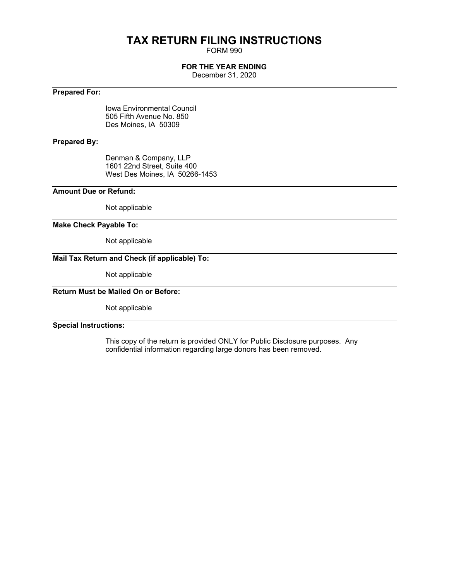## **TAX RETURN FILING INSTRUCTIONS**

FORM 990

#### **FOR THE YEAR ENDING**

December 31, 2020

#### **Prepared For:**

Iowa Environmental Council 505 Fifth Avenue No. 850 Des Moines, IA 50309

#### **Prepared By:**

Denman & Company, LLP 1601 22nd Street, Suite 400 West Des Moines, IA 50266-1453

#### **Amount Due or Refund:**

Not applicable

#### **Make Check Payable To:**

Not applicable

#### **Mail Tax Return and Check (if applicable) To:**

Not applicable

### **Return Must be Mailed On or Before:**

Not applicable

#### **Special Instructions:**

This copy of the return is provided ONLY for Public Disclosure purposes. Any confidential information regarding large donors has been removed.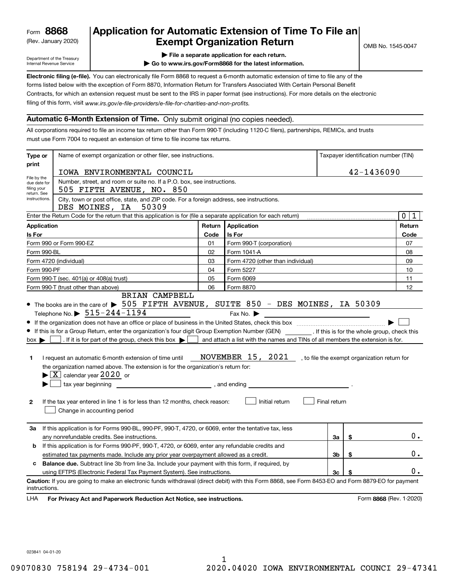(Rev. January 2020)

### **Application for Automatic Extension of Time To File an Exempt Organization Return**

Department of the Treasury Internal Revenue Service

- **| File a separate application for each return.**
- **| Go to www.irs.gov/Form8868 for the latest information.**

**Electronic filing (e-file).**  You can electronically file Form 8868 to request a 6-month automatic extension of time to file any of the filing of this form, visit www.irs.gov/e-file-providers/e-file-for-charities-and-non-profits. forms listed below with the exception of Form 8870, Information Return for Transfers Associated With Certain Personal Benefit Contracts, for which an extension request must be sent to the IRS in paper format (see instructions). For more details on the electronic

#### **Automatic 6-Month Extension of Time.** Only submit original (no copies needed).

All corporations required to file an income tax return other than Form 990-T (including 1120-C filers), partnerships, REMICs, and trusts must use Form 7004 to request an extension of time to file income tax returns.

| Type or                                                   | Name of exempt organization or other filer, see instructions.                                                                                                                                                                                                                                                                                                                                                                                                                                                                                                                                                                                                                                                                                                                                                                                             |            | Taxpayer identification number (TIN)                                                                                                                                                                                                                                                                                         |              |    |                         |
|-----------------------------------------------------------|-----------------------------------------------------------------------------------------------------------------------------------------------------------------------------------------------------------------------------------------------------------------------------------------------------------------------------------------------------------------------------------------------------------------------------------------------------------------------------------------------------------------------------------------------------------------------------------------------------------------------------------------------------------------------------------------------------------------------------------------------------------------------------------------------------------------------------------------------------------|------------|------------------------------------------------------------------------------------------------------------------------------------------------------------------------------------------------------------------------------------------------------------------------------------------------------------------------------|--------------|----|-------------------------|
| print                                                     |                                                                                                                                                                                                                                                                                                                                                                                                                                                                                                                                                                                                                                                                                                                                                                                                                                                           | 42-1436090 |                                                                                                                                                                                                                                                                                                                              |              |    |                         |
| File by the                                               | IOWA ENVIRONMENTAL COUNCIL<br>Number, street, and room or suite no. If a P.O. box, see instructions.                                                                                                                                                                                                                                                                                                                                                                                                                                                                                                                                                                                                                                                                                                                                                      |            |                                                                                                                                                                                                                                                                                                                              |              |    |                         |
| due date for<br>filing your                               | 505 FIFTH AVENUE, NO. 850                                                                                                                                                                                                                                                                                                                                                                                                                                                                                                                                                                                                                                                                                                                                                                                                                                 |            |                                                                                                                                                                                                                                                                                                                              |              |    |                         |
| return. See<br>instructions.                              | City, town or post office, state, and ZIP code. For a foreign address, see instructions.<br>DES MOINES, IA 50309                                                                                                                                                                                                                                                                                                                                                                                                                                                                                                                                                                                                                                                                                                                                          |            |                                                                                                                                                                                                                                                                                                                              |              |    |                         |
|                                                           | Enter the Return Code for the return that this application is for (file a separate application for each return)                                                                                                                                                                                                                                                                                                                                                                                                                                                                                                                                                                                                                                                                                                                                           |            |                                                                                                                                                                                                                                                                                                                              |              |    | $\mathbf 0$<br>1        |
| Application                                               |                                                                                                                                                                                                                                                                                                                                                                                                                                                                                                                                                                                                                                                                                                                                                                                                                                                           | Return     | Application                                                                                                                                                                                                                                                                                                                  |              |    | Return                  |
| Is For                                                    |                                                                                                                                                                                                                                                                                                                                                                                                                                                                                                                                                                                                                                                                                                                                                                                                                                                           | Code       | <b>Is For</b>                                                                                                                                                                                                                                                                                                                |              |    | Code                    |
| Form 990 or Form 990-EZ<br>01<br>Form 990-T (corporation) |                                                                                                                                                                                                                                                                                                                                                                                                                                                                                                                                                                                                                                                                                                                                                                                                                                                           |            |                                                                                                                                                                                                                                                                                                                              |              |    | 07                      |
| Form 990-BL                                               |                                                                                                                                                                                                                                                                                                                                                                                                                                                                                                                                                                                                                                                                                                                                                                                                                                                           | 02         | Form 1041-A                                                                                                                                                                                                                                                                                                                  |              |    | 08                      |
|                                                           | Form 4720 (individual)                                                                                                                                                                                                                                                                                                                                                                                                                                                                                                                                                                                                                                                                                                                                                                                                                                    | 03         | Form 4720 (other than individual)                                                                                                                                                                                                                                                                                            |              |    | 09                      |
| Form 990-PF                                               |                                                                                                                                                                                                                                                                                                                                                                                                                                                                                                                                                                                                                                                                                                                                                                                                                                                           | 04         | Form 5227                                                                                                                                                                                                                                                                                                                    |              |    | 10                      |
|                                                           | Form 990-T (sec. 401(a) or 408(a) trust)                                                                                                                                                                                                                                                                                                                                                                                                                                                                                                                                                                                                                                                                                                                                                                                                                  | 05         | Form 6069                                                                                                                                                                                                                                                                                                                    |              |    | 11                      |
|                                                           | Form 990-T (trust other than above)<br>BRIAN CAMPBELL                                                                                                                                                                                                                                                                                                                                                                                                                                                                                                                                                                                                                                                                                                                                                                                                     | 06         | Form 8870                                                                                                                                                                                                                                                                                                                    |              |    | 12                      |
| ٠<br>$box \blacktriangleright$<br>1.<br>$\mathbf{2}$      | Telephone No. $\triangleright$ 515-244-1194<br>• If this is for a Group Return, enter the organization's four digit Group Exemption Number (GEN) [167]. If this is for the whole group, check this<br>. If it is for part of the group, check this box $\blacktriangleright$ [<br>$\sim$<br>I request an automatic 6-month extension of time until<br>the organization named above. The extension is for the organization's return for:<br>$\blacktriangleright$ $\boxed{\text{X}}$ calendar year 2020 or<br>tax year beginning the state of the state of the state of the state of the state of the state of the state of the state of the state of the state of the state of the state of the state of the state of the state of the stat<br>If the tax year entered in line 1 is for less than 12 months, check reason:<br>Change in accounting period |            | Fax No. $\blacktriangleright$<br><u> 1989 - Johann Stoff, deutscher Stoffen und der Stoffen und der Stoffen und der Stoffen und der Stoffen und der</u><br>and attach a list with the names and TINs of all members the extension is for.<br>NOVEMBER 15, 2021, to file the exempt organization return for<br>Initial return | Final return |    |                         |
| За                                                        | If this application is for Forms 990-BL, 990-PF, 990-T, 4720, or 6069, enter the tentative tax, less<br>any nonrefundable credits. See instructions.                                                                                                                                                                                                                                                                                                                                                                                                                                                                                                                                                                                                                                                                                                      |            |                                                                                                                                                                                                                                                                                                                              | За           | \$ | $0$ .                   |
| b                                                         | If this application is for Forms 990-PF, 990-T, 4720, or 6069, enter any refundable credits and                                                                                                                                                                                                                                                                                                                                                                                                                                                                                                                                                                                                                                                                                                                                                           |            |                                                                                                                                                                                                                                                                                                                              |              |    |                         |
|                                                           | 3b<br>\$<br>estimated tax payments made. Include any prior year overpayment allowed as a credit.                                                                                                                                                                                                                                                                                                                                                                                                                                                                                                                                                                                                                                                                                                                                                          |            |                                                                                                                                                                                                                                                                                                                              |              |    |                         |
| c.                                                        | Balance due. Subtract line 3b from line 3a. Include your payment with this form, if required, by                                                                                                                                                                                                                                                                                                                                                                                                                                                                                                                                                                                                                                                                                                                                                          |            |                                                                                                                                                                                                                                                                                                                              |              |    |                         |
|                                                           | using EFTPS (Electronic Federal Tax Payment System). See instructions.                                                                                                                                                                                                                                                                                                                                                                                                                                                                                                                                                                                                                                                                                                                                                                                    |            |                                                                                                                                                                                                                                                                                                                              | 3c           | \$ | 0.                      |
| instructions.<br>LHA                                      | Caution: If you are going to make an electronic funds withdrawal (direct debit) with this Form 8868, see Form 8453-EO and Form 8879-EO for payment<br>For Privacy Act and Paperwork Reduction Act Notice, see instructions.                                                                                                                                                                                                                                                                                                                                                                                                                                                                                                                                                                                                                               |            |                                                                                                                                                                                                                                                                                                                              |              |    | Form 8868 (Rev. 1-2020) |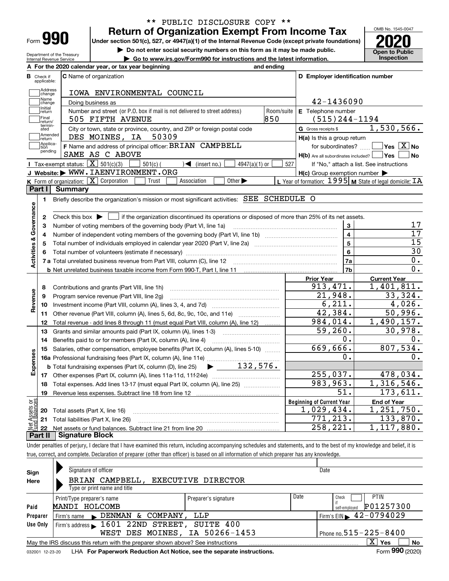| Form |  |
|------|--|
|      |  |

Department of the Treasury Internal Revenue Service

#### **Return of Organization Exempt From Income Tax** \*\* PUBLIC DISCLOSURE COPY \*\*

**Under section 501(c), 527, or 4947(a)(1) of the Internal Revenue Code (except private foundations) 2020**

**| Do not enter social security numbers on this form as it may be made public.**

**| Go to www.irs.gov/Form990 for instructions and the latest information. Inspection**



| <b>C</b> Name of organization<br>В<br>Check if<br>applicable:<br>Address<br>IOWA ENVIRONMENTAL COUNCIL<br>change<br>Name<br>42-1436090<br>Doing business as<br>change<br>Initial<br>Number and street (or P.O. box if mail is not delivered to street address)<br>E Telephone number<br>Room/suite<br>return<br>Final<br>850<br>505 FIFTH AVENUE<br>lreturn/<br>termin-<br>ated<br>City or town, state or province, country, and ZIP or foreign postal code<br>G Gross receipts \$<br>Amended<br>DES MOINES, IA<br>50309<br>$H(a)$ is this a group return<br>Ireturn<br>Applica-<br>F Name and address of principal officer: BRIAN CAMPBELL<br>tion<br>pending<br>SAME AS C ABOVE<br>Tax-exempt status: $\boxed{\mathbf{X}}$ 501(c)(3)<br>$\sqrt{\frac{1}{1}}$ (insert no.)<br>$501(c)$ (<br>$4947(a)(1)$ or<br>527<br>J Website: WWW. IAENVIRONMENT. ORG<br><b>K</b> Form of organization: $\boxed{\mathbf{X}}$ Corporation<br>Association<br>Other $\blacktriangleright$<br>Trust<br>Part I<br>Summary<br>Briefly describe the organization's mission or most significant activities: SEE SCHEDULE O<br>1. | D Employer identification number<br>$(515)$ 244-1194<br>1,530,566.<br>$\sqrt{}$ Yes $\sqrt{}$ X $\sqrt{}$ No<br>for subordinates?<br>H(b) Are all subordinates included?   Yes  <br>  No<br>If "No," attach a list. See instructions<br>$H(c)$ Group exemption number $\blacktriangleright$ |
|--------------------------------------------------------------------------------------------------------------------------------------------------------------------------------------------------------------------------------------------------------------------------------------------------------------------------------------------------------------------------------------------------------------------------------------------------------------------------------------------------------------------------------------------------------------------------------------------------------------------------------------------------------------------------------------------------------------------------------------------------------------------------------------------------------------------------------------------------------------------------------------------------------------------------------------------------------------------------------------------------------------------------------------------------------------------------------------------------------------|---------------------------------------------------------------------------------------------------------------------------------------------------------------------------------------------------------------------------------------------------------------------------------------------|
|                                                                                                                                                                                                                                                                                                                                                                                                                                                                                                                                                                                                                                                                                                                                                                                                                                                                                                                                                                                                                                                                                                              |                                                                                                                                                                                                                                                                                             |
|                                                                                                                                                                                                                                                                                                                                                                                                                                                                                                                                                                                                                                                                                                                                                                                                                                                                                                                                                                                                                                                                                                              |                                                                                                                                                                                                                                                                                             |
|                                                                                                                                                                                                                                                                                                                                                                                                                                                                                                                                                                                                                                                                                                                                                                                                                                                                                                                                                                                                                                                                                                              |                                                                                                                                                                                                                                                                                             |
|                                                                                                                                                                                                                                                                                                                                                                                                                                                                                                                                                                                                                                                                                                                                                                                                                                                                                                                                                                                                                                                                                                              |                                                                                                                                                                                                                                                                                             |
|                                                                                                                                                                                                                                                                                                                                                                                                                                                                                                                                                                                                                                                                                                                                                                                                                                                                                                                                                                                                                                                                                                              |                                                                                                                                                                                                                                                                                             |
|                                                                                                                                                                                                                                                                                                                                                                                                                                                                                                                                                                                                                                                                                                                                                                                                                                                                                                                                                                                                                                                                                                              |                                                                                                                                                                                                                                                                                             |
|                                                                                                                                                                                                                                                                                                                                                                                                                                                                                                                                                                                                                                                                                                                                                                                                                                                                                                                                                                                                                                                                                                              |                                                                                                                                                                                                                                                                                             |
|                                                                                                                                                                                                                                                                                                                                                                                                                                                                                                                                                                                                                                                                                                                                                                                                                                                                                                                                                                                                                                                                                                              |                                                                                                                                                                                                                                                                                             |
|                                                                                                                                                                                                                                                                                                                                                                                                                                                                                                                                                                                                                                                                                                                                                                                                                                                                                                                                                                                                                                                                                                              |                                                                                                                                                                                                                                                                                             |
|                                                                                                                                                                                                                                                                                                                                                                                                                                                                                                                                                                                                                                                                                                                                                                                                                                                                                                                                                                                                                                                                                                              |                                                                                                                                                                                                                                                                                             |
|                                                                                                                                                                                                                                                                                                                                                                                                                                                                                                                                                                                                                                                                                                                                                                                                                                                                                                                                                                                                                                                                                                              |                                                                                                                                                                                                                                                                                             |
|                                                                                                                                                                                                                                                                                                                                                                                                                                                                                                                                                                                                                                                                                                                                                                                                                                                                                                                                                                                                                                                                                                              | L Year of formation: $1995$ M State of legal domicile: $TA$                                                                                                                                                                                                                                 |
|                                                                                                                                                                                                                                                                                                                                                                                                                                                                                                                                                                                                                                                                                                                                                                                                                                                                                                                                                                                                                                                                                                              |                                                                                                                                                                                                                                                                                             |
|                                                                                                                                                                                                                                                                                                                                                                                                                                                                                                                                                                                                                                                                                                                                                                                                                                                                                                                                                                                                                                                                                                              |                                                                                                                                                                                                                                                                                             |
| Activities & Governance                                                                                                                                                                                                                                                                                                                                                                                                                                                                                                                                                                                                                                                                                                                                                                                                                                                                                                                                                                                                                                                                                      |                                                                                                                                                                                                                                                                                             |
| if the organization discontinued its operations or disposed of more than 25% of its net assets.<br>$\mathbf{2}$<br>Check this box $\blacktriangleright$                                                                                                                                                                                                                                                                                                                                                                                                                                                                                                                                                                                                                                                                                                                                                                                                                                                                                                                                                      |                                                                                                                                                                                                                                                                                             |
| Number of voting members of the governing body (Part VI, line 1a)<br>з                                                                                                                                                                                                                                                                                                                                                                                                                                                                                                                                                                                                                                                                                                                                                                                                                                                                                                                                                                                                                                       | 17<br>3                                                                                                                                                                                                                                                                                     |
| 4                                                                                                                                                                                                                                                                                                                                                                                                                                                                                                                                                                                                                                                                                                                                                                                                                                                                                                                                                                                                                                                                                                            | 17<br>$\overline{4}$                                                                                                                                                                                                                                                                        |
| Total number of individuals employed in calendar year 2020 (Part V, line 2a) manufacture controller to intervent<br>5                                                                                                                                                                                                                                                                                                                                                                                                                                                                                                                                                                                                                                                                                                                                                                                                                                                                                                                                                                                        | $\overline{15}$<br>$\overline{5}$                                                                                                                                                                                                                                                           |
| 6                                                                                                                                                                                                                                                                                                                                                                                                                                                                                                                                                                                                                                                                                                                                                                                                                                                                                                                                                                                                                                                                                                            | 30<br>6                                                                                                                                                                                                                                                                                     |
|                                                                                                                                                                                                                                                                                                                                                                                                                                                                                                                                                                                                                                                                                                                                                                                                                                                                                                                                                                                                                                                                                                              | 0.<br>7a                                                                                                                                                                                                                                                                                    |
| <b>b</b> Net unrelated business taxable income from Form 990-T, Part I, line 11 <i>maching manageronana community</i>                                                                                                                                                                                                                                                                                                                                                                                                                                                                                                                                                                                                                                                                                                                                                                                                                                                                                                                                                                                        | 0.<br>7b                                                                                                                                                                                                                                                                                    |
| <b>Prior Year</b><br>913, 471.                                                                                                                                                                                                                                                                                                                                                                                                                                                                                                                                                                                                                                                                                                                                                                                                                                                                                                                                                                                                                                                                               | <b>Current Year</b><br>1,401,811.                                                                                                                                                                                                                                                           |
| Contributions and grants (Part VIII, line 1h)<br>8<br>Revenue<br>$\overline{21,948}$ .                                                                                                                                                                                                                                                                                                                                                                                                                                                                                                                                                                                                                                                                                                                                                                                                                                                                                                                                                                                                                       | 33,324.                                                                                                                                                                                                                                                                                     |
| Program service revenue (Part VIII, line 2g)<br>9<br>6, 211.                                                                                                                                                                                                                                                                                                                                                                                                                                                                                                                                                                                                                                                                                                                                                                                                                                                                                                                                                                                                                                                 | 4,026.                                                                                                                                                                                                                                                                                      |
| 10<br>42,384.                                                                                                                                                                                                                                                                                                                                                                                                                                                                                                                                                                                                                                                                                                                                                                                                                                                                                                                                                                                                                                                                                                | 50,996.                                                                                                                                                                                                                                                                                     |
| Other revenue (Part VIII, column (A), lines 5, 6d, 8c, 9c, 10c, and 11e)<br>11<br>984,014.                                                                                                                                                                                                                                                                                                                                                                                                                                                                                                                                                                                                                                                                                                                                                                                                                                                                                                                                                                                                                   | $\overline{1}$ , 490, 157.                                                                                                                                                                                                                                                                  |
| 12<br>Total revenue - add lines 8 through 11 (must equal Part VIII, column (A), line 12)<br>59,260.                                                                                                                                                                                                                                                                                                                                                                                                                                                                                                                                                                                                                                                                                                                                                                                                                                                                                                                                                                                                          | 30,978.                                                                                                                                                                                                                                                                                     |
| Grants and similar amounts paid (Part IX, column (A), lines 1-3)<br>13                                                                                                                                                                                                                                                                                                                                                                                                                                                                                                                                                                                                                                                                                                                                                                                                                                                                                                                                                                                                                                       | 0.<br>0.                                                                                                                                                                                                                                                                                    |
| Benefits paid to or for members (Part IX, column (A), line 4)<br>14<br>669,666.                                                                                                                                                                                                                                                                                                                                                                                                                                                                                                                                                                                                                                                                                                                                                                                                                                                                                                                                                                                                                              | 807,534.                                                                                                                                                                                                                                                                                    |
| Salaries, other compensation, employee benefits (Part IX, column (A), lines 5-10)<br>15                                                                                                                                                                                                                                                                                                                                                                                                                                                                                                                                                                                                                                                                                                                                                                                                                                                                                                                                                                                                                      | $0$ .<br>0.                                                                                                                                                                                                                                                                                 |
| $\blacktriangleright$ $132,576$ .                                                                                                                                                                                                                                                                                                                                                                                                                                                                                                                                                                                                                                                                                                                                                                                                                                                                                                                                                                                                                                                                            |                                                                                                                                                                                                                                                                                             |
| Expenses<br><b>b</b> Total fundraising expenses (Part IX, column (D), line 25)<br>255,037.                                                                                                                                                                                                                                                                                                                                                                                                                                                                                                                                                                                                                                                                                                                                                                                                                                                                                                                                                                                                                   | 478,034.                                                                                                                                                                                                                                                                                    |
| 983,963.<br>Total expenses. Add lines 13-17 (must equal Part IX, column (A), line 25)<br>18                                                                                                                                                                                                                                                                                                                                                                                                                                                                                                                                                                                                                                                                                                                                                                                                                                                                                                                                                                                                                  | 1,316,546.                                                                                                                                                                                                                                                                                  |
| 19                                                                                                                                                                                                                                                                                                                                                                                                                                                                                                                                                                                                                                                                                                                                                                                                                                                                                                                                                                                                                                                                                                           | 51.<br>173,611.                                                                                                                                                                                                                                                                             |
| ăğ<br><b>Beginning of Current Year</b>                                                                                                                                                                                                                                                                                                                                                                                                                                                                                                                                                                                                                                                                                                                                                                                                                                                                                                                                                                                                                                                                       | <b>End of Year</b>                                                                                                                                                                                                                                                                          |
| 1,029,434.<br>20 Total assets (Part X, line 16)                                                                                                                                                                                                                                                                                                                                                                                                                                                                                                                                                                                                                                                                                                                                                                                                                                                                                                                                                                                                                                                              | 1, 251, 750.                                                                                                                                                                                                                                                                                |
| Assets<br>Balanc<br>771, 213.<br>21 Total liabilities (Part X, line 26)                                                                                                                                                                                                                                                                                                                                                                                                                                                                                                                                                                                                                                                                                                                                                                                                                                                                                                                                                                                                                                      | 133,870.                                                                                                                                                                                                                                                                                    |
|                                                                                                                                                                                                                                                                                                                                                                                                                                                                                                                                                                                                                                                                                                                                                                                                                                                                                                                                                                                                                                                                                                              | $\overline{1}$ , 117, 880.<br>258, 221.                                                                                                                                                                                                                                                     |

**Part II Signature Block**

Under penalties of perjury, I declare that I have examined this return, including accompanying schedules and statements, and to the best of my knowledge and belief, it is true, correct, and complete. Declaration of preparer (other than officer) is based on all information of which preparer has any knowledge.

| Sign            | Signature of officer                                                                                    |                      |      | Date                                        |  |  |  |  |  |  |
|-----------------|---------------------------------------------------------------------------------------------------------|----------------------|------|---------------------------------------------|--|--|--|--|--|--|
| Here            | BRIAN CAMPBELL,                                                                                         | EXECUTIVE DIRECTOR   |      |                                             |  |  |  |  |  |  |
|                 | Type or print name and title                                                                            |                      |      |                                             |  |  |  |  |  |  |
|                 | Print/Type preparer's name                                                                              | Preparer's signature | Date | <b>PTIN</b><br>Check                        |  |  |  |  |  |  |
| Paid            | MANDI HOLCOMB                                                                                           |                      |      | P01257300<br>self-employed                  |  |  |  |  |  |  |
| Preparer        | Firm's name $\blacktriangleright$ DENMAN & COMPANY,                                                     | LLP                  |      | Firm's EIN $\blacktriangleright$ 42-0794029 |  |  |  |  |  |  |
| Use Only        | Firm's address 1601 22ND STREET, SUITE 400                                                              |                      |      |                                             |  |  |  |  |  |  |
|                 | WEST DES MOINES, IA 50266-1453                                                                          |                      |      | Phone no. $515 - 225 - 8400$                |  |  |  |  |  |  |
|                 | $X \vert Y$ es<br>No<br>May the IRS discuss this return with the preparer shown above? See instructions |                      |      |                                             |  |  |  |  |  |  |
| 032001 12-23-20 | LHA For Paperwork Reduction Act Notice, see the separate instructions.                                  |                      |      | Form 990 (2020)                             |  |  |  |  |  |  |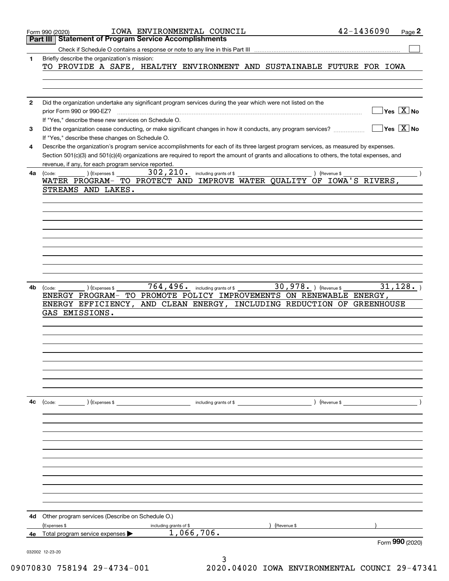|              | IOWA ENVIRONMENTAL COUNCIL<br>Form 990 (2020)                                                                                                | 42-1436090                             | Page 2 |
|--------------|----------------------------------------------------------------------------------------------------------------------------------------------|----------------------------------------|--------|
|              | <b>Statement of Program Service Accomplishments</b><br>Part III                                                                              |                                        |        |
|              | Check if Schedule O contains a response or note to any line in this Part III                                                                 |                                        |        |
| 1            | Briefly describe the organization's mission:                                                                                                 |                                        |        |
|              | TO PROVIDE A SAFE, HEALTHY ENVIRONMENT AND SUSTAINABLE FUTURE FOR IOWA                                                                       |                                        |        |
|              |                                                                                                                                              |                                        |        |
|              |                                                                                                                                              |                                        |        |
|              |                                                                                                                                              |                                        |        |
| $\mathbf{2}$ | Did the organization undertake any significant program services during the year which were not listed on the                                 |                                        |        |
|              | prior Form 990 or 990-EZ?                                                                                                                    | $\sqrt{\ }$ Yes $\sqrt{\ \text{X}}$ No |        |
|              | If "Yes," describe these new services on Schedule O.                                                                                         |                                        |        |
| 3            | Did the organization cease conducting, or make significant changes in how it conducts, any program services?                                 | $\sqrt{}$ Yes $\sqrt{}$ X $\sqrt{}$ No |        |
|              | If "Yes," describe these changes on Schedule O.                                                                                              |                                        |        |
| 4            | Describe the organization's program service accomplishments for each of its three largest program services, as measured by expenses.         |                                        |        |
|              | Section 501(c)(3) and 501(c)(4) organizations are required to report the amount of grants and allocations to others, the total expenses, and |                                        |        |
|              | revenue, if any, for each program service reported.                                                                                          |                                        |        |
|              | $302$ , $210$ . including grants of \$<br>(Expenses \$<br>) (Revenue \$                                                                      |                                        |        |
| 4a           | (Code:<br>WATER PROGRAM- TO PROTECT AND IMPROVE WATER QUALITY OF IOWA'S RIVERS,                                                              |                                        |        |
|              | STREAMS AND LAKES.                                                                                                                           |                                        |        |
|              |                                                                                                                                              |                                        |        |
|              |                                                                                                                                              |                                        |        |
|              |                                                                                                                                              |                                        |        |
|              |                                                                                                                                              |                                        |        |
|              |                                                                                                                                              |                                        |        |
|              |                                                                                                                                              |                                        |        |
|              |                                                                                                                                              |                                        |        |
|              |                                                                                                                                              |                                        |        |
|              |                                                                                                                                              |                                        |        |
|              |                                                                                                                                              |                                        |        |
|              |                                                                                                                                              |                                        |        |
| 4b           | 764, 496. including grants of \$ 30, 978. $($ Revenue \$<br>) (Expenses \$<br>(Code:                                                         | 31, 128.                               |        |
|              | TO PROMOTE POLICY IMPROVEMENTS ON RENEWABLE ENERGY,<br>ENERGY PROGRAM-                                                                       |                                        |        |
|              | AND CLEAN ENERGY, INCLUDING REDUCTION OF GREENHOUSE<br>ENERGY EFFICIENCY,                                                                    |                                        |        |
|              | GAS EMISSIONS.                                                                                                                               |                                        |        |
|              |                                                                                                                                              |                                        |        |
|              |                                                                                                                                              |                                        |        |
|              |                                                                                                                                              |                                        |        |
|              |                                                                                                                                              |                                        |        |
|              |                                                                                                                                              |                                        |        |
|              |                                                                                                                                              |                                        |        |
|              |                                                                                                                                              |                                        |        |
|              |                                                                                                                                              |                                        |        |
|              |                                                                                                                                              |                                        |        |
|              |                                                                                                                                              |                                        |        |
| 4с           | $\left(\text{Code:}\right)$ $\left(\text{Expenses $}\right)$<br>$\frac{1}{2}$ including grants of \$                                         |                                        |        |
|              |                                                                                                                                              |                                        |        |
|              |                                                                                                                                              |                                        |        |
|              |                                                                                                                                              |                                        |        |
|              |                                                                                                                                              |                                        |        |
|              |                                                                                                                                              |                                        |        |
|              |                                                                                                                                              |                                        |        |
|              |                                                                                                                                              |                                        |        |
|              |                                                                                                                                              |                                        |        |
|              |                                                                                                                                              |                                        |        |
|              |                                                                                                                                              |                                        |        |
|              |                                                                                                                                              |                                        |        |
|              |                                                                                                                                              |                                        |        |
|              |                                                                                                                                              |                                        |        |
| 4d           | Other program services (Describe on Schedule O.)                                                                                             |                                        |        |
|              | (Expenses \$<br>) (Revenue \$<br>including grants of \$                                                                                      |                                        |        |
| 4e           | 1,066,706.<br>Total program service expenses                                                                                                 |                                        |        |
|              |                                                                                                                                              | Form 990 (2020)                        |        |
|              | 032002 12-23-20                                                                                                                              |                                        |        |
|              |                                                                                                                                              |                                        |        |

3 09070830 758194 29-4734-001 2020.04020 IOWA ENVIRONMENTAL COUNCI 29-47341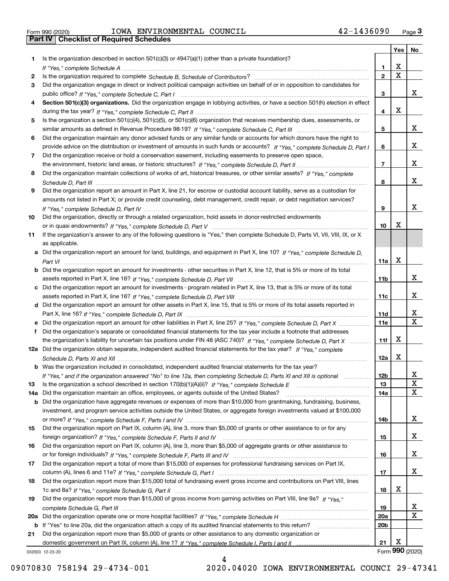Form 990 (2020) Page **3Part IV Checklist of Required Schedules** IOWA ENVIRONMENTAL COUNCIL 42-1436090

|     |                                                                                                                                       |                 | <b>Yes</b>              | No                      |
|-----|---------------------------------------------------------------------------------------------------------------------------------------|-----------------|-------------------------|-------------------------|
| 1.  | Is the organization described in section $501(c)(3)$ or $4947(a)(1)$ (other than a private foundation)?                               |                 |                         |                         |
|     |                                                                                                                                       | 1               | х                       |                         |
| 2   |                                                                                                                                       | $\mathbf 2$     | $\overline{\mathbf{x}}$ |                         |
| 3   | Did the organization engage in direct or indirect political campaign activities on behalf of or in opposition to candidates for       |                 |                         |                         |
|     |                                                                                                                                       | 3               |                         | X                       |
| 4   | Section 501(c)(3) organizations. Did the organization engage in lobbying activities, or have a section 501(h) election in effect      |                 |                         |                         |
|     |                                                                                                                                       | 4               | X                       |                         |
| 5   | Is the organization a section 501(c)(4), 501(c)(5), or 501(c)(6) organization that receives membership dues, assessments, or          |                 |                         |                         |
|     |                                                                                                                                       | 5               |                         | х                       |
| 6   | Did the organization maintain any donor advised funds or any similar funds or accounts for which donors have the right to             |                 |                         |                         |
|     | provide advice on the distribution or investment of amounts in such funds or accounts? If "Yes," complete Schedule D, Part I          | 6               |                         | х                       |
| 7   | Did the organization receive or hold a conservation easement, including easements to preserve open space,                             |                 |                         |                         |
|     |                                                                                                                                       | $\overline{7}$  |                         | x                       |
| 8   | Did the organization maintain collections of works of art, historical treasures, or other similar assets? If "Yes," complete          |                 |                         |                         |
|     |                                                                                                                                       | 8               |                         | x                       |
| 9   | Did the organization report an amount in Part X, line 21, for escrow or custodial account liability, serve as a custodian for         |                 |                         |                         |
|     | amounts not listed in Part X; or provide credit counseling, debt management, credit repair, or debt negotiation services?             | 9               |                         | х                       |
| 10  | Did the organization, directly or through a related organization, hold assets in donor-restricted endowments                          |                 |                         |                         |
|     |                                                                                                                                       | 10              | х                       |                         |
| 11  | If the organization's answer to any of the following questions is "Yes," then complete Schedule D, Parts VI, VII, VIII, IX, or X      |                 |                         |                         |
|     | as applicable.                                                                                                                        |                 |                         |                         |
|     | a Did the organization report an amount for land, buildings, and equipment in Part X, line 10? If "Yes," complete Schedule D,         |                 |                         |                         |
|     |                                                                                                                                       | <b>11a</b>      | X                       |                         |
|     | <b>b</b> Did the organization report an amount for investments - other securities in Part X, line 12, that is 5% or more of its total |                 |                         |                         |
|     |                                                                                                                                       | 11b             |                         | х                       |
|     | c Did the organization report an amount for investments - program related in Part X, line 13, that is 5% or more of its total         |                 |                         |                         |
|     |                                                                                                                                       | 11c             |                         | х                       |
|     | d Did the organization report an amount for other assets in Part X, line 15, that is 5% or more of its total assets reported in       |                 |                         |                         |
|     |                                                                                                                                       | 11d             |                         | x                       |
|     |                                                                                                                                       | <b>11e</b>      |                         | $\overline{\mathbf{x}}$ |
| f   | Did the organization's separate or consolidated financial statements for the tax year include a footnote that addresses               |                 |                         |                         |
|     | the organization's liability for uncertain tax positions under FIN 48 (ASC 740)? If "Yes," complete Schedule D, Part X                | 11f             | х                       |                         |
|     | 12a Did the organization obtain separate, independent audited financial statements for the tax year? If "Yes," complete               |                 |                         |                         |
|     |                                                                                                                                       | 12a             | х                       |                         |
|     | <b>b</b> Was the organization included in consolidated, independent audited financial statements for the tax year?                    |                 |                         |                         |
|     | If "Yes," and if the organization answered "No" to line 12a, then completing Schedule D, Parts XI and XII is optional                 | <b>12b</b>      |                         | Y,                      |
| 13  |                                                                                                                                       | 13              |                         | X                       |
| 14a | Did the organization maintain an office, employees, or agents outside of the United States?                                           | 14a             |                         | $\mathbf x$             |
|     | b Did the organization have aggregate revenues or expenses of more than \$10,000 from grantmaking, fundraising, business,             |                 |                         |                         |
|     | investment, and program service activities outside the United States, or aggregate foreign investments valued at \$100,000            |                 |                         |                         |
|     | Did the organization report on Part IX, column (A), line 3, more than \$5,000 of grants or other assistance to or for any             | 14b             |                         | x                       |
| 15  |                                                                                                                                       |                 |                         | x                       |
| 16  | Did the organization report on Part IX, column (A), line 3, more than \$5,000 of aggregate grants or other assistance to              | 15              |                         |                         |
|     |                                                                                                                                       | 16              |                         | x                       |
| 17  | Did the organization report a total of more than \$15,000 of expenses for professional fundraising services on Part IX,               |                 |                         |                         |
|     |                                                                                                                                       | 17              |                         | x                       |
| 18  | Did the organization report more than \$15,000 total of fundraising event gross income and contributions on Part VIII, lines          |                 |                         |                         |
|     |                                                                                                                                       | 18              | х                       |                         |
| 19  | Did the organization report more than \$15,000 of gross income from gaming activities on Part VIII, line 9a? If "Yes."                |                 |                         |                         |
|     |                                                                                                                                       | 19              |                         | x                       |
| 20a |                                                                                                                                       | <b>20a</b>      |                         | X                       |
|     | b If "Yes" to line 20a, did the organization attach a copy of its audited financial statements to this return?                        | 20 <sub>b</sub> |                         |                         |
| 21  | Did the organization report more than \$5,000 of grants or other assistance to any domestic organization or                           |                 |                         |                         |
|     |                                                                                                                                       | 21              | х                       |                         |
|     | 032003 12-23-20                                                                                                                       |                 |                         | Form 990 (2020)         |

4

032003 12-23-20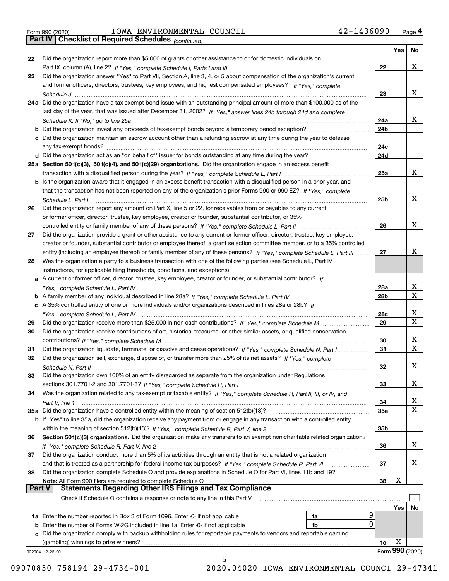|  | Form 990 (2020) |
|--|-----------------|
|  |                 |

# Form 990 (2020) IOWA ENVIRONMENTAL COUNCIL 4 2-1436090 <sub>Page</sub> 4<br>**Part IV | Checklist of Required Schedules** <sub>(continued)</sub>

*(continued)*

|               |                                                                                                                              |                 | Yes        | No              |  |  |  |
|---------------|------------------------------------------------------------------------------------------------------------------------------|-----------------|------------|-----------------|--|--|--|
| 22            | Did the organization report more than \$5,000 of grants or other assistance to or for domestic individuals on                |                 |            |                 |  |  |  |
|               |                                                                                                                              | 22              |            | x               |  |  |  |
| 23            | Did the organization answer "Yes" to Part VII, Section A, line 3, 4, or 5 about compensation of the organization's current   |                 |            |                 |  |  |  |
|               | and former officers, directors, trustees, key employees, and highest compensated employees? If "Yes," complete               |                 |            |                 |  |  |  |
|               |                                                                                                                              | 23              |            | x               |  |  |  |
|               | 24a Did the organization have a tax-exempt bond issue with an outstanding principal amount of more than \$100,000 as of the  |                 |            |                 |  |  |  |
|               | last day of the year, that was issued after December 31, 2002? If "Yes," answer lines 24b through 24d and complete           |                 |            |                 |  |  |  |
|               |                                                                                                                              | 24a             |            | x               |  |  |  |
|               | b Did the organization invest any proceeds of tax-exempt bonds beyond a temporary period exception?                          | 24b             |            |                 |  |  |  |
|               | c Did the organization maintain an escrow account other than a refunding escrow at any time during the year to defease       |                 |            |                 |  |  |  |
|               | any tax-exempt bonds?                                                                                                        | 24c             |            |                 |  |  |  |
|               | d Did the organization act as an "on behalf of" issuer for bonds outstanding at any time during the year?                    | 24d             |            |                 |  |  |  |
|               | 25a Section 501(c)(3), 501(c)(4), and 501(c)(29) organizations. Did the organization engage in an excess benefit             |                 |            |                 |  |  |  |
|               |                                                                                                                              | 25a             |            | x               |  |  |  |
|               | b Is the organization aware that it engaged in an excess benefit transaction with a disqualified person in a prior year, and |                 |            |                 |  |  |  |
|               | that the transaction has not been reported on any of the organization's prior Forms 990 or 990-EZ? If "Yes," complete        |                 |            |                 |  |  |  |
|               |                                                                                                                              | 25b             |            | x               |  |  |  |
|               | Schedule L, Part I                                                                                                           |                 |            |                 |  |  |  |
| 26            | Did the organization report any amount on Part X, line 5 or 22, for receivables from or payables to any current              |                 |            |                 |  |  |  |
|               | or former officer, director, trustee, key employee, creator or founder, substantial contributor, or 35%                      |                 |            |                 |  |  |  |
|               |                                                                                                                              | 26              |            | x               |  |  |  |
| 27            | Did the organization provide a grant or other assistance to any current or former officer, director, trustee, key employee,  |                 |            |                 |  |  |  |
|               | creator or founder, substantial contributor or employee thereof, a grant selection committee member, or to a 35% controlled  | 27              |            | х               |  |  |  |
|               | entity (including an employee thereof) or family member of any of these persons? If "Yes," complete Schedule L, Part III     |                 |            |                 |  |  |  |
| 28            | Was the organization a party to a business transaction with one of the following parties (see Schedule L, Part IV            |                 |            |                 |  |  |  |
|               | instructions, for applicable filing thresholds, conditions, and exceptions):                                                 |                 |            |                 |  |  |  |
|               | a A current or former officer, director, trustee, key employee, creator or founder, or substantial contributor? If           |                 |            |                 |  |  |  |
|               |                                                                                                                              | 28a             |            | x               |  |  |  |
|               |                                                                                                                              | 28 <sub>b</sub> |            | $\mathbf X$     |  |  |  |
|               | c A 35% controlled entity of one or more individuals and/or organizations described in lines 28a or 28b? If                  |                 |            |                 |  |  |  |
|               |                                                                                                                              | 28c             |            | х               |  |  |  |
| 29            |                                                                                                                              | 29              |            | $\mathbf X$     |  |  |  |
| 30            | Did the organization receive contributions of art, historical treasures, or other similar assets, or qualified conservation  |                 |            |                 |  |  |  |
|               |                                                                                                                              | 30              |            | x               |  |  |  |
| 31            | Did the organization liquidate, terminate, or dissolve and cease operations? If "Yes," complete Schedule N, Part I           | 31              |            | $\mathbf x$     |  |  |  |
| 32            | Did the organization sell, exchange, dispose of, or transfer more than 25% of its net assets? If "Yes," complete             |                 |            |                 |  |  |  |
|               |                                                                                                                              | 32              |            | х               |  |  |  |
| 33            | Did the organization own 100% of an entity disregarded as separate from the organization under Regulations                   |                 |            |                 |  |  |  |
|               |                                                                                                                              | 33              |            | х               |  |  |  |
| 34            | Was the organization related to any tax-exempt or taxable entity? If "Yes," complete Schedule R, Part II, III, or IV, and    |                 |            |                 |  |  |  |
|               |                                                                                                                              | 34              |            | X               |  |  |  |
|               | 35a Did the organization have a controlled entity within the meaning of section 512(b)(13)?                                  | 35a             |            | X               |  |  |  |
|               | b If "Yes" to line 35a, did the organization receive any payment from or engage in any transaction with a controlled entity  |                 |            |                 |  |  |  |
|               |                                                                                                                              | 35b             |            |                 |  |  |  |
| 36            | Section 501(c)(3) organizations. Did the organization make any transfers to an exempt non-charitable related organization?   |                 |            |                 |  |  |  |
|               |                                                                                                                              | 36              |            | x               |  |  |  |
| 37            | Did the organization conduct more than 5% of its activities through an entity that is not a related organization             |                 |            |                 |  |  |  |
|               | and that is treated as a partnership for federal income tax purposes? If "Yes," complete Schedule R, Part VI                 | 37              |            | x               |  |  |  |
| 38            | Did the organization complete Schedule O and provide explanations in Schedule O for Part VI, lines 11b and 19?               |                 |            |                 |  |  |  |
|               | Note: All Form 990 filers are required to complete Schedule O                                                                | 38              | х          |                 |  |  |  |
| <b>Part V</b> | <b>Statements Regarding Other IRS Filings and Tax Compliance</b>                                                             |                 |            |                 |  |  |  |
|               | Check if Schedule O contains a response or note to any line in this Part V                                                   |                 |            |                 |  |  |  |
|               |                                                                                                                              |                 | <b>Yes</b> | No              |  |  |  |
|               | <b>1a</b> Enter the number reported in Box 3 of Form 1096. Enter -0- if not applicable <i>manumumumum</i><br>1a              |                 |            |                 |  |  |  |
|               | 0<br><b>b</b> Enter the number of Forms W-2G included in line 1a. Enter -0- if not applicable <i>manumumumum</i><br>1b       |                 |            |                 |  |  |  |
|               | c Did the organization comply with backup withholding rules for reportable payments to vendors and reportable gaming         |                 |            |                 |  |  |  |
|               | (gambling) winnings to prize winners?                                                                                        | 1c              | х          |                 |  |  |  |
|               | 032004 12-23-20                                                                                                              |                 |            | Form 990 (2020) |  |  |  |
|               | 5                                                                                                                            |                 |            |                 |  |  |  |

 <sup>09070830 758194 29-4734-001 2020.04020</sup> IOWA ENVIRONMENTAL COUNCI 29-47341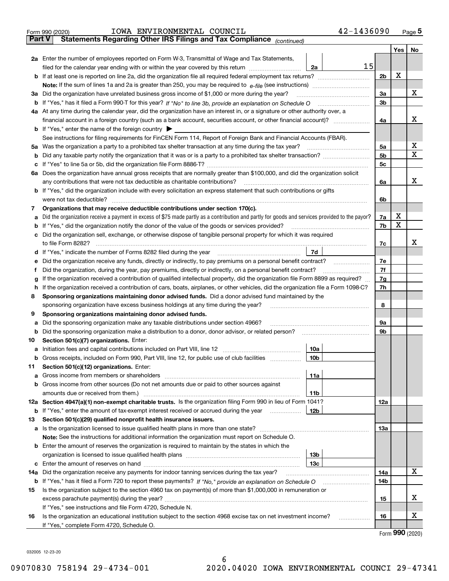|        | 42-1436090<br>IOWA ENVIRONMENTAL COUNCIL<br>Form 990 (2020)                                                                                                                                      |                |     | Page $5$    |  |  |  |
|--------|--------------------------------------------------------------------------------------------------------------------------------------------------------------------------------------------------|----------------|-----|-------------|--|--|--|
| Part V | Statements Regarding Other IRS Filings and Tax Compliance (continued)                                                                                                                            |                |     |             |  |  |  |
|        |                                                                                                                                                                                                  |                | Yes | No          |  |  |  |
|        | 2a Enter the number of employees reported on Form W-3, Transmittal of Wage and Tax Statements,                                                                                                   |                |     |             |  |  |  |
|        | 15<br>filed for the calendar year ending with or within the year covered by this return<br>2a                                                                                                    |                |     |             |  |  |  |
|        | <b>b</b> If at least one is reported on line 2a, did the organization file all required federal employment tax returns?                                                                          | 2 <sub>b</sub> | X   |             |  |  |  |
|        |                                                                                                                                                                                                  |                |     |             |  |  |  |
|        | 3a Did the organization have unrelated business gross income of \$1,000 or more during the year?                                                                                                 | 3a             |     | х           |  |  |  |
|        |                                                                                                                                                                                                  | 3b             |     |             |  |  |  |
|        | 4a At any time during the calendar year, did the organization have an interest in, or a signature or other authority over, a                                                                     |                |     | x           |  |  |  |
|        |                                                                                                                                                                                                  | 4a             |     |             |  |  |  |
|        | <b>b</b> If "Yes," enter the name of the foreign country $\triangleright$<br>See instructions for filing requirements for FinCEN Form 114, Report of Foreign Bank and Financial Accounts (FBAR). |                |     |             |  |  |  |
|        | 5a Was the organization a party to a prohibited tax shelter transaction at any time during the tax year?                                                                                         | 5a             |     | х           |  |  |  |
|        |                                                                                                                                                                                                  | 5 <sub>b</sub> |     | $\mathbf X$ |  |  |  |
|        |                                                                                                                                                                                                  | 5c             |     |             |  |  |  |
|        | 6a Does the organization have annual gross receipts that are normally greater than \$100,000, and did the organization solicit                                                                   |                |     |             |  |  |  |
|        | any contributions that were not tax deductible as charitable contributions?                                                                                                                      | 6a             |     | x           |  |  |  |
|        | <b>b</b> If "Yes," did the organization include with every solicitation an express statement that such contributions or gifts                                                                    |                |     |             |  |  |  |
|        | were not tax deductible?                                                                                                                                                                         | 6b             |     |             |  |  |  |
| 7      | Organizations that may receive deductible contributions under section 170(c).                                                                                                                    |                |     |             |  |  |  |
| a      | Did the organization receive a payment in excess of \$75 made partly as a contribution and partly for goods and services provided to the payor?                                                  | 7a             | X   |             |  |  |  |
|        | <b>b</b> If "Yes," did the organization notify the donor of the value of the goods or services provided?                                                                                         | 7b             | X   |             |  |  |  |
|        | c Did the organization sell, exchange, or otherwise dispose of tangible personal property for which it was required                                                                              |                |     |             |  |  |  |
|        | to file Form 8282?                                                                                                                                                                               | 7c             |     | x           |  |  |  |
|        | 7d<br>d If "Yes," indicate the number of Forms 8282 filed during the year                                                                                                                        |                |     |             |  |  |  |
| е      | Did the organization receive any funds, directly or indirectly, to pay premiums on a personal benefit contract?                                                                                  |                |     |             |  |  |  |
| Ť      | Did the organization, during the year, pay premiums, directly or indirectly, on a personal benefit contract?                                                                                     |                |     |             |  |  |  |
| g      | If the organization received a contribution of qualified intellectual property, did the organization file Form 8899 as required?                                                                 |                |     |             |  |  |  |
|        | h If the organization received a contribution of cars, boats, airplanes, or other vehicles, did the organization file a Form 1098-C?                                                             |                |     |             |  |  |  |
| 8      | Sponsoring organizations maintaining donor advised funds. Did a donor advised fund maintained by the                                                                                             |                |     |             |  |  |  |
|        | sponsoring organization have excess business holdings at any time during the year?                                                                                                               | 8              |     |             |  |  |  |
| 9      | Sponsoring organizations maintaining donor advised funds.                                                                                                                                        |                |     |             |  |  |  |
| а      | Did the sponsoring organization make any taxable distributions under section 4966?                                                                                                               | 9а<br>9b       |     |             |  |  |  |
| 10     | <b>b</b> Did the sponsoring organization make a distribution to a donor, donor advisor, or related person?<br>Section 501(c)(7) organizations. Enter:                                            |                |     |             |  |  |  |
|        | 10a                                                                                                                                                                                              |                |     |             |  |  |  |
|        | <b>b</b> Gross receipts, included on Form 990, Part VIII, line 12, for public use of club facilities <i>managerecipts</i> ,<br>10b                                                               |                |     |             |  |  |  |
| 11     | Section 501(c)(12) organizations. Enter:                                                                                                                                                         |                |     |             |  |  |  |
| а      | 11a                                                                                                                                                                                              |                |     |             |  |  |  |
|        | b Gross income from other sources (Do not net amounts due or paid to other sources against                                                                                                       |                |     |             |  |  |  |
|        | amounts due or received from them.)<br>11b                                                                                                                                                       |                |     |             |  |  |  |
|        | 12a Section 4947(a)(1) non-exempt charitable trusts. Is the organization filing Form 990 in lieu of Form 1041?                                                                                   | 12a            |     |             |  |  |  |
|        | <b>b</b> If "Yes," enter the amount of tax-exempt interest received or accrued during the year<br>12b                                                                                            |                |     |             |  |  |  |
| 13     | Section 501(c)(29) qualified nonprofit health insurance issuers.                                                                                                                                 |                |     |             |  |  |  |
|        | a Is the organization licensed to issue qualified health plans in more than one state?                                                                                                           | 13а            |     |             |  |  |  |
|        | <b>Note:</b> See the instructions for additional information the organization must report on Schedule O.                                                                                         |                |     |             |  |  |  |
|        | <b>b</b> Enter the amount of reserves the organization is required to maintain by the states in which the                                                                                        |                |     |             |  |  |  |
|        | 13b                                                                                                                                                                                              |                |     |             |  |  |  |
|        | 13c                                                                                                                                                                                              |                |     |             |  |  |  |
| 14a    | Did the organization receive any payments for indoor tanning services during the tax year?                                                                                                       | 14a            |     | X           |  |  |  |
|        |                                                                                                                                                                                                  | 14b            |     |             |  |  |  |
| 15     | Is the organization subject to the section 4960 tax on payment(s) of more than \$1,000,000 in remuneration or                                                                                    |                |     | х           |  |  |  |
|        |                                                                                                                                                                                                  | 15             |     |             |  |  |  |
|        | If "Yes," see instructions and file Form 4720, Schedule N.                                                                                                                                       |                |     | х           |  |  |  |
| 16     | Is the organization an educational institution subject to the section 4968 excise tax on net investment income?<br>.<br>If "Yes," complete Form 4720, Schedule O.                                | 16             |     |             |  |  |  |
|        |                                                                                                                                                                                                  |                |     |             |  |  |  |

Form (2020) **990**

032005 12-23-20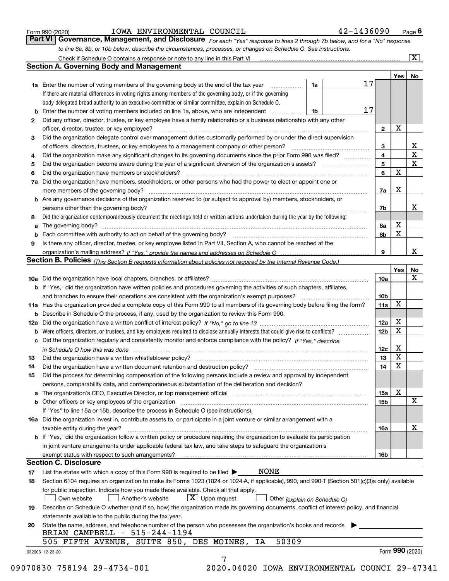|  | Form 990 (2020) |
|--|-----------------|
|  |                 |

#### IOWA ENVIRONMENTAL COUNCIL 42-1436090

*For each "Yes" response to lines 2 through 7b below, and for a "No" response to line 8a, 8b, or 10b below, describe the circumstances, processes, or changes on Schedule O. See instructions.* Form 990 (2020) **10WA ENVIRONMENTAL COUNCIL**<br>**Part VI Governance, Management, and Disclosure** For each "Yes" response to lines 2 through 7b below, and for a "No" response

|     |                                                                                                                                                                                                                               |    |    |                 | Yes   No        |             |
|-----|-------------------------------------------------------------------------------------------------------------------------------------------------------------------------------------------------------------------------------|----|----|-----------------|-----------------|-------------|
|     | <b>1a</b> Enter the number of voting members of the governing body at the end of the tax year <i>manumum</i>                                                                                                                  | 1a | 17 |                 |                 |             |
|     | If there are material differences in voting rights among members of the governing body, or if the governing                                                                                                                   |    |    |                 |                 |             |
|     | body delegated broad authority to an executive committee or similar committee, explain on Schedule O.                                                                                                                         |    |    |                 |                 |             |
|     | Enter the number of voting members included on line 1a, above, who are independent                                                                                                                                            | 1b | 17 |                 |                 |             |
| 2   | Did any officer, director, trustee, or key employee have a family relationship or a business relationship with any other                                                                                                      |    |    |                 |                 |             |
|     | officer, director, trustee, or key employee?                                                                                                                                                                                  |    |    | $\mathbf{2}$    | X               |             |
| 3   | Did the organization delegate control over management duties customarily performed by or under the direct supervision                                                                                                         |    |    |                 |                 |             |
|     |                                                                                                                                                                                                                               |    |    | 3               |                 | х           |
| 4   | Did the organization make any significant changes to its governing documents since the prior Form 990 was filed?                                                                                                              |    |    | 4               |                 | $\mathbf X$ |
| 5   |                                                                                                                                                                                                                               |    |    | 5               |                 | $\mathbf X$ |
| 6   | Did the organization have members or stockholders?                                                                                                                                                                            |    |    | 6               | $\mathbf X$     |             |
| 7a  | Did the organization have members, stockholders, or other persons who had the power to elect or appoint one or                                                                                                                |    |    |                 |                 |             |
|     |                                                                                                                                                                                                                               |    |    | 7a              | X               |             |
|     | <b>b</b> Are any governance decisions of the organization reserved to (or subject to approval by) members, stockholders, or                                                                                                   |    |    |                 |                 |             |
|     | persons other than the governing body?                                                                                                                                                                                        |    |    | 7b              |                 | х           |
| 8   | Did the organization contemporaneously document the meetings held or written actions undertaken during the year by the following:                                                                                             |    |    |                 |                 |             |
| a   |                                                                                                                                                                                                                               |    |    | 8а              | х               |             |
|     |                                                                                                                                                                                                                               |    |    | 8b              | $\mathbf X$     |             |
| 9   | Is there any officer, director, trustee, or key employee listed in Part VII, Section A, who cannot be reached at the                                                                                                          |    |    |                 |                 |             |
|     |                                                                                                                                                                                                                               |    |    | 9               |                 | х           |
|     | Section B. Policies (This Section B requests information about policies not required by the Internal Revenue Code.)                                                                                                           |    |    |                 |                 |             |
|     |                                                                                                                                                                                                                               |    |    |                 | Yes             | No          |
|     |                                                                                                                                                                                                                               |    |    | <b>10a</b>      |                 | X           |
|     | b If "Yes," did the organization have written policies and procedures governing the activities of such chapters, affiliates,                                                                                                  |    |    |                 |                 |             |
|     |                                                                                                                                                                                                                               |    |    | 10 <sub>b</sub> |                 |             |
|     | 11a Has the organization provided a complete copy of this Form 990 to all members of its governing body before filing the form?                                                                                               |    |    | 11a             | X               |             |
|     | <b>b</b> Describe in Schedule O the process, if any, used by the organization to review this Form 990.                                                                                                                        |    |    |                 |                 |             |
| 12a |                                                                                                                                                                                                                               |    |    | 12a             | х               |             |
| b   |                                                                                                                                                                                                                               |    |    | 12 <sub>b</sub> | $\mathbf X$     |             |
|     | c Did the organization regularly and consistently monitor and enforce compliance with the policy? If "Yes," describe                                                                                                          |    |    |                 |                 |             |
|     | in Schedule O how this was done encourance and an international control of the state of the state of the state o                                                                                                              |    |    | 12c             | х               |             |
| 13  | Did the organization have a written whistleblower policy?                                                                                                                                                                     |    |    | 13              | $\mathbf X$     |             |
|     |                                                                                                                                                                                                                               |    |    | 14              | $\mathbf X$     |             |
| 14  | Did the organization have a written document retention and destruction policy? manufactured and the organization have a written document retention and destruction policy?                                                    |    |    |                 |                 |             |
| 15  | Did the process for determining compensation of the following persons include a review and approval by independent                                                                                                            |    |    |                 |                 |             |
|     | persons, comparability data, and contemporaneous substantiation of the deliberation and decision?                                                                                                                             |    |    |                 | Х               |             |
|     | a The organization's CEO, Executive Director, or top management official manufactured content content of the organization's content of the content of the content of the content of the content of the content of the content |    |    | 15a             |                 |             |
|     | <b>b</b> Other officers or key employees of the organization                                                                                                                                                                  |    |    | <b>15b</b>      |                 | х           |
|     | If "Yes" to line 15a or 15b, describe the process in Schedule O (see instructions).                                                                                                                                           |    |    |                 |                 |             |
|     | 16a Did the organization invest in, contribute assets to, or participate in a joint venture or similar arrangement with a                                                                                                     |    |    |                 |                 |             |
|     | taxable entity during the year?                                                                                                                                                                                               |    |    | 16a             |                 | x           |
|     | b If "Yes," did the organization follow a written policy or procedure requiring the organization to evaluate its participation                                                                                                |    |    |                 |                 |             |
|     | in joint venture arrangements under applicable federal tax law, and take steps to safeguard the organization's                                                                                                                |    |    |                 |                 |             |
|     | exempt status with respect to such arrangements?                                                                                                                                                                              |    |    | <b>16b</b>      |                 |             |
|     | <b>Section C. Disclosure</b>                                                                                                                                                                                                  |    |    |                 |                 |             |
| 17  | <b>NONE</b><br>List the states with which a copy of this Form 990 is required to be filed $\blacktriangleright$                                                                                                               |    |    |                 |                 |             |
| 18  | Section 6104 requires an organization to make its Forms 1023 (1024 or 1024-A, if applicable), 990, and 990-T (Section 501(c)(3)s only) available                                                                              |    |    |                 |                 |             |
|     | for public inspection. Indicate how you made these available. Check all that apply.                                                                                                                                           |    |    |                 |                 |             |
|     | $X$ Upon request<br>Own website<br>Another's website<br>Other (explain on Schedule O)                                                                                                                                         |    |    |                 |                 |             |
| 19  | Describe on Schedule O whether (and if so, how) the organization made its governing documents, conflict of interest policy, and financial                                                                                     |    |    |                 |                 |             |
|     | statements available to the public during the tax year.                                                                                                                                                                       |    |    |                 |                 |             |
| 20  | State the name, address, and telephone number of the person who possesses the organization's books and records                                                                                                                |    |    |                 |                 |             |
|     | BRIAN CAMPBELL - 515-244-1194                                                                                                                                                                                                 |    |    |                 |                 |             |
|     | 50309<br>505 FIFTH AVENUE, SUITE 850, DES MOINES,<br>IA                                                                                                                                                                       |    |    |                 |                 |             |
|     |                                                                                                                                                                                                                               |    |    |                 | Form 990 (2020) |             |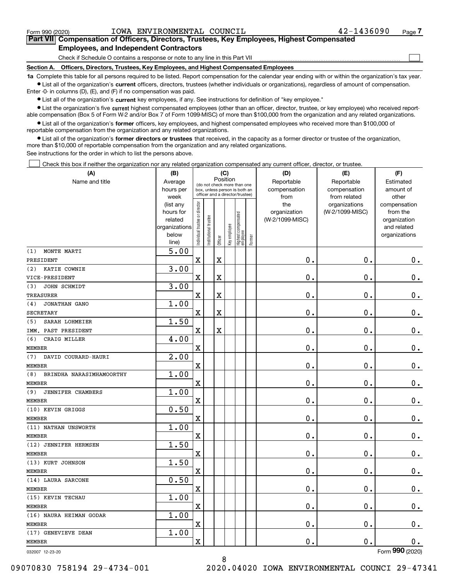$\mathcal{L}^{\text{max}}$ 

### **7Part VII Compensation of Officers, Directors, Trustees, Key Employees, Highest Compensated Employees, and Independent Contractors**

Check if Schedule O contains a response or note to any line in this Part VII

**Section A. Officers, Directors, Trustees, Key Employees, and Highest Compensated Employees**

**1a**  Complete this table for all persons required to be listed. Report compensation for the calendar year ending with or within the organization's tax year. **•** List all of the organization's current officers, directors, trustees (whether individuals or organizations), regardless of amount of compensation.

Enter -0- in columns (D), (E), and (F) if no compensation was paid.

 $\bullet$  List all of the organization's  $\,$ current key employees, if any. See instructions for definition of "key employee."

**•** List the organization's five current highest compensated employees (other than an officer, director, trustee, or key employee) who received reportable compensation (Box 5 of Form W-2 and/or Box 7 of Form 1099-MISC) of more than \$100,000 from the organization and any related organizations.

**•** List all of the organization's former officers, key employees, and highest compensated employees who received more than \$100,000 of reportable compensation from the organization and any related organizations.

**former directors or trustees**  ¥ List all of the organization's that received, in the capacity as a former director or trustee of the organization, more than \$10,000 of reportable compensation from the organization and any related organizations.

See instructions for the order in which to list the persons above.

Check this box if neither the organization nor any related organization compensated any current officer, director, or trustee.  $\mathcal{L}^{\text{max}}$ 

| (A)                             | (B)                  | (C)                            |                                                              |                         |              |                                   |        | (D)                        | (E)                        | (F)                    |
|---------------------------------|----------------------|--------------------------------|--------------------------------------------------------------|-------------------------|--------------|-----------------------------------|--------|----------------------------|----------------------------|------------------------|
| Name and title                  | Average<br>hours per |                                | (do not check more than one<br>box, unless person is both an |                         | Position     |                                   |        | Reportable<br>compensation | Reportable<br>compensation | Estimated<br>amount of |
|                                 | week                 |                                | officer and a director/trustee)                              |                         |              |                                   |        | from                       | from related               | other                  |
|                                 | (list any            |                                |                                                              |                         |              |                                   |        | the                        | organizations              | compensation           |
|                                 | hours for            |                                |                                                              |                         |              |                                   |        | organization               | (W-2/1099-MISC)            | from the               |
|                                 | related              |                                |                                                              |                         |              |                                   |        | (W-2/1099-MISC)            |                            | organization           |
|                                 | organizations        |                                |                                                              |                         |              |                                   |        |                            |                            | and related            |
|                                 | below                | Individual trustee or director | Institutional trustee                                        | Officer                 | Key employee | Highest compensated<br>  employee | Former |                            |                            | organizations          |
|                                 | line)                |                                |                                                              |                         |              |                                   |        |                            |                            |                        |
| MONTE MARTI<br>(1)              | 5.00                 |                                |                                                              |                         |              |                                   |        |                            |                            |                        |
| PRESIDENT                       |                      | X                              |                                                              | $\overline{\mathbf{X}}$ |              |                                   |        | 0.                         | $\mathbf 0$ .              | $\mathbf 0$ .          |
| KATIE COWNIE<br>(2)             | 3.00                 |                                |                                                              |                         |              |                                   |        |                            |                            |                        |
| VICE-PRESIDENT                  |                      | X                              |                                                              | $\overline{\textbf{X}}$ |              |                                   |        | $\mathbf{0}$ .             | $\mathbf{0}$ .             | $\mathbf 0$ .          |
| (3)<br>JOHN SCHMIDT             | 3.00                 |                                |                                                              |                         |              |                                   |        |                            |                            |                        |
| <b>TREASURER</b>                |                      | $\overline{\textbf{X}}$        |                                                              | $\overline{\textbf{X}}$ |              |                                   |        | 0.                         | $\mathbf 0$ .              | $0_{.}$                |
| JONATHAN GANO<br>(4)            | 1.00                 |                                |                                                              |                         |              |                                   |        |                            |                            |                        |
| <b>SECRETARY</b>                |                      | $\mathbf x$                    |                                                              | X                       |              |                                   |        | $\mathbf 0$ .              | 0.                         | $\mathbf 0$ .          |
| SARAH LOHMEIER<br>(5)           | 1.50                 |                                |                                                              |                         |              |                                   |        |                            |                            |                        |
| IMM. PAST PRESIDENT             |                      | $\mathbf x$                    |                                                              | X                       |              |                                   |        | 0.                         | 0.                         | $\mathbf 0$ .          |
| CRAIG MILLER<br>(6)             | 4.00                 |                                |                                                              |                         |              |                                   |        |                            |                            |                        |
| <b>MEMBER</b>                   |                      | $\overline{\text{X}}$          |                                                              |                         |              |                                   |        | $\mathbf{0}$ .             | 0.                         | $\mathbf 0$ .          |
| (7)<br>DAVID COURARD-HAURI      | 2.00                 |                                |                                                              |                         |              |                                   |        |                            |                            |                        |
| <b>MEMBER</b>                   |                      | $\mathbf X$                    |                                                              |                         |              |                                   |        | 0.                         | 0.                         | $\mathbf 0$ .          |
| (8)<br>BRINDHA NARASIMHAMOORTHY | 1.00                 |                                |                                                              |                         |              |                                   |        |                            |                            |                        |
| <b>MEMBER</b>                   |                      | $\mathbf x$                    |                                                              |                         |              |                                   |        | 0.                         | 0.                         | $\mathbf 0$ .          |
| (9)<br>JENNIFER CHAMBERS        | 1.00                 |                                |                                                              |                         |              |                                   |        |                            |                            |                        |
| <b>MEMBER</b>                   |                      | X                              |                                                              |                         |              |                                   |        | 0.                         | 0.                         | $\mathbf 0$ .          |
| (10) KEVIN GRIGGS               | 0.50                 |                                |                                                              |                         |              |                                   |        |                            |                            |                        |
| <b>MEMBER</b>                   |                      | X                              |                                                              |                         |              |                                   |        | $\mathbf{0}$ .             | 0.                         | $\mathbf 0$ .          |
| (11) NATHAN UNSWORTH            | 1.00                 |                                |                                                              |                         |              |                                   |        |                            |                            |                        |
| <b>MEMBER</b>                   |                      | $\rm X$                        |                                                              |                         |              |                                   |        | 0.                         | 0.                         | $\mathbf 0$ .          |
| (12) JENNIFER HERMSEN           | 1.50                 |                                |                                                              |                         |              |                                   |        | $\mathbf 0$ .              | 0.                         |                        |
| MEMBER<br>(13) KURT JOHNSON     | 1.50                 | X                              |                                                              |                         |              |                                   |        |                            |                            | $\mathbf 0$ .          |
| <b>MEMBER</b>                   |                      | X                              |                                                              |                         |              |                                   |        | 0.                         | 0.                         | $\mathbf 0$ .          |
| (14) LAURA SARCONE              | 0.50                 |                                |                                                              |                         |              |                                   |        |                            |                            |                        |
| <b>MEMBER</b>                   |                      | $\overline{\text{X}}$          |                                                              |                         |              |                                   |        | 0.                         | $\mathbf{0}$ .             | 0.                     |
| (15) KEVIN TECHAU               | 1.00                 |                                |                                                              |                         |              |                                   |        |                            |                            |                        |
| <b>MEMBER</b>                   |                      | X                              |                                                              |                         |              |                                   |        | 0.                         | $\mathbf 0$ .              | $\mathbf 0$ .          |
| (16) NAURA HEIMAN GODAR         | 1.00                 |                                |                                                              |                         |              |                                   |        |                            |                            |                        |
| <b>MEMBER</b>                   |                      | $\mathbf x$                    |                                                              |                         |              |                                   |        | $\mathbf 0$ .              | $\mathbf 0$ .              | 0.                     |
| (17) GENEVIEVE DEAN             | 1.00                 |                                |                                                              |                         |              |                                   |        |                            |                            |                        |
| <b>MEMBER</b>                   |                      | X                              |                                                              |                         |              |                                   |        | 0.                         | 0.                         | 0.                     |
|                                 |                      |                                |                                                              |                         |              |                                   |        |                            |                            | Form 990 (2020)        |
| 032007 12-23-20                 |                      |                                |                                                              |                         |              |                                   |        |                            |                            |                        |

032007 12-23-20

09070830 758194 29-4734-001 2020.04020 IOWA ENVIRONMENTAL COUNCI 29-47341

8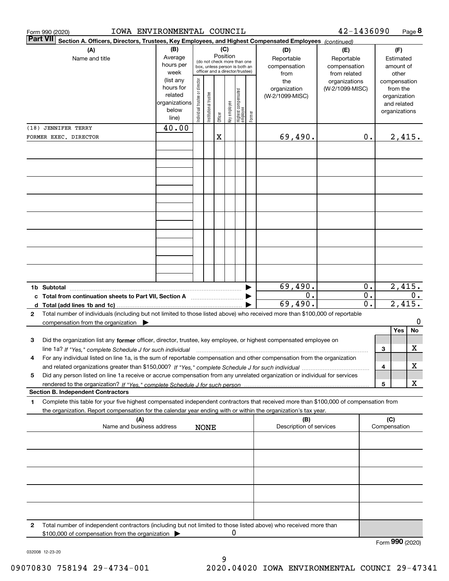| IOWA ENVIRONMENTAL COUNCIL<br>Form 990 (2020)                                                                                                                                                                                                                                  |                                                                                                                                                                                                        |                                |                       |         |                                                   |                                        |        |                                        | 42-1436090                       |                        |   |                                                                          | Page 8           |
|--------------------------------------------------------------------------------------------------------------------------------------------------------------------------------------------------------------------------------------------------------------------------------|--------------------------------------------------------------------------------------------------------------------------------------------------------------------------------------------------------|--------------------------------|-----------------------|---------|---------------------------------------------------|----------------------------------------|--------|----------------------------------------|----------------------------------|------------------------|---|--------------------------------------------------------------------------|------------------|
| <b>Part VII</b><br>Section A. Officers, Directors, Trustees, Key Employees, and Highest Compensated Employees (continued)                                                                                                                                                      |                                                                                                                                                                                                        |                                |                       |         |                                                   |                                        |        |                                        |                                  |                        |   |                                                                          |                  |
| (A)<br>Name and title                                                                                                                                                                                                                                                          | (B)<br>(C)<br>(D)<br>Position<br>Average<br>Reportable<br>(do not check more than one<br>hours per<br>compensation<br>box, unless person is both an<br>officer and a director/trustee)<br>week<br>from |                                |                       |         | (E)<br>Reportable<br>compensation<br>from related | (F)<br>Estimated<br>amount of<br>other |        |                                        |                                  |                        |   |                                                                          |                  |
|                                                                                                                                                                                                                                                                                | (list any<br>hours for<br>related<br>organizations<br>below<br>line)                                                                                                                                   | Individual trustee or director | Institutional trustee | Officer | Key employee                                      | Highest compensated<br> employee       | Former | the<br>organization<br>(W-2/1099-MISC) | organizations<br>(W-2/1099-MISC) |                        |   | compensation<br>from the<br>organization<br>and related<br>organizations |                  |
| (18) JENNIFER TERRY<br>FORMER EXEC. DIRECTOR                                                                                                                                                                                                                                   | 40.00                                                                                                                                                                                                  |                                |                       | X       |                                                   |                                        |        | 69,490.                                |                                  | $\mathbf 0$ .          |   | 2,415.                                                                   |                  |
|                                                                                                                                                                                                                                                                                |                                                                                                                                                                                                        |                                |                       |         |                                                   |                                        |        |                                        |                                  |                        |   |                                                                          |                  |
|                                                                                                                                                                                                                                                                                |                                                                                                                                                                                                        |                                |                       |         |                                                   |                                        |        |                                        |                                  |                        |   |                                                                          |                  |
|                                                                                                                                                                                                                                                                                |                                                                                                                                                                                                        |                                |                       |         |                                                   |                                        |        |                                        |                                  |                        |   |                                                                          |                  |
|                                                                                                                                                                                                                                                                                |                                                                                                                                                                                                        |                                |                       |         |                                                   |                                        |        |                                        |                                  |                        |   |                                                                          |                  |
|                                                                                                                                                                                                                                                                                |                                                                                                                                                                                                        |                                |                       |         |                                                   |                                        |        |                                        |                                  |                        |   |                                                                          |                  |
|                                                                                                                                                                                                                                                                                |                                                                                                                                                                                                        |                                |                       |         |                                                   |                                        |        |                                        |                                  |                        |   |                                                                          |                  |
|                                                                                                                                                                                                                                                                                |                                                                                                                                                                                                        |                                |                       |         |                                                   |                                        |        |                                        |                                  |                        |   |                                                                          |                  |
| c Total from continuation sheets to Part VII, Section A                                                                                                                                                                                                                        |                                                                                                                                                                                                        |                                |                       |         |                                                   |                                        |        | 69,490.<br>0.                          |                                  | 0.<br>$\overline{0}$ . |   | 2,415.                                                                   | $\overline{0}$ . |
| Total number of individuals (including but not limited to those listed above) who received more than \$100,000 of reportable<br>$\mathbf{2}$                                                                                                                                   |                                                                                                                                                                                                        |                                |                       |         |                                                   |                                        |        | 69,490.                                |                                  | 0.                     |   | 2,415.                                                                   |                  |
| compensation from the organization $\blacktriangleright$                                                                                                                                                                                                                       |                                                                                                                                                                                                        |                                |                       |         |                                                   |                                        |        |                                        |                                  |                        |   | Yes                                                                      | 0<br>No          |
| 3<br>Did the organization list any former officer, director, trustee, key employee, or highest compensated employee on<br>line 1a? If "Yes," complete Schedule J for such individual manufactured contained and the line 1a? If "Yes," complete Schedule J for such individual |                                                                                                                                                                                                        |                                |                       |         |                                                   |                                        |        |                                        |                                  |                        | 3 |                                                                          | х                |
| For any individual listed on line 1a, is the sum of reportable compensation and other compensation from the organization                                                                                                                                                       |                                                                                                                                                                                                        |                                |                       |         |                                                   |                                        |        |                                        |                                  |                        | 4 |                                                                          | х                |
| Did any person listed on line 1a receive or accrue compensation from any unrelated organization or individual for services<br>5                                                                                                                                                |                                                                                                                                                                                                        |                                |                       |         |                                                   |                                        |        |                                        |                                  |                        | 5 |                                                                          | х                |
| <b>Section B. Independent Contractors</b>                                                                                                                                                                                                                                      |                                                                                                                                                                                                        |                                |                       |         |                                                   |                                        |        |                                        |                                  |                        |   |                                                                          |                  |
| Complete this table for your five highest compensated independent contractors that received more than \$100,000 of compensation from<br>1<br>the organization. Report compensation for the calendar year ending with or within the organization's tax year.                    |                                                                                                                                                                                                        |                                |                       |         |                                                   |                                        |        |                                        |                                  |                        |   |                                                                          |                  |
| (B)<br>(A)<br>Name and business address<br>Description of services<br><b>NONE</b>                                                                                                                                                                                              |                                                                                                                                                                                                        |                                |                       |         |                                                   |                                        |        | (C)<br>Compensation                    |                                  |                        |   |                                                                          |                  |
|                                                                                                                                                                                                                                                                                |                                                                                                                                                                                                        |                                |                       |         |                                                   |                                        |        |                                        |                                  |                        |   |                                                                          |                  |
|                                                                                                                                                                                                                                                                                |                                                                                                                                                                                                        |                                |                       |         |                                                   |                                        |        |                                        |                                  |                        |   |                                                                          |                  |
|                                                                                                                                                                                                                                                                                |                                                                                                                                                                                                        |                                |                       |         |                                                   |                                        |        |                                        |                                  |                        |   |                                                                          |                  |
|                                                                                                                                                                                                                                                                                |                                                                                                                                                                                                        |                                |                       |         |                                                   |                                        |        |                                        |                                  |                        |   |                                                                          |                  |
| Total number of independent contractors (including but not limited to those listed above) who received more than<br>2                                                                                                                                                          |                                                                                                                                                                                                        |                                |                       |         |                                                   |                                        |        |                                        |                                  |                        |   |                                                                          |                  |
| \$100,000 of compensation from the organization                                                                                                                                                                                                                                |                                                                                                                                                                                                        |                                |                       |         | U                                                 |                                        |        |                                        |                                  |                        |   | מהה                                                                      |                  |

Form (2020) **990**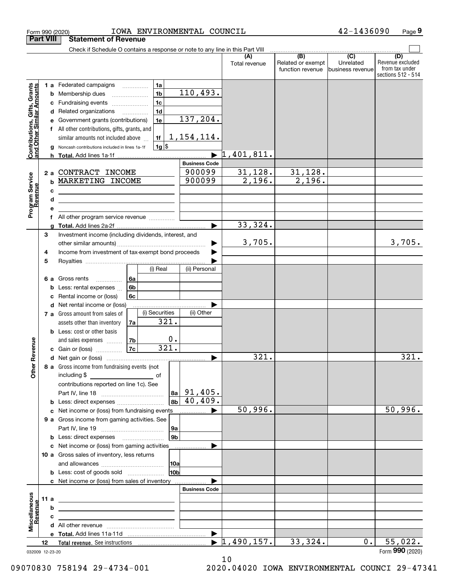|                                                           | <b>Part VIII</b> | <b>Statement of Revenue</b>                                                                                               |                      |                                  |                                       |                                                 |                                                                 |
|-----------------------------------------------------------|------------------|---------------------------------------------------------------------------------------------------------------------------|----------------------|----------------------------------|---------------------------------------|-------------------------------------------------|-----------------------------------------------------------------|
|                                                           |                  | Check if Schedule O contains a response or note to any line in this Part VIII                                             |                      |                                  | (B)                                   |                                                 |                                                                 |
|                                                           |                  |                                                                                                                           |                      | Total revenue                    | Related or exempt<br>function revenue | $\overline{C}$<br>Unrelated<br>business revenue | (D)<br>Revenue excluded<br>from tax under<br>sections 512 - 514 |
|                                                           |                  | 1a<br><b>1 a</b> Federated campaigns                                                                                      |                      |                                  |                                       |                                                 |                                                                 |
|                                                           |                  | 1 <sub>b</sub><br>Membership dues<br>b                                                                                    | 110,493.             |                                  |                                       |                                                 |                                                                 |
|                                                           |                  | 1 <sub>c</sub><br>Fundraising events<br>с                                                                                 |                      |                                  |                                       |                                                 |                                                                 |
|                                                           |                  | 1 <sub>d</sub><br>Related organizations<br>d<br>$\overline{\phantom{a}}$                                                  |                      |                                  |                                       |                                                 |                                                                 |
|                                                           |                  | 1e<br>Government grants (contributions)                                                                                   | 137, 204.            |                                  |                                       |                                                 |                                                                 |
|                                                           |                  | All other contributions, gifts, grants, and                                                                               |                      |                                  |                                       |                                                 |                                                                 |
|                                                           |                  | similar amounts not included above<br>1f                                                                                  | 1, 154, 114.         |                                  |                                       |                                                 |                                                                 |
| Contributions, Gifts, Grants<br>and Other Similar Amounts |                  | 1g  \$<br>Noncash contributions included in lines 1a-1f<br>a                                                              |                      |                                  |                                       |                                                 |                                                                 |
|                                                           |                  | h.                                                                                                                        |                      | 1,401,811.                       |                                       |                                                 |                                                                 |
|                                                           |                  |                                                                                                                           | <b>Business Code</b> |                                  |                                       |                                                 |                                                                 |
|                                                           | 2a               | CONTRACT INCOME                                                                                                           | 900099               | 31,128.                          | 31,128.                               |                                                 |                                                                 |
|                                                           |                  | MARKETING INCOME<br>b                                                                                                     | 900099               | 2,196.                           | 2,196.                                |                                                 |                                                                 |
|                                                           |                  | c                                                                                                                         |                      |                                  |                                       |                                                 |                                                                 |
|                                                           |                  | d<br><u> 1989 - Johann Stein, mars an deus an deus Amerikaanse komme</u>                                                  |                      |                                  |                                       |                                                 |                                                                 |
| Program Service<br>Revenue                                |                  | е<br>All other program service revenue<br>f                                                                               |                      |                                  |                                       |                                                 |                                                                 |
|                                                           |                  |                                                                                                                           |                      | 33,324.                          |                                       |                                                 |                                                                 |
|                                                           | 3                | Investment income (including dividends, interest, and                                                                     |                      |                                  |                                       |                                                 |                                                                 |
|                                                           |                  |                                                                                                                           |                      | 3,705.                           |                                       |                                                 | 3,705.                                                          |
|                                                           | 4                | Income from investment of tax-exempt bond proceeds                                                                        |                      |                                  |                                       |                                                 |                                                                 |
|                                                           | 5                |                                                                                                                           |                      |                                  |                                       |                                                 |                                                                 |
|                                                           |                  | (i) Real                                                                                                                  | (ii) Personal        |                                  |                                       |                                                 |                                                                 |
|                                                           | 6а               | Gross rents<br>6a                                                                                                         |                      |                                  |                                       |                                                 |                                                                 |
|                                                           |                  | 6 <sub>b</sub><br>Less: rental expenses<br>b                                                                              |                      |                                  |                                       |                                                 |                                                                 |
|                                                           |                  | Rental income or (loss)<br>6c<br>c                                                                                        |                      |                                  |                                       |                                                 |                                                                 |
|                                                           |                  | Net rental income or (loss)<br>d<br>(i) Securities                                                                        |                      |                                  |                                       |                                                 |                                                                 |
|                                                           |                  | 7 a Gross amount from sales of<br>$\overline{321}$ .                                                                      | (ii) Other           |                                  |                                       |                                                 |                                                                 |
|                                                           |                  | assets other than inventory<br>7a<br><b>b</b> Less: cost or other basis                                                   |                      |                                  |                                       |                                                 |                                                                 |
|                                                           |                  | 0.<br>and sales expenses<br>  7b                                                                                          |                      |                                  |                                       |                                                 |                                                                 |
| Revenue                                                   |                  | 321.<br>7c<br><b>c</b> Gain or (loss) $\ldots$                                                                            |                      |                                  |                                       |                                                 |                                                                 |
|                                                           |                  |                                                                                                                           |                      | 321.                             |                                       |                                                 | 321.                                                            |
|                                                           |                  | 8 a Gross income from fundraising events (not                                                                             |                      |                                  |                                       |                                                 |                                                                 |
| <b>Other</b>                                              |                  | including \$                                                                                                              |                      |                                  |                                       |                                                 |                                                                 |
|                                                           |                  | contributions reported on line 1c). See                                                                                   |                      |                                  |                                       |                                                 |                                                                 |
|                                                           |                  | 8a l                                                                                                                      | 91,405.              |                                  |                                       |                                                 |                                                                 |
|                                                           |                  | 8 <sub>b</sub><br><b>b</b> Less: direct expenses                                                                          | 40,409.              |                                  |                                       |                                                 |                                                                 |
|                                                           |                  | c Net income or (loss) from fundraising events                                                                            | .                    | 50,996.                          |                                       |                                                 | 50,996.                                                         |
|                                                           |                  | 9 a Gross income from gaming activities. See                                                                              |                      |                                  |                                       |                                                 |                                                                 |
|                                                           |                  | 9а                                                                                                                        |                      |                                  |                                       |                                                 |                                                                 |
|                                                           |                  | 9 <sub>b</sub><br><b>b</b> Less: direct expenses <b>manually</b>                                                          |                      |                                  |                                       |                                                 |                                                                 |
|                                                           |                  | c Net income or (loss) from gaming activities                                                                             |                      |                                  |                                       |                                                 |                                                                 |
|                                                           |                  | 10 a Gross sales of inventory, less returns                                                                               |                      |                                  |                                       |                                                 |                                                                 |
|                                                           |                  | 10a<br>10 <sub>b</sub><br><b>b</b> Less: cost of goods sold                                                               |                      |                                  |                                       |                                                 |                                                                 |
|                                                           |                  | c Net income or (loss) from sales of inventory                                                                            |                      |                                  |                                       |                                                 |                                                                 |
|                                                           |                  |                                                                                                                           | <b>Business Code</b> |                                  |                                       |                                                 |                                                                 |
|                                                           | 11 a             | <u> 1989 - Johann Stein, marwolaethau a bhann an t-Amhainn an t-Amhainn an t-Amhainn an t-Amhainn an t-Amhainn an</u>     |                      |                                  |                                       |                                                 |                                                                 |
|                                                           |                  | b                                                                                                                         |                      |                                  |                                       |                                                 |                                                                 |
| evenue                                                    |                  | с<br><u> 1980 - John Stein, mars and de Britain Born Stein, mars and de Britain Born Stein Born Stein Born Stein Born</u> |                      |                                  |                                       |                                                 |                                                                 |
| Miscellaneous                                             |                  |                                                                                                                           |                      |                                  |                                       |                                                 |                                                                 |
|                                                           |                  |                                                                                                                           |                      |                                  |                                       |                                                 |                                                                 |
|                                                           | 12               |                                                                                                                           |                      | $\blacktriangleright$ 1,490,157. | 33,324.                               | 0.                                              | 55,022.                                                         |
|                                                           | 032009 12-23-20  |                                                                                                                           |                      |                                  |                                       |                                                 | Form 990 (2020)                                                 |

Form 990 (2020) IOWA ENVIRONMENTAL COUNCIL 42-1436090 Page

**9**

032009 12-23-20

10 09070830 758194 29-4734-001 2020.04020 IOWA ENVIRONMENTAL COUNCI 29-47341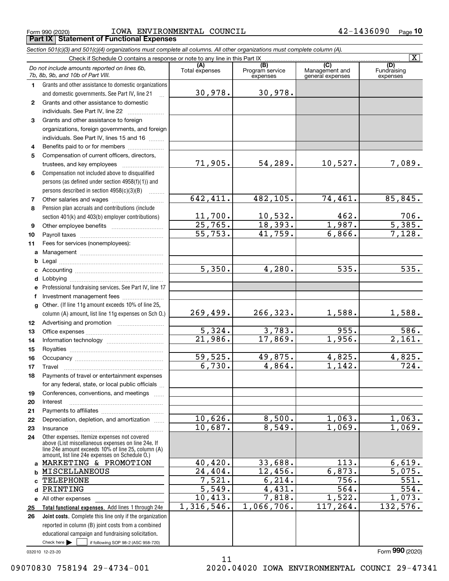$_{\rm Form}$   $_{990}$  (2020)  $_{\rm ^{20}$   $_{\rm 20}$   $_{\rm 200}$   $_{\rm 200}$   $_{\rm 200}$   $_{\rm 200}$   $_{\rm 200}$   $_{\rm 200}$   $_{\rm 200}$   $_{\rm 200}$ **Part IX Statement of Functional Expenses**

*Section 501(c)(3) and 501(c)(4) organizations must complete all columns. All other organizations must complete column (A).*

| $\lfloor x \rfloor$ |                                                                                                       |                       |                                    |                                                      |                                |  |  |  |
|---------------------|-------------------------------------------------------------------------------------------------------|-----------------------|------------------------------------|------------------------------------------------------|--------------------------------|--|--|--|
|                     | Do not include amounts reported on lines 6b,<br>7b, 8b, 9b, and 10b of Part VIII.                     | (A)<br>Total expenses | (B)<br>Program service<br>expenses | $\overline{C}$<br>Management and<br>general expenses | (D)<br>Fundraising<br>expenses |  |  |  |
| 1                   | Grants and other assistance to domestic organizations                                                 |                       |                                    |                                                      |                                |  |  |  |
|                     | and domestic governments. See Part IV, line 21                                                        | 30,978.               | 30,978.                            |                                                      |                                |  |  |  |
| $\mathbf{2}$        | Grants and other assistance to domestic                                                               |                       |                                    |                                                      |                                |  |  |  |
|                     | individuals. See Part IV, line 22                                                                     |                       |                                    |                                                      |                                |  |  |  |
| 3                   | Grants and other assistance to foreign                                                                |                       |                                    |                                                      |                                |  |  |  |
|                     | organizations, foreign governments, and foreign                                                       |                       |                                    |                                                      |                                |  |  |  |
|                     | individuals. See Part IV, lines 15 and 16                                                             |                       |                                    |                                                      |                                |  |  |  |
| 4                   | Benefits paid to or for members                                                                       |                       |                                    |                                                      |                                |  |  |  |
| 5                   | Compensation of current officers, directors,                                                          |                       |                                    |                                                      |                                |  |  |  |
|                     | trustees, and key employees                                                                           | 71,905.               | 54,289.                            | 10,527.                                              | 7,089.                         |  |  |  |
| 6                   | Compensation not included above to disqualified                                                       |                       |                                    |                                                      |                                |  |  |  |
|                     | persons (as defined under section 4958(f)(1)) and                                                     |                       |                                    |                                                      |                                |  |  |  |
|                     | persons described in section 4958(c)(3)(B)                                                            | 642, 411.             | 482, 105.                          | 74,461.                                              | 85,845.                        |  |  |  |
| 7<br>8              |                                                                                                       |                       |                                    |                                                      |                                |  |  |  |
|                     | Pension plan accruals and contributions (include<br>section 401(k) and 403(b) employer contributions) | 11,700.               | 10,532.                            | 462.                                                 | 706.                           |  |  |  |
| 9                   |                                                                                                       | $\overline{25,765}$ . | 18,393.                            | 1,987.                                               | $\overline{5,385.}$            |  |  |  |
| 10                  |                                                                                                       | $\overline{55,753}$ . | 41,759.                            | 6,866.                                               | 7,128.                         |  |  |  |
| 11                  | Fees for services (nonemployees):                                                                     |                       |                                    |                                                      |                                |  |  |  |
| a                   |                                                                                                       |                       |                                    |                                                      |                                |  |  |  |
| b                   |                                                                                                       |                       |                                    |                                                      |                                |  |  |  |
| с                   |                                                                                                       | 5,350.                | 4,280.                             | 535.                                                 | $\overline{535.}$              |  |  |  |
| d                   |                                                                                                       |                       |                                    |                                                      |                                |  |  |  |
| е                   | Professional fundraising services. See Part IV, line 17                                               |                       |                                    |                                                      |                                |  |  |  |
| f                   | Investment management fees                                                                            |                       |                                    |                                                      |                                |  |  |  |
| g                   | Other. (If line 11g amount exceeds 10% of line 25,                                                    |                       |                                    |                                                      |                                |  |  |  |
|                     | column (A) amount, list line 11g expenses on Sch O.)                                                  | 269,499.              | 266,323.                           | 1,588.                                               | 1,588.                         |  |  |  |
| 12                  |                                                                                                       |                       |                                    |                                                      |                                |  |  |  |
| 13                  |                                                                                                       | 5,324.                | 3,783.                             | 955.                                                 | 586.                           |  |  |  |
| 14                  |                                                                                                       | 21,986.               | 17,869.                            | 1,956.                                               | 2,161.                         |  |  |  |
| 15                  |                                                                                                       |                       |                                    |                                                      |                                |  |  |  |
| 16                  |                                                                                                       | 59,525.               | 49,875.                            | 4,825.                                               | 4,825.                         |  |  |  |
| 17                  | Travel                                                                                                | 6,730.                | 4,864.                             | 1,142.                                               | $\overline{724}$ .             |  |  |  |
| 18                  | Payments of travel or entertainment expenses                                                          |                       |                                    |                                                      |                                |  |  |  |
|                     | for any federal, state, or local public officials                                                     |                       |                                    |                                                      |                                |  |  |  |
| 19                  | Conferences, conventions, and meetings                                                                |                       |                                    |                                                      |                                |  |  |  |
| 20<br>21            | Interest                                                                                              |                       |                                    |                                                      |                                |  |  |  |
| 22                  | Depreciation, depletion, and amortization                                                             | 10,626.               | 8,500.                             | 1,063.                                               | 1,063.                         |  |  |  |
| 23                  | Insurance                                                                                             | 10,687.               | 8,549.                             | 1,069.                                               | 1,069.                         |  |  |  |
| 24                  | Other expenses. Itemize expenses not covered                                                          |                       |                                    |                                                      |                                |  |  |  |
|                     | above (List miscellaneous expenses on line 24e. If                                                    |                       |                                    |                                                      |                                |  |  |  |
|                     | line 24e amount exceeds 10% of line 25, column (A)<br>amount, list line 24e expenses on Schedule 0.)  |                       |                                    |                                                      |                                |  |  |  |
|                     | a MARKETING & PROMOTION                                                                               | 40,420.               | 33,688.                            | 113.                                                 | 6,619.                         |  |  |  |
| b                   | <b>MISCELLANEOUS</b>                                                                                  | 24, 404.              | 12,456.                            | 6,873.                                               | 5,075.                         |  |  |  |
| C.                  | <b>TELEPHONE</b>                                                                                      | 7,521.                | 6, 214.                            | 756.                                                 | $\overline{551}$ .             |  |  |  |
| d                   | PRINTING                                                                                              | $\overline{5,549}$ .  | 4,431.                             | $\overline{564}$ .                                   | $\overline{554}$ .             |  |  |  |
|                     | e All other expenses                                                                                  | 10,413.               | 7,818.                             | 1,522.                                               | 1,073.                         |  |  |  |
| 25                  | Total functional expenses. Add lines 1 through 24e                                                    | 1,316,546.            | 1,066,706.                         | 117, 264.                                            | 132,576.                       |  |  |  |
| 26                  | <b>Joint costs.</b> Complete this line only if the organization                                       |                       |                                    |                                                      |                                |  |  |  |
|                     | reported in column (B) joint costs from a combined                                                    |                       |                                    |                                                      |                                |  |  |  |
|                     | educational campaign and fundraising solicitation.                                                    |                       |                                    |                                                      |                                |  |  |  |
|                     | Check here $\blacktriangleright$<br>if following SOP 98-2 (ASC 958-720)                               |                       |                                    |                                                      |                                |  |  |  |

11

032010 12-23-20

Form (2020) **990**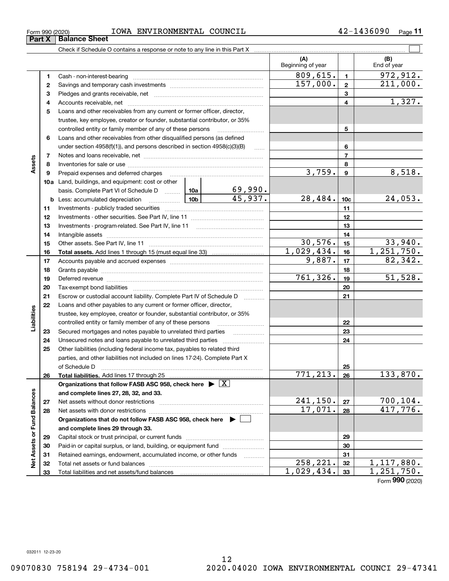| Form 990 (2020) | <b>IOWA</b><br>ENVIRONMENTAL<br>COUNCIL | $\sqrt{ }$<br>Page<br>~∠ |
|-----------------|-----------------------------------------|--------------------------|
|                 |                                         |                          |

|                             |    | Check if Schedule O contains a response or note to any line in this Part X                                                                                                                                                     |  |                         |                          |                 |                         |
|-----------------------------|----|--------------------------------------------------------------------------------------------------------------------------------------------------------------------------------------------------------------------------------|--|-------------------------|--------------------------|-----------------|-------------------------|
|                             |    |                                                                                                                                                                                                                                |  |                         | (A)<br>Beginning of year |                 | (B)<br>End of year      |
|                             | 1. |                                                                                                                                                                                                                                |  |                         | 809,615.                 | $\blacksquare$  | $\overline{972}$ , 912. |
|                             | 2  |                                                                                                                                                                                                                                |  |                         | 157,000.                 | $\mathbf{2}$    | 211,000.                |
|                             | з  |                                                                                                                                                                                                                                |  |                         |                          | 3               |                         |
|                             | 4  |                                                                                                                                                                                                                                |  |                         |                          | 4               | 1,327.                  |
|                             | 5  | Loans and other receivables from any current or former officer, director,                                                                                                                                                      |  |                         |                          |                 |                         |
|                             |    | trustee, key employee, creator or founder, substantial contributor, or 35%                                                                                                                                                     |  |                         |                          |                 |                         |
|                             |    | controlled entity or family member of any of these persons                                                                                                                                                                     |  |                         |                          | 5               |                         |
|                             | 6  | Loans and other receivables from other disqualified persons (as defined                                                                                                                                                        |  |                         |                          |                 |                         |
|                             |    | under section 4958(f)(1)), and persons described in section 4958(c)(3)(B)                                                                                                                                                      |  | $\ldots$                |                          | 6               |                         |
|                             | 7  |                                                                                                                                                                                                                                |  |                         |                          | 7               |                         |
| Assets                      | 8  |                                                                                                                                                                                                                                |  |                         |                          | 8               |                         |
|                             | 9  |                                                                                                                                                                                                                                |  |                         | 3,759.                   | 9               | 8,518.                  |
|                             |    | <b>10a</b> Land, buildings, and equipment: cost or other                                                                                                                                                                       |  |                         |                          |                 |                         |
|                             |    | basis. Complete Part VI of Schedule D  10a                                                                                                                                                                                     |  |                         |                          |                 |                         |
|                             |    |                                                                                                                                                                                                                                |  | $\frac{69,990}{45,937}$ | 28,484.                  | 10 <sub>c</sub> | 24,053.                 |
|                             | 11 |                                                                                                                                                                                                                                |  |                         |                          | 11              |                         |
|                             | 12 |                                                                                                                                                                                                                                |  |                         |                          | 12              |                         |
|                             | 13 |                                                                                                                                                                                                                                |  |                         |                          | 13              |                         |
|                             | 14 |                                                                                                                                                                                                                                |  |                         |                          | 14              |                         |
|                             | 15 |                                                                                                                                                                                                                                |  | 30,576.                 | 15                       | 33,940.         |                         |
|                             | 16 |                                                                                                                                                                                                                                |  |                         | 1,029,434.               | 16              | 1,251,750.              |
|                             | 17 |                                                                                                                                                                                                                                |  |                         | $\overline{9}$ , 887.    | 17              | 82,342.                 |
|                             | 18 |                                                                                                                                                                                                                                |  |                         | 18                       |                 |                         |
|                             | 19 | Deferred revenue manual contracts and contracts are all the manual contracts and contracts are contracted and contracts are contracted and contract are contracted and contract are contracted and contract are contracted and |  | 761, 326.               | 19                       | 51,528.         |                         |
|                             | 20 |                                                                                                                                                                                                                                |  |                         |                          | 20              |                         |
|                             | 21 | Escrow or custodial account liability. Complete Part IV of Schedule D                                                                                                                                                          |  |                         |                          | 21              |                         |
|                             | 22 | Loans and other payables to any current or former officer, director,                                                                                                                                                           |  |                         |                          |                 |                         |
| Liabilities                 |    | trustee, key employee, creator or founder, substantial contributor, or 35%                                                                                                                                                     |  |                         |                          |                 |                         |
|                             |    | controlled entity or family member of any of these persons                                                                                                                                                                     |  |                         |                          | 22              |                         |
|                             | 23 |                                                                                                                                                                                                                                |  |                         |                          | 23              |                         |
|                             | 24 |                                                                                                                                                                                                                                |  |                         |                          | 24              |                         |
|                             | 25 | Other liabilities (including federal income tax, payables to related third                                                                                                                                                     |  |                         |                          |                 |                         |
|                             |    | parties, and other liabilities not included on lines 17-24). Complete Part X                                                                                                                                                   |  |                         |                          |                 |                         |
|                             |    | of Schedule D                                                                                                                                                                                                                  |  |                         |                          | 25              |                         |
|                             | 26 | Total liabilities. Add lines 17 through 25                                                                                                                                                                                     |  |                         | 771, 213.                | 26              | 133,870.                |
|                             |    | Organizations that follow FASB ASC 958, check here $\blacktriangleright \boxed{X}$                                                                                                                                             |  |                         |                          |                 |                         |
|                             |    | and complete lines 27, 28, 32, and 33.                                                                                                                                                                                         |  |                         |                          |                 |                         |
|                             | 27 |                                                                                                                                                                                                                                |  |                         | 241,150.                 | 27              | <u>700,104.</u>         |
|                             | 28 |                                                                                                                                                                                                                                |  |                         | 17,071.                  | 28              | 417,776.                |
|                             |    | Organizations that do not follow FASB ASC 958, check here $\blacktriangleright$                                                                                                                                                |  |                         |                          |                 |                         |
|                             |    | and complete lines 29 through 33.                                                                                                                                                                                              |  |                         |                          |                 |                         |
|                             | 29 |                                                                                                                                                                                                                                |  |                         |                          | 29              |                         |
|                             | 30 | Paid-in or capital surplus, or land, building, or equipment fund                                                                                                                                                               |  |                         |                          | 30              |                         |
| Net Assets or Fund Balances | 31 | Retained earnings, endowment, accumulated income, or other funds                                                                                                                                                               |  |                         |                          | 31              |                         |
|                             | 32 | Total net assets or fund balances                                                                                                                                                                                              |  |                         | 258,221.                 | 32              | $1,117,880$ .           |
|                             | 33 |                                                                                                                                                                                                                                |  |                         | 1,029,434.               | 33              | $\overline{1,251},750.$ |
|                             |    |                                                                                                                                                                                                                                |  |                         |                          |                 | Form 990 (2020)         |

**Part X Balance Sheet**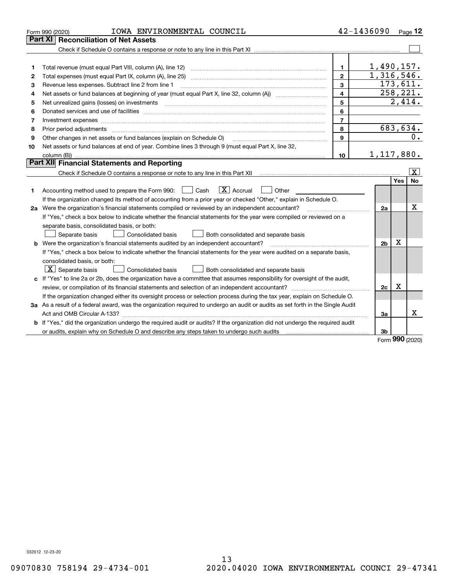|    | IOWA ENVIRONMENTAL COUNCIL<br>Form 990 (2020)                                                                                        |                | 42-1436090     |     | Page 12            |
|----|--------------------------------------------------------------------------------------------------------------------------------------|----------------|----------------|-----|--------------------|
|    | Part XI<br><b>Reconciliation of Net Assets</b>                                                                                       |                |                |     |                    |
|    |                                                                                                                                      |                |                |     |                    |
|    |                                                                                                                                      |                |                |     |                    |
| 1  |                                                                                                                                      | 1.             | 1,490,157.     |     |                    |
| 2  | Total expenses (must equal Part IX, column (A), line 25)                                                                             | $\mathbf{2}$   | 1,316,546.     |     |                    |
| 3  | Revenue less expenses. Subtract line 2 from line 1                                                                                   | 3              |                |     | 173,611.           |
| 4  |                                                                                                                                      | 4              |                |     | 258, 221.          |
| 5  | Net unrealized gains (losses) on investments                                                                                         | 5              |                |     | 2,414.             |
| 6  |                                                                                                                                      | 6              |                |     |                    |
| 7  | Investment expenses                                                                                                                  | $\overline{7}$ |                |     |                    |
| 8  | Prior period adjustments                                                                                                             | 8              |                |     | 683,634.           |
| 9  | Other changes in net assets or fund balances (explain on Schedule O)                                                                 | $\mathbf{9}$   |                |     | 0.                 |
| 10 | Net assets or fund balances at end of year. Combine lines 3 through 9 (must equal Part X, line 32,                                   |                |                |     |                    |
|    |                                                                                                                                      | 10             | 1,117,880.     |     |                    |
|    | Part XII Financial Statements and Reporting                                                                                          |                |                |     |                    |
|    |                                                                                                                                      |                |                |     | $\boxed{\text{X}}$ |
|    |                                                                                                                                      |                |                | Yes | <b>No</b>          |
| 1  | $\boxed{\text{X}}$ Accrual<br>Accounting method used to prepare the Form 990: <u>[</u> Cash<br>Other                                 |                |                |     |                    |
|    | If the organization changed its method of accounting from a prior year or checked "Other," explain in Schedule O.                    |                |                |     |                    |
|    | 2a Were the organization's financial statements compiled or reviewed by an independent accountant?                                   |                | 2a             |     | X                  |
|    | If "Yes," check a box below to indicate whether the financial statements for the year were compiled or reviewed on a                 |                |                |     |                    |
|    | separate basis, consolidated basis, or both:                                                                                         |                |                |     |                    |
|    | Both consolidated and separate basis<br>Separate basis<br>Consolidated basis                                                         |                |                |     |                    |
|    | <b>b</b> Were the organization's financial statements audited by an independent accountant?                                          |                | 2 <sub>b</sub> | х   |                    |
|    | If "Yes," check a box below to indicate whether the financial statements for the year were audited on a separate basis,              |                |                |     |                    |
|    | consolidated basis, or both:                                                                                                         |                |                |     |                    |
|    | $\lfloor x \rfloor$ Separate basis<br><b>Consolidated basis</b><br>Both consolidated and separate basis                              |                |                |     |                    |
|    | c If "Yes" to line 2a or 2b, does the organization have a committee that assumes responsibility for oversight of the audit,          |                |                |     |                    |
|    |                                                                                                                                      |                | 2c             | x   |                    |
|    | If the organization changed either its oversight process or selection process during the tax year, explain on Schedule O.            |                |                |     |                    |
|    | 3a As a result of a federal award, was the organization required to undergo an audit or audits as set forth in the Single Audit      |                |                |     |                    |
|    |                                                                                                                                      |                | 3a             |     | Χ                  |
|    | <b>b</b> If "Yes," did the organization undergo the required audit or audits? If the organization did not undergo the required audit |                |                |     |                    |
|    |                                                                                                                                      |                | 3b             |     |                    |

Form (2020) **990**

032012 12-23-20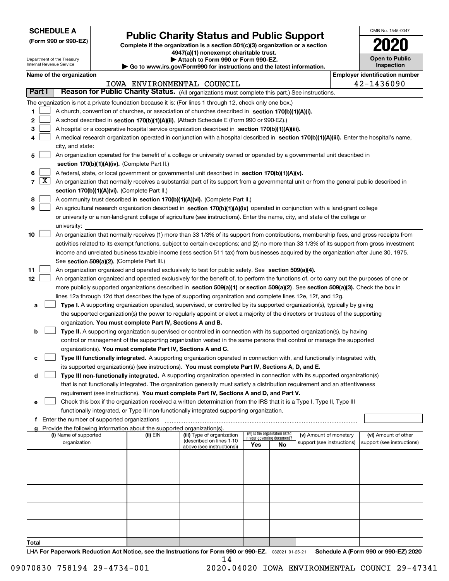| <b>SCHEDULE A</b> |
|-------------------|
|-------------------|

Department of the Treasury Internal Revenue Service

**(Form 990 or 990-EZ)**

### **Public Charity Status and Public Support**

**Complete if the organization is a section 501(c)(3) organization or a section 4947(a)(1) nonexempt charitable trust.**

| Attach to Form 990 or Form 990-EZ.                                       |  |
|--------------------------------------------------------------------------|--|
| ► Go to www.irs.gov/Form990 for instructions and the latest information. |  |

| OMB No. 1545-0047                   |
|-------------------------------------|
| 2020                                |
| <b>Open to Public</b><br>Inspection |

| Name of the organization | Employer identification number |
|--------------------------|--------------------------------|
|--------------------------|--------------------------------|

| bloyer identification numb |  |            |  |
|----------------------------|--|------------|--|
|                            |  | 12-1136090 |  |

|        |            |                                                                                                                                              |          | IOWA ENVIRONMENTAL COUNCIL |     |                                   |                            |  | 42-1436090                 |  |
|--------|------------|----------------------------------------------------------------------------------------------------------------------------------------------|----------|----------------------------|-----|-----------------------------------|----------------------------|--|----------------------------|--|
| Part I |            | Reason for Public Charity Status. (All organizations must complete this part.) See instructions.                                             |          |                            |     |                                   |                            |  |                            |  |
|        |            | The organization is not a private foundation because it is: (For lines 1 through 12, check only one box.)                                    |          |                            |     |                                   |                            |  |                            |  |
| 1.     |            | A church, convention of churches, or association of churches described in section 170(b)(1)(A)(i).                                           |          |                            |     |                                   |                            |  |                            |  |
| 2      |            | A school described in section 170(b)(1)(A)(ii). (Attach Schedule E (Form 990 or 990-EZ).)                                                    |          |                            |     |                                   |                            |  |                            |  |
| 3      |            | A hospital or a cooperative hospital service organization described in section 170(b)(1)(A)(iii).                                            |          |                            |     |                                   |                            |  |                            |  |
| 4      |            | A medical research organization operated in conjunction with a hospital described in section 170(b)(1)(A)(iii). Enter the hospital's name,   |          |                            |     |                                   |                            |  |                            |  |
|        |            | city, and state:                                                                                                                             |          |                            |     |                                   |                            |  |                            |  |
| 5      |            | An organization operated for the benefit of a college or university owned or operated by a governmental unit described in                    |          |                            |     |                                   |                            |  |                            |  |
|        |            | section 170(b)(1)(A)(iv). (Complete Part II.)                                                                                                |          |                            |     |                                   |                            |  |                            |  |
| 6      |            | A federal, state, or local government or governmental unit described in section 170(b)(1)(A)(v).                                             |          |                            |     |                                   |                            |  |                            |  |
|        | $7 \times$ | An organization that normally receives a substantial part of its support from a governmental unit or from the general public described in    |          |                            |     |                                   |                            |  |                            |  |
|        |            | section 170(b)(1)(A)(vi). (Complete Part II.)                                                                                                |          |                            |     |                                   |                            |  |                            |  |
| 8      |            | A community trust described in section 170(b)(1)(A)(vi). (Complete Part II.)                                                                 |          |                            |     |                                   |                            |  |                            |  |
| 9      |            | An agricultural research organization described in section 170(b)(1)(A)(ix) operated in conjunction with a land-grant college                |          |                            |     |                                   |                            |  |                            |  |
|        |            | or university or a non-land-grant college of agriculture (see instructions). Enter the name, city, and state of the college or               |          |                            |     |                                   |                            |  |                            |  |
|        |            | university:                                                                                                                                  |          |                            |     |                                   |                            |  |                            |  |
| 10     |            | An organization that normally receives (1) more than 33 1/3% of its support from contributions, membership fees, and gross receipts from     |          |                            |     |                                   |                            |  |                            |  |
|        |            | activities related to its exempt functions, subject to certain exceptions; and (2) no more than 33 1/3% of its support from gross investment |          |                            |     |                                   |                            |  |                            |  |
|        |            | income and unrelated business taxable income (less section 511 tax) from businesses acquired by the organization after June 30, 1975.        |          |                            |     |                                   |                            |  |                            |  |
|        |            | See section 509(a)(2). (Complete Part III.)                                                                                                  |          |                            |     |                                   |                            |  |                            |  |
| 11     |            | An organization organized and operated exclusively to test for public safety. See section 509(a)(4).                                         |          |                            |     |                                   |                            |  |                            |  |
| 12     |            | An organization organized and operated exclusively for the benefit of, to perform the functions of, or to carry out the purposes of one or   |          |                            |     |                                   |                            |  |                            |  |
|        |            | more publicly supported organizations described in section 509(a)(1) or section 509(a)(2). See section 509(a)(3). Check the box in           |          |                            |     |                                   |                            |  |                            |  |
|        |            | lines 12a through 12d that describes the type of supporting organization and complete lines 12e, 12f, and 12g.                               |          |                            |     |                                   |                            |  |                            |  |
| а      |            | Type I. A supporting organization operated, supervised, or controlled by its supported organization(s), typically by giving                  |          |                            |     |                                   |                            |  |                            |  |
|        |            | the supported organization(s) the power to regularly appoint or elect a majority of the directors or trustees of the supporting              |          |                            |     |                                   |                            |  |                            |  |
|        |            | organization. You must complete Part IV, Sections A and B.                                                                                   |          |                            |     |                                   |                            |  |                            |  |
| b      |            | Type II. A supporting organization supervised or controlled in connection with its supported organization(s), by having                      |          |                            |     |                                   |                            |  |                            |  |
|        |            | control or management of the supporting organization vested in the same persons that control or manage the supported                         |          |                            |     |                                   |                            |  |                            |  |
|        |            | organization(s). You must complete Part IV, Sections A and C.                                                                                |          |                            |     |                                   |                            |  |                            |  |
| с      |            | Type III functionally integrated. A supporting organization operated in connection with, and functionally integrated with,                   |          |                            |     |                                   |                            |  |                            |  |
|        |            | its supported organization(s) (see instructions). You must complete Part IV, Sections A, D, and E.                                           |          |                            |     |                                   |                            |  |                            |  |
| d      |            | Type III non-functionally integrated. A supporting organization operated in connection with its supported organization(s)                    |          |                            |     |                                   |                            |  |                            |  |
|        |            | that is not functionally integrated. The organization generally must satisfy a distribution requirement and an attentiveness                 |          |                            |     |                                   |                            |  |                            |  |
|        |            | requirement (see instructions). You must complete Part IV, Sections A and D, and Part V.                                                     |          |                            |     |                                   |                            |  |                            |  |
| е      |            | Check this box if the organization received a written determination from the IRS that it is a Type I, Type II, Type III                      |          |                            |     |                                   |                            |  |                            |  |
|        |            | functionally integrated, or Type III non-functionally integrated supporting organization.<br>f Enter the number of supported organizations   |          |                            |     |                                   |                            |  |                            |  |
|        |            | Provide the following information about the supported organization(s).                                                                       |          |                            |     |                                   |                            |  |                            |  |
|        |            | (i) Name of supported                                                                                                                        | (ii) EIN | (iii) Type of organization |     | (iv) Is the organization listed   | (v) Amount of monetary     |  | (vi) Amount of other       |  |
|        |            | organization                                                                                                                                 |          | (described on lines 1-10   | Yes | in your governing document?<br>No | support (see instructions) |  | support (see instructions) |  |
|        |            |                                                                                                                                              |          | above (see instructions))  |     |                                   |                            |  |                            |  |
|        |            |                                                                                                                                              |          |                            |     |                                   |                            |  |                            |  |
|        |            |                                                                                                                                              |          |                            |     |                                   |                            |  |                            |  |
|        |            |                                                                                                                                              |          |                            |     |                                   |                            |  |                            |  |
|        |            |                                                                                                                                              |          |                            |     |                                   |                            |  |                            |  |
|        |            |                                                                                                                                              |          |                            |     |                                   |                            |  |                            |  |
|        |            |                                                                                                                                              |          |                            |     |                                   |                            |  |                            |  |
|        |            |                                                                                                                                              |          |                            |     |                                   |                            |  |                            |  |
|        |            |                                                                                                                                              |          |                            |     |                                   |                            |  |                            |  |
|        |            |                                                                                                                                              |          |                            |     |                                   |                            |  |                            |  |
| Total  |            |                                                                                                                                              |          |                            |     |                                   |                            |  |                            |  |

LHA For Paperwork Reduction Act Notice, see the Instructions for Form 990 or 990-EZ. <sub>032021</sub> o1-25-21 Schedule A (Form 990 or 990-EZ) 2020 14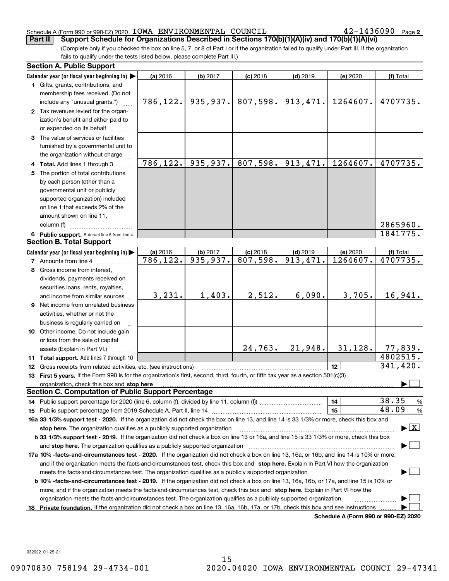#### Schedule A (Form 990 or 990-EZ) 2020 Page IOWA ENVIRONMENTAL COUNCIL 42-1436090

 $42 - 1436090$  Page 2

(Complete only if you checked the box on line 5, 7, or 8 of Part I or if the organization failed to qualify under Part III. If the organization fails to qualify under the tests listed below, please complete Part III.) **Part II** Support Schedule for Organizations Described in Sections 170(b)(1)(A)(iv) and 170(b)(1)(A)(vi)

| Calendar year (or fiscal year beginning in)<br>(a) 2016<br>$(d)$ 2019<br>(b) 2017<br>$(c)$ 2018<br>(e) 2020<br>(f) Total<br>1 Gifts, grants, contributions, and<br>membership fees received. (Do not<br>935, 937.<br>807,598.<br>913, 471.<br>1264607.<br>4707735.<br>786, 122.<br>include any "unusual grants.")<br>2 Tax revenues levied for the organ-<br>ization's benefit and either paid to<br>or expended on its behalf<br>3 The value of services or facilities<br>furnished by a governmental unit to<br>the organization without charge<br>786, 122.<br>935,937.<br>807,598.<br>913,471.<br>1264607.<br>4707735.<br>4 Total. Add lines 1 through 3<br>The portion of total contributions<br>5.<br>by each person (other than a<br>governmental unit or publicly<br>supported organization) included<br>on line 1 that exceeds 2% of the<br>amount shown on line 11,<br>2865960.<br>column (f)<br>1841775.<br>6 Public support. Subtract line 5 from line 4.<br><b>Section B. Total Support</b><br>Calendar year (or fiscal year beginning in)<br>(a) 2016<br>$(c)$ 2018<br>$(d)$ 2019<br>(e) 2020<br>(b) 2017<br>(f) Total<br>$\overline{935,937}$ .<br>807,598.<br>913,471.<br>1264607.<br>$\overline{786}$ , 122.<br>4707735.<br><b>7</b> Amounts from line 4<br>8 Gross income from interest,<br>dividends, payments received on<br>securities loans, rents, royalties,<br>1,403.<br>6,090.<br>3,705.<br>16,941.<br>3,231.<br>2,512.<br>and income from similar sources<br>9 Net income from unrelated business<br>activities, whether or not the<br>business is regularly carried on<br>10 Other income. Do not include gain<br>or loss from the sale of capital<br>24,763.<br>21,948.<br>31, 128.<br>77,839.<br>assets (Explain in Part VI.)<br>4802515.<br>11 Total support. Add lines 7 through 10<br>341,420.<br>12<br>12 Gross receipts from related activities, etc. (see instructions)<br>13 First 5 years. If the Form 990 is for the organization's first, second, third, fourth, or fifth tax year as a section 501(c)(3)<br>organization, check this box and stop here<br><b>Section C. Computation of Public Support Percentage</b><br>38.35<br>14<br>%<br>48.09<br>15<br>$\%$<br>16a 33 1/3% support test - 2020. If the organization did not check the box on line 13, and line 14 is 33 1/3% or more, check this box and<br>$\blacktriangleright$ $\boxed{\text{X}}$<br>stop here. The organization qualifies as a publicly supported organization<br>b 33 1/3% support test - 2019. If the organization did not check a box on line 13 or 16a, and line 15 is 33 1/3% or more, check this box<br>and stop here. The organization qualifies as a publicly supported organization<br>17a 10% -facts-and-circumstances test - 2020. If the organization did not check a box on line 13, 16a, or 16b, and line 14 is 10% or more,<br>and if the organization meets the facts-and-circumstances test, check this box and stop here. Explain in Part VI how the organization<br>meets the facts-and-circumstances test. The organization qualifies as a publicly supported organization<br><b>b 10% -facts-and-circumstances test - 2019.</b> If the organization did not check a box on line 13, 16a, 16b, or 17a, and line 15 is 10% or<br>more, and if the organization meets the facts-and-circumstances test, check this box and stop here. Explain in Part VI how the | <b>Section A. Public Support</b> |  |  |  |
|-----------------------------------------------------------------------------------------------------------------------------------------------------------------------------------------------------------------------------------------------------------------------------------------------------------------------------------------------------------------------------------------------------------------------------------------------------------------------------------------------------------------------------------------------------------------------------------------------------------------------------------------------------------------------------------------------------------------------------------------------------------------------------------------------------------------------------------------------------------------------------------------------------------------------------------------------------------------------------------------------------------------------------------------------------------------------------------------------------------------------------------------------------------------------------------------------------------------------------------------------------------------------------------------------------------------------------------------------------------------------------------------------------------------------------------------------------------------------------------------------------------------------------------------------------------------------------------------------------------------------------------------------------------------------------------------------------------------------------------------------------------------------------------------------------------------------------------------------------------------------------------------------------------------------------------------------------------------------------------------------------------------------------------------------------------------------------------------------------------------------------------------------------------------------------------------------------------------------------------------------------------------------------------------------------------------------------------------------------------------------------------------------------------------------------------------------------------------------------------------------------------------------------------------------------------------------------------------------------------------------------------------------------------------------------------------------------------------------------------------------------------------------------------------------------------------------------------------------------------------------------------------------------------------------------------------------------------------------------------------------------------------------------------------------------------------------------------------------------------------------------------------------------------------------------------------------------------------------------------------------------------------------------------------------------------------------------------------------------------------------------------------------------|----------------------------------|--|--|--|
|                                                                                                                                                                                                                                                                                                                                                                                                                                                                                                                                                                                                                                                                                                                                                                                                                                                                                                                                                                                                                                                                                                                                                                                                                                                                                                                                                                                                                                                                                                                                                                                                                                                                                                                                                                                                                                                                                                                                                                                                                                                                                                                                                                                                                                                                                                                                                                                                                                                                                                                                                                                                                                                                                                                                                                                                                                                                                                                                                                                                                                                                                                                                                                                                                                                                                                                                                                                                     |                                  |  |  |  |
|                                                                                                                                                                                                                                                                                                                                                                                                                                                                                                                                                                                                                                                                                                                                                                                                                                                                                                                                                                                                                                                                                                                                                                                                                                                                                                                                                                                                                                                                                                                                                                                                                                                                                                                                                                                                                                                                                                                                                                                                                                                                                                                                                                                                                                                                                                                                                                                                                                                                                                                                                                                                                                                                                                                                                                                                                                                                                                                                                                                                                                                                                                                                                                                                                                                                                                                                                                                                     |                                  |  |  |  |
|                                                                                                                                                                                                                                                                                                                                                                                                                                                                                                                                                                                                                                                                                                                                                                                                                                                                                                                                                                                                                                                                                                                                                                                                                                                                                                                                                                                                                                                                                                                                                                                                                                                                                                                                                                                                                                                                                                                                                                                                                                                                                                                                                                                                                                                                                                                                                                                                                                                                                                                                                                                                                                                                                                                                                                                                                                                                                                                                                                                                                                                                                                                                                                                                                                                                                                                                                                                                     |                                  |  |  |  |
|                                                                                                                                                                                                                                                                                                                                                                                                                                                                                                                                                                                                                                                                                                                                                                                                                                                                                                                                                                                                                                                                                                                                                                                                                                                                                                                                                                                                                                                                                                                                                                                                                                                                                                                                                                                                                                                                                                                                                                                                                                                                                                                                                                                                                                                                                                                                                                                                                                                                                                                                                                                                                                                                                                                                                                                                                                                                                                                                                                                                                                                                                                                                                                                                                                                                                                                                                                                                     |                                  |  |  |  |
|                                                                                                                                                                                                                                                                                                                                                                                                                                                                                                                                                                                                                                                                                                                                                                                                                                                                                                                                                                                                                                                                                                                                                                                                                                                                                                                                                                                                                                                                                                                                                                                                                                                                                                                                                                                                                                                                                                                                                                                                                                                                                                                                                                                                                                                                                                                                                                                                                                                                                                                                                                                                                                                                                                                                                                                                                                                                                                                                                                                                                                                                                                                                                                                                                                                                                                                                                                                                     |                                  |  |  |  |
|                                                                                                                                                                                                                                                                                                                                                                                                                                                                                                                                                                                                                                                                                                                                                                                                                                                                                                                                                                                                                                                                                                                                                                                                                                                                                                                                                                                                                                                                                                                                                                                                                                                                                                                                                                                                                                                                                                                                                                                                                                                                                                                                                                                                                                                                                                                                                                                                                                                                                                                                                                                                                                                                                                                                                                                                                                                                                                                                                                                                                                                                                                                                                                                                                                                                                                                                                                                                     |                                  |  |  |  |
|                                                                                                                                                                                                                                                                                                                                                                                                                                                                                                                                                                                                                                                                                                                                                                                                                                                                                                                                                                                                                                                                                                                                                                                                                                                                                                                                                                                                                                                                                                                                                                                                                                                                                                                                                                                                                                                                                                                                                                                                                                                                                                                                                                                                                                                                                                                                                                                                                                                                                                                                                                                                                                                                                                                                                                                                                                                                                                                                                                                                                                                                                                                                                                                                                                                                                                                                                                                                     |                                  |  |  |  |
|                                                                                                                                                                                                                                                                                                                                                                                                                                                                                                                                                                                                                                                                                                                                                                                                                                                                                                                                                                                                                                                                                                                                                                                                                                                                                                                                                                                                                                                                                                                                                                                                                                                                                                                                                                                                                                                                                                                                                                                                                                                                                                                                                                                                                                                                                                                                                                                                                                                                                                                                                                                                                                                                                                                                                                                                                                                                                                                                                                                                                                                                                                                                                                                                                                                                                                                                                                                                     |                                  |  |  |  |
|                                                                                                                                                                                                                                                                                                                                                                                                                                                                                                                                                                                                                                                                                                                                                                                                                                                                                                                                                                                                                                                                                                                                                                                                                                                                                                                                                                                                                                                                                                                                                                                                                                                                                                                                                                                                                                                                                                                                                                                                                                                                                                                                                                                                                                                                                                                                                                                                                                                                                                                                                                                                                                                                                                                                                                                                                                                                                                                                                                                                                                                                                                                                                                                                                                                                                                                                                                                                     |                                  |  |  |  |
|                                                                                                                                                                                                                                                                                                                                                                                                                                                                                                                                                                                                                                                                                                                                                                                                                                                                                                                                                                                                                                                                                                                                                                                                                                                                                                                                                                                                                                                                                                                                                                                                                                                                                                                                                                                                                                                                                                                                                                                                                                                                                                                                                                                                                                                                                                                                                                                                                                                                                                                                                                                                                                                                                                                                                                                                                                                                                                                                                                                                                                                                                                                                                                                                                                                                                                                                                                                                     |                                  |  |  |  |
|                                                                                                                                                                                                                                                                                                                                                                                                                                                                                                                                                                                                                                                                                                                                                                                                                                                                                                                                                                                                                                                                                                                                                                                                                                                                                                                                                                                                                                                                                                                                                                                                                                                                                                                                                                                                                                                                                                                                                                                                                                                                                                                                                                                                                                                                                                                                                                                                                                                                                                                                                                                                                                                                                                                                                                                                                                                                                                                                                                                                                                                                                                                                                                                                                                                                                                                                                                                                     |                                  |  |  |  |
|                                                                                                                                                                                                                                                                                                                                                                                                                                                                                                                                                                                                                                                                                                                                                                                                                                                                                                                                                                                                                                                                                                                                                                                                                                                                                                                                                                                                                                                                                                                                                                                                                                                                                                                                                                                                                                                                                                                                                                                                                                                                                                                                                                                                                                                                                                                                                                                                                                                                                                                                                                                                                                                                                                                                                                                                                                                                                                                                                                                                                                                                                                                                                                                                                                                                                                                                                                                                     |                                  |  |  |  |
|                                                                                                                                                                                                                                                                                                                                                                                                                                                                                                                                                                                                                                                                                                                                                                                                                                                                                                                                                                                                                                                                                                                                                                                                                                                                                                                                                                                                                                                                                                                                                                                                                                                                                                                                                                                                                                                                                                                                                                                                                                                                                                                                                                                                                                                                                                                                                                                                                                                                                                                                                                                                                                                                                                                                                                                                                                                                                                                                                                                                                                                                                                                                                                                                                                                                                                                                                                                                     |                                  |  |  |  |
|                                                                                                                                                                                                                                                                                                                                                                                                                                                                                                                                                                                                                                                                                                                                                                                                                                                                                                                                                                                                                                                                                                                                                                                                                                                                                                                                                                                                                                                                                                                                                                                                                                                                                                                                                                                                                                                                                                                                                                                                                                                                                                                                                                                                                                                                                                                                                                                                                                                                                                                                                                                                                                                                                                                                                                                                                                                                                                                                                                                                                                                                                                                                                                                                                                                                                                                                                                                                     |                                  |  |  |  |
|                                                                                                                                                                                                                                                                                                                                                                                                                                                                                                                                                                                                                                                                                                                                                                                                                                                                                                                                                                                                                                                                                                                                                                                                                                                                                                                                                                                                                                                                                                                                                                                                                                                                                                                                                                                                                                                                                                                                                                                                                                                                                                                                                                                                                                                                                                                                                                                                                                                                                                                                                                                                                                                                                                                                                                                                                                                                                                                                                                                                                                                                                                                                                                                                                                                                                                                                                                                                     |                                  |  |  |  |
|                                                                                                                                                                                                                                                                                                                                                                                                                                                                                                                                                                                                                                                                                                                                                                                                                                                                                                                                                                                                                                                                                                                                                                                                                                                                                                                                                                                                                                                                                                                                                                                                                                                                                                                                                                                                                                                                                                                                                                                                                                                                                                                                                                                                                                                                                                                                                                                                                                                                                                                                                                                                                                                                                                                                                                                                                                                                                                                                                                                                                                                                                                                                                                                                                                                                                                                                                                                                     |                                  |  |  |  |
|                                                                                                                                                                                                                                                                                                                                                                                                                                                                                                                                                                                                                                                                                                                                                                                                                                                                                                                                                                                                                                                                                                                                                                                                                                                                                                                                                                                                                                                                                                                                                                                                                                                                                                                                                                                                                                                                                                                                                                                                                                                                                                                                                                                                                                                                                                                                                                                                                                                                                                                                                                                                                                                                                                                                                                                                                                                                                                                                                                                                                                                                                                                                                                                                                                                                                                                                                                                                     |                                  |  |  |  |
|                                                                                                                                                                                                                                                                                                                                                                                                                                                                                                                                                                                                                                                                                                                                                                                                                                                                                                                                                                                                                                                                                                                                                                                                                                                                                                                                                                                                                                                                                                                                                                                                                                                                                                                                                                                                                                                                                                                                                                                                                                                                                                                                                                                                                                                                                                                                                                                                                                                                                                                                                                                                                                                                                                                                                                                                                                                                                                                                                                                                                                                                                                                                                                                                                                                                                                                                                                                                     |                                  |  |  |  |
|                                                                                                                                                                                                                                                                                                                                                                                                                                                                                                                                                                                                                                                                                                                                                                                                                                                                                                                                                                                                                                                                                                                                                                                                                                                                                                                                                                                                                                                                                                                                                                                                                                                                                                                                                                                                                                                                                                                                                                                                                                                                                                                                                                                                                                                                                                                                                                                                                                                                                                                                                                                                                                                                                                                                                                                                                                                                                                                                                                                                                                                                                                                                                                                                                                                                                                                                                                                                     |                                  |  |  |  |
|                                                                                                                                                                                                                                                                                                                                                                                                                                                                                                                                                                                                                                                                                                                                                                                                                                                                                                                                                                                                                                                                                                                                                                                                                                                                                                                                                                                                                                                                                                                                                                                                                                                                                                                                                                                                                                                                                                                                                                                                                                                                                                                                                                                                                                                                                                                                                                                                                                                                                                                                                                                                                                                                                                                                                                                                                                                                                                                                                                                                                                                                                                                                                                                                                                                                                                                                                                                                     |                                  |  |  |  |
|                                                                                                                                                                                                                                                                                                                                                                                                                                                                                                                                                                                                                                                                                                                                                                                                                                                                                                                                                                                                                                                                                                                                                                                                                                                                                                                                                                                                                                                                                                                                                                                                                                                                                                                                                                                                                                                                                                                                                                                                                                                                                                                                                                                                                                                                                                                                                                                                                                                                                                                                                                                                                                                                                                                                                                                                                                                                                                                                                                                                                                                                                                                                                                                                                                                                                                                                                                                                     |                                  |  |  |  |
|                                                                                                                                                                                                                                                                                                                                                                                                                                                                                                                                                                                                                                                                                                                                                                                                                                                                                                                                                                                                                                                                                                                                                                                                                                                                                                                                                                                                                                                                                                                                                                                                                                                                                                                                                                                                                                                                                                                                                                                                                                                                                                                                                                                                                                                                                                                                                                                                                                                                                                                                                                                                                                                                                                                                                                                                                                                                                                                                                                                                                                                                                                                                                                                                                                                                                                                                                                                                     |                                  |  |  |  |
|                                                                                                                                                                                                                                                                                                                                                                                                                                                                                                                                                                                                                                                                                                                                                                                                                                                                                                                                                                                                                                                                                                                                                                                                                                                                                                                                                                                                                                                                                                                                                                                                                                                                                                                                                                                                                                                                                                                                                                                                                                                                                                                                                                                                                                                                                                                                                                                                                                                                                                                                                                                                                                                                                                                                                                                                                                                                                                                                                                                                                                                                                                                                                                                                                                                                                                                                                                                                     |                                  |  |  |  |
|                                                                                                                                                                                                                                                                                                                                                                                                                                                                                                                                                                                                                                                                                                                                                                                                                                                                                                                                                                                                                                                                                                                                                                                                                                                                                                                                                                                                                                                                                                                                                                                                                                                                                                                                                                                                                                                                                                                                                                                                                                                                                                                                                                                                                                                                                                                                                                                                                                                                                                                                                                                                                                                                                                                                                                                                                                                                                                                                                                                                                                                                                                                                                                                                                                                                                                                                                                                                     |                                  |  |  |  |
|                                                                                                                                                                                                                                                                                                                                                                                                                                                                                                                                                                                                                                                                                                                                                                                                                                                                                                                                                                                                                                                                                                                                                                                                                                                                                                                                                                                                                                                                                                                                                                                                                                                                                                                                                                                                                                                                                                                                                                                                                                                                                                                                                                                                                                                                                                                                                                                                                                                                                                                                                                                                                                                                                                                                                                                                                                                                                                                                                                                                                                                                                                                                                                                                                                                                                                                                                                                                     |                                  |  |  |  |
|                                                                                                                                                                                                                                                                                                                                                                                                                                                                                                                                                                                                                                                                                                                                                                                                                                                                                                                                                                                                                                                                                                                                                                                                                                                                                                                                                                                                                                                                                                                                                                                                                                                                                                                                                                                                                                                                                                                                                                                                                                                                                                                                                                                                                                                                                                                                                                                                                                                                                                                                                                                                                                                                                                                                                                                                                                                                                                                                                                                                                                                                                                                                                                                                                                                                                                                                                                                                     |                                  |  |  |  |
|                                                                                                                                                                                                                                                                                                                                                                                                                                                                                                                                                                                                                                                                                                                                                                                                                                                                                                                                                                                                                                                                                                                                                                                                                                                                                                                                                                                                                                                                                                                                                                                                                                                                                                                                                                                                                                                                                                                                                                                                                                                                                                                                                                                                                                                                                                                                                                                                                                                                                                                                                                                                                                                                                                                                                                                                                                                                                                                                                                                                                                                                                                                                                                                                                                                                                                                                                                                                     |                                  |  |  |  |
|                                                                                                                                                                                                                                                                                                                                                                                                                                                                                                                                                                                                                                                                                                                                                                                                                                                                                                                                                                                                                                                                                                                                                                                                                                                                                                                                                                                                                                                                                                                                                                                                                                                                                                                                                                                                                                                                                                                                                                                                                                                                                                                                                                                                                                                                                                                                                                                                                                                                                                                                                                                                                                                                                                                                                                                                                                                                                                                                                                                                                                                                                                                                                                                                                                                                                                                                                                                                     |                                  |  |  |  |
|                                                                                                                                                                                                                                                                                                                                                                                                                                                                                                                                                                                                                                                                                                                                                                                                                                                                                                                                                                                                                                                                                                                                                                                                                                                                                                                                                                                                                                                                                                                                                                                                                                                                                                                                                                                                                                                                                                                                                                                                                                                                                                                                                                                                                                                                                                                                                                                                                                                                                                                                                                                                                                                                                                                                                                                                                                                                                                                                                                                                                                                                                                                                                                                                                                                                                                                                                                                                     |                                  |  |  |  |
|                                                                                                                                                                                                                                                                                                                                                                                                                                                                                                                                                                                                                                                                                                                                                                                                                                                                                                                                                                                                                                                                                                                                                                                                                                                                                                                                                                                                                                                                                                                                                                                                                                                                                                                                                                                                                                                                                                                                                                                                                                                                                                                                                                                                                                                                                                                                                                                                                                                                                                                                                                                                                                                                                                                                                                                                                                                                                                                                                                                                                                                                                                                                                                                                                                                                                                                                                                                                     |                                  |  |  |  |
|                                                                                                                                                                                                                                                                                                                                                                                                                                                                                                                                                                                                                                                                                                                                                                                                                                                                                                                                                                                                                                                                                                                                                                                                                                                                                                                                                                                                                                                                                                                                                                                                                                                                                                                                                                                                                                                                                                                                                                                                                                                                                                                                                                                                                                                                                                                                                                                                                                                                                                                                                                                                                                                                                                                                                                                                                                                                                                                                                                                                                                                                                                                                                                                                                                                                                                                                                                                                     |                                  |  |  |  |
|                                                                                                                                                                                                                                                                                                                                                                                                                                                                                                                                                                                                                                                                                                                                                                                                                                                                                                                                                                                                                                                                                                                                                                                                                                                                                                                                                                                                                                                                                                                                                                                                                                                                                                                                                                                                                                                                                                                                                                                                                                                                                                                                                                                                                                                                                                                                                                                                                                                                                                                                                                                                                                                                                                                                                                                                                                                                                                                                                                                                                                                                                                                                                                                                                                                                                                                                                                                                     |                                  |  |  |  |
|                                                                                                                                                                                                                                                                                                                                                                                                                                                                                                                                                                                                                                                                                                                                                                                                                                                                                                                                                                                                                                                                                                                                                                                                                                                                                                                                                                                                                                                                                                                                                                                                                                                                                                                                                                                                                                                                                                                                                                                                                                                                                                                                                                                                                                                                                                                                                                                                                                                                                                                                                                                                                                                                                                                                                                                                                                                                                                                                                                                                                                                                                                                                                                                                                                                                                                                                                                                                     |                                  |  |  |  |
|                                                                                                                                                                                                                                                                                                                                                                                                                                                                                                                                                                                                                                                                                                                                                                                                                                                                                                                                                                                                                                                                                                                                                                                                                                                                                                                                                                                                                                                                                                                                                                                                                                                                                                                                                                                                                                                                                                                                                                                                                                                                                                                                                                                                                                                                                                                                                                                                                                                                                                                                                                                                                                                                                                                                                                                                                                                                                                                                                                                                                                                                                                                                                                                                                                                                                                                                                                                                     |                                  |  |  |  |
|                                                                                                                                                                                                                                                                                                                                                                                                                                                                                                                                                                                                                                                                                                                                                                                                                                                                                                                                                                                                                                                                                                                                                                                                                                                                                                                                                                                                                                                                                                                                                                                                                                                                                                                                                                                                                                                                                                                                                                                                                                                                                                                                                                                                                                                                                                                                                                                                                                                                                                                                                                                                                                                                                                                                                                                                                                                                                                                                                                                                                                                                                                                                                                                                                                                                                                                                                                                                     |                                  |  |  |  |
|                                                                                                                                                                                                                                                                                                                                                                                                                                                                                                                                                                                                                                                                                                                                                                                                                                                                                                                                                                                                                                                                                                                                                                                                                                                                                                                                                                                                                                                                                                                                                                                                                                                                                                                                                                                                                                                                                                                                                                                                                                                                                                                                                                                                                                                                                                                                                                                                                                                                                                                                                                                                                                                                                                                                                                                                                                                                                                                                                                                                                                                                                                                                                                                                                                                                                                                                                                                                     |                                  |  |  |  |
|                                                                                                                                                                                                                                                                                                                                                                                                                                                                                                                                                                                                                                                                                                                                                                                                                                                                                                                                                                                                                                                                                                                                                                                                                                                                                                                                                                                                                                                                                                                                                                                                                                                                                                                                                                                                                                                                                                                                                                                                                                                                                                                                                                                                                                                                                                                                                                                                                                                                                                                                                                                                                                                                                                                                                                                                                                                                                                                                                                                                                                                                                                                                                                                                                                                                                                                                                                                                     |                                  |  |  |  |
|                                                                                                                                                                                                                                                                                                                                                                                                                                                                                                                                                                                                                                                                                                                                                                                                                                                                                                                                                                                                                                                                                                                                                                                                                                                                                                                                                                                                                                                                                                                                                                                                                                                                                                                                                                                                                                                                                                                                                                                                                                                                                                                                                                                                                                                                                                                                                                                                                                                                                                                                                                                                                                                                                                                                                                                                                                                                                                                                                                                                                                                                                                                                                                                                                                                                                                                                                                                                     |                                  |  |  |  |
|                                                                                                                                                                                                                                                                                                                                                                                                                                                                                                                                                                                                                                                                                                                                                                                                                                                                                                                                                                                                                                                                                                                                                                                                                                                                                                                                                                                                                                                                                                                                                                                                                                                                                                                                                                                                                                                                                                                                                                                                                                                                                                                                                                                                                                                                                                                                                                                                                                                                                                                                                                                                                                                                                                                                                                                                                                                                                                                                                                                                                                                                                                                                                                                                                                                                                                                                                                                                     |                                  |  |  |  |
|                                                                                                                                                                                                                                                                                                                                                                                                                                                                                                                                                                                                                                                                                                                                                                                                                                                                                                                                                                                                                                                                                                                                                                                                                                                                                                                                                                                                                                                                                                                                                                                                                                                                                                                                                                                                                                                                                                                                                                                                                                                                                                                                                                                                                                                                                                                                                                                                                                                                                                                                                                                                                                                                                                                                                                                                                                                                                                                                                                                                                                                                                                                                                                                                                                                                                                                                                                                                     |                                  |  |  |  |
|                                                                                                                                                                                                                                                                                                                                                                                                                                                                                                                                                                                                                                                                                                                                                                                                                                                                                                                                                                                                                                                                                                                                                                                                                                                                                                                                                                                                                                                                                                                                                                                                                                                                                                                                                                                                                                                                                                                                                                                                                                                                                                                                                                                                                                                                                                                                                                                                                                                                                                                                                                                                                                                                                                                                                                                                                                                                                                                                                                                                                                                                                                                                                                                                                                                                                                                                                                                                     |                                  |  |  |  |
|                                                                                                                                                                                                                                                                                                                                                                                                                                                                                                                                                                                                                                                                                                                                                                                                                                                                                                                                                                                                                                                                                                                                                                                                                                                                                                                                                                                                                                                                                                                                                                                                                                                                                                                                                                                                                                                                                                                                                                                                                                                                                                                                                                                                                                                                                                                                                                                                                                                                                                                                                                                                                                                                                                                                                                                                                                                                                                                                                                                                                                                                                                                                                                                                                                                                                                                                                                                                     |                                  |  |  |  |
|                                                                                                                                                                                                                                                                                                                                                                                                                                                                                                                                                                                                                                                                                                                                                                                                                                                                                                                                                                                                                                                                                                                                                                                                                                                                                                                                                                                                                                                                                                                                                                                                                                                                                                                                                                                                                                                                                                                                                                                                                                                                                                                                                                                                                                                                                                                                                                                                                                                                                                                                                                                                                                                                                                                                                                                                                                                                                                                                                                                                                                                                                                                                                                                                                                                                                                                                                                                                     |                                  |  |  |  |
|                                                                                                                                                                                                                                                                                                                                                                                                                                                                                                                                                                                                                                                                                                                                                                                                                                                                                                                                                                                                                                                                                                                                                                                                                                                                                                                                                                                                                                                                                                                                                                                                                                                                                                                                                                                                                                                                                                                                                                                                                                                                                                                                                                                                                                                                                                                                                                                                                                                                                                                                                                                                                                                                                                                                                                                                                                                                                                                                                                                                                                                                                                                                                                                                                                                                                                                                                                                                     |                                  |  |  |  |
|                                                                                                                                                                                                                                                                                                                                                                                                                                                                                                                                                                                                                                                                                                                                                                                                                                                                                                                                                                                                                                                                                                                                                                                                                                                                                                                                                                                                                                                                                                                                                                                                                                                                                                                                                                                                                                                                                                                                                                                                                                                                                                                                                                                                                                                                                                                                                                                                                                                                                                                                                                                                                                                                                                                                                                                                                                                                                                                                                                                                                                                                                                                                                                                                                                                                                                                                                                                                     |                                  |  |  |  |
|                                                                                                                                                                                                                                                                                                                                                                                                                                                                                                                                                                                                                                                                                                                                                                                                                                                                                                                                                                                                                                                                                                                                                                                                                                                                                                                                                                                                                                                                                                                                                                                                                                                                                                                                                                                                                                                                                                                                                                                                                                                                                                                                                                                                                                                                                                                                                                                                                                                                                                                                                                                                                                                                                                                                                                                                                                                                                                                                                                                                                                                                                                                                                                                                                                                                                                                                                                                                     |                                  |  |  |  |
|                                                                                                                                                                                                                                                                                                                                                                                                                                                                                                                                                                                                                                                                                                                                                                                                                                                                                                                                                                                                                                                                                                                                                                                                                                                                                                                                                                                                                                                                                                                                                                                                                                                                                                                                                                                                                                                                                                                                                                                                                                                                                                                                                                                                                                                                                                                                                                                                                                                                                                                                                                                                                                                                                                                                                                                                                                                                                                                                                                                                                                                                                                                                                                                                                                                                                                                                                                                                     |                                  |  |  |  |
|                                                                                                                                                                                                                                                                                                                                                                                                                                                                                                                                                                                                                                                                                                                                                                                                                                                                                                                                                                                                                                                                                                                                                                                                                                                                                                                                                                                                                                                                                                                                                                                                                                                                                                                                                                                                                                                                                                                                                                                                                                                                                                                                                                                                                                                                                                                                                                                                                                                                                                                                                                                                                                                                                                                                                                                                                                                                                                                                                                                                                                                                                                                                                                                                                                                                                                                                                                                                     |                                  |  |  |  |
|                                                                                                                                                                                                                                                                                                                                                                                                                                                                                                                                                                                                                                                                                                                                                                                                                                                                                                                                                                                                                                                                                                                                                                                                                                                                                                                                                                                                                                                                                                                                                                                                                                                                                                                                                                                                                                                                                                                                                                                                                                                                                                                                                                                                                                                                                                                                                                                                                                                                                                                                                                                                                                                                                                                                                                                                                                                                                                                                                                                                                                                                                                                                                                                                                                                                                                                                                                                                     |                                  |  |  |  |
| organization meets the facts-and-circumstances test. The organization qualifies as a publicly supported organization                                                                                                                                                                                                                                                                                                                                                                                                                                                                                                                                                                                                                                                                                                                                                                                                                                                                                                                                                                                                                                                                                                                                                                                                                                                                                                                                                                                                                                                                                                                                                                                                                                                                                                                                                                                                                                                                                                                                                                                                                                                                                                                                                                                                                                                                                                                                                                                                                                                                                                                                                                                                                                                                                                                                                                                                                                                                                                                                                                                                                                                                                                                                                                                                                                                                                |                                  |  |  |  |
| 18 Private foundation. If the organization did not check a box on line 13, 16a, 16b, 17a, or 17b, check this box and see instructions<br>Schodule A (Form 000 or 000 EZ) 2020                                                                                                                                                                                                                                                                                                                                                                                                                                                                                                                                                                                                                                                                                                                                                                                                                                                                                                                                                                                                                                                                                                                                                                                                                                                                                                                                                                                                                                                                                                                                                                                                                                                                                                                                                                                                                                                                                                                                                                                                                                                                                                                                                                                                                                                                                                                                                                                                                                                                                                                                                                                                                                                                                                                                                                                                                                                                                                                                                                                                                                                                                                                                                                                                                       |                                  |  |  |  |

**Schedule A (Form 990 or 990-EZ) 2020**

032022 01-25-21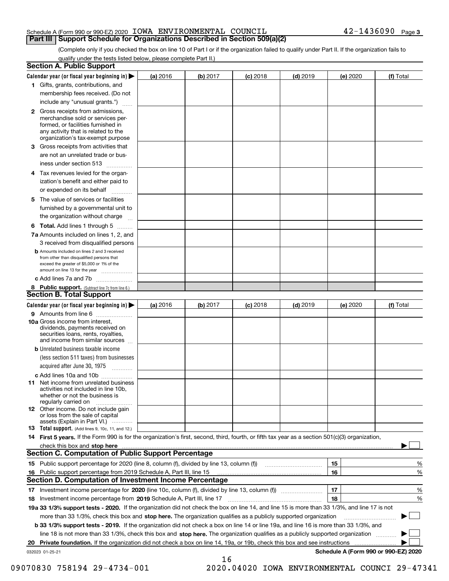#### Schedule A (Form 990 or 990-EZ) 2020 Page IOWA ENVIRONMENTAL COUNCIL 42-1436090 **Part III Support Schedule for Organizations Described in Section 509(a)(2)**

(Complete only if you checked the box on line 10 of Part I or if the organization failed to qualify under Part II. If the organization fails to qualify under the tests listed below, please complete Part II.)

|    | <b>Section A. Public Support</b>                                                                                                                                                                                              |          |          |            |            |          |                                      |
|----|-------------------------------------------------------------------------------------------------------------------------------------------------------------------------------------------------------------------------------|----------|----------|------------|------------|----------|--------------------------------------|
|    | Calendar year (or fiscal year beginning in) $\blacktriangleright$                                                                                                                                                             | (a) 2016 | (b) 2017 | $(c)$ 2018 | $(d)$ 2019 | (e) 2020 | (f) Total                            |
|    | 1 Gifts, grants, contributions, and                                                                                                                                                                                           |          |          |            |            |          |                                      |
|    | membership fees received. (Do not                                                                                                                                                                                             |          |          |            |            |          |                                      |
|    | include any "unusual grants.")                                                                                                                                                                                                |          |          |            |            |          |                                      |
|    | 2 Gross receipts from admissions,<br>merchandise sold or services per-<br>formed, or facilities furnished in<br>any activity that is related to the<br>organization's tax-exempt purpose                                      |          |          |            |            |          |                                      |
|    | 3 Gross receipts from activities that                                                                                                                                                                                         |          |          |            |            |          |                                      |
|    | are not an unrelated trade or bus-                                                                                                                                                                                            |          |          |            |            |          |                                      |
|    | iness under section 513                                                                                                                                                                                                       |          |          |            |            |          |                                      |
|    | 4 Tax revenues levied for the organ-                                                                                                                                                                                          |          |          |            |            |          |                                      |
|    | ization's benefit and either paid to<br>or expended on its behalf<br>.                                                                                                                                                        |          |          |            |            |          |                                      |
|    | 5 The value of services or facilities                                                                                                                                                                                         |          |          |            |            |          |                                      |
|    | furnished by a governmental unit to                                                                                                                                                                                           |          |          |            |            |          |                                      |
|    | the organization without charge                                                                                                                                                                                               |          |          |            |            |          |                                      |
|    | <b>6 Total.</b> Add lines 1 through 5                                                                                                                                                                                         |          |          |            |            |          |                                      |
|    | 7a Amounts included on lines 1, 2, and<br>3 received from disqualified persons                                                                                                                                                |          |          |            |            |          |                                      |
|    | <b>b</b> Amounts included on lines 2 and 3 received<br>from other than disqualified persons that<br>exceed the greater of \$5,000 or 1% of the<br>amount on line 13 for the year                                              |          |          |            |            |          |                                      |
|    | c Add lines 7a and 7b                                                                                                                                                                                                         |          |          |            |            |          |                                      |
|    | 8 Public support. (Subtract line 7c from line 6.)                                                                                                                                                                             |          |          |            |            |          |                                      |
|    | <b>Section B. Total Support</b>                                                                                                                                                                                               |          |          |            |            |          |                                      |
|    | Calendar year (or fiscal year beginning in) $\blacktriangleright$                                                                                                                                                             | (a) 2016 | (b) 2017 | $(c)$ 2018 | $(d)$ 2019 | (e) 2020 | (f) Total                            |
|    | 9 Amounts from line 6                                                                                                                                                                                                         |          |          |            |            |          |                                      |
|    | 10a Gross income from interest,<br>dividends, payments received on<br>securities loans, rents, royalties,<br>and income from similar sources                                                                                  |          |          |            |            |          |                                      |
|    | <b>b</b> Unrelated business taxable income                                                                                                                                                                                    |          |          |            |            |          |                                      |
|    | (less section 511 taxes) from businesses                                                                                                                                                                                      |          |          |            |            |          |                                      |
|    | acquired after June 30, 1975                                                                                                                                                                                                  |          |          |            |            |          |                                      |
|    | c Add lines 10a and 10b                                                                                                                                                                                                       |          |          |            |            |          |                                      |
|    | 11 Net income from unrelated business<br>activities not included in line 10b,<br>whether or not the business is<br>regularly carried on                                                                                       |          |          |            |            |          |                                      |
|    | 12 Other income. Do not include gain<br>or loss from the sale of capital<br>assets (Explain in Part VI.)                                                                                                                      |          |          |            |            |          |                                      |
|    | <b>13</b> Total support. (Add lines 9, 10c, 11, and 12.)                                                                                                                                                                      |          |          |            |            |          |                                      |
|    | 14 First 5 years. If the Form 990 is for the organization's first, second, third, fourth, or fifth tax year as a section 501(c)(3) organization,                                                                              |          |          |            |            |          |                                      |
|    | check this box and stop here with the continuum control to the control of the state of the state of the control of the state of the control of the control of the control of the control of the control of the control of the |          |          |            |            |          |                                      |
|    | Section C. Computation of Public Support Percentage                                                                                                                                                                           |          |          |            |            |          |                                      |
|    | 15 Public support percentage for 2020 (line 8, column (f), divided by line 13, column (f))                                                                                                                                    |          |          |            |            | 15       | %                                    |
|    | 16 Public support percentage from 2019 Schedule A, Part III, line 15                                                                                                                                                          |          |          |            |            | 16       | %                                    |
|    | <b>Section D. Computation of Investment Income Percentage</b>                                                                                                                                                                 |          |          |            |            |          |                                      |
|    | 17 Investment income percentage for 2020 (line 10c, column (f), divided by line 13, column (f))                                                                                                                               |          |          |            |            | 17       | %                                    |
|    | <b>18</b> Investment income percentage from <b>2019</b> Schedule A, Part III, line 17                                                                                                                                         |          |          |            |            | 18       | %                                    |
|    | 19a 33 1/3% support tests - 2020. If the organization did not check the box on line 14, and line 15 is more than 33 1/3%, and line 17 is not                                                                                  |          |          |            |            |          |                                      |
|    | more than 33 1/3%, check this box and stop here. The organization qualifies as a publicly supported organization                                                                                                              |          |          |            |            |          | ▶                                    |
|    | b 33 1/3% support tests - 2019. If the organization did not check a box on line 14 or line 19a, and line 16 is more than 33 1/3%, and                                                                                         |          |          |            |            |          |                                      |
|    | line 18 is not more than 33 1/3%, check this box and stop here. The organization qualifies as a publicly supported organization                                                                                               |          |          |            |            |          |                                      |
| 20 | <b>Private foundation.</b> If the organization did not check a box on line 14, 19a, or 19b, check this box and see instructions                                                                                               |          |          |            |            |          |                                      |
|    | 032023 01-25-21                                                                                                                                                                                                               |          | 16       |            |            |          | Schedule A (Form 990 or 990-EZ) 2020 |

09070830 758194 29-4734-001 2020.04020 IOWA ENVIRONMENTAL COUNCI 29-47341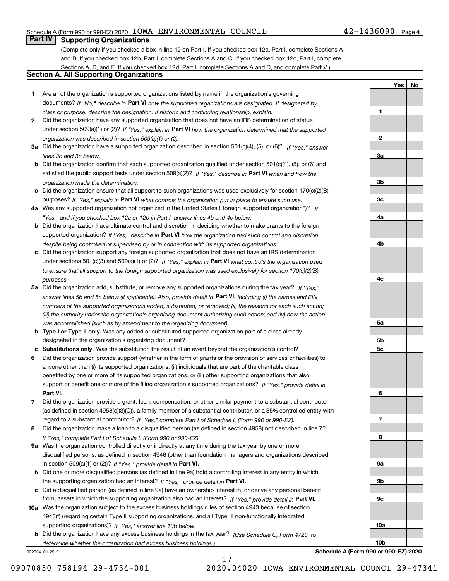#### Schedule A (Form 990 or 990-EZ) 2020 Page IOWA ENVIRONMENTAL COUNCIL 42-1436090

#### **Part IV Supporting Organizations**

(Complete only if you checked a box in line 12 on Part I. If you checked box 12a, Part I, complete Sections A and B. If you checked box 12b, Part I, complete Sections A and C. If you checked box 12c, Part I, complete Sections A, D, and E. If you checked box 12d, Part I, complete Sections A and D, and complete Part V.)

#### **Section A. All Supporting Organizations**

- **1** Are all of the organization's supported organizations listed by name in the organization's governing documents? If "No," describe in **Part VI** how the supported organizations are designated. If designated by *class or purpose, describe the designation. If historic and continuing relationship, explain.*
- **2** Did the organization have any supported organization that does not have an IRS determination of status under section 509(a)(1) or (2)? If "Yes," explain in Part VI how the organization determined that the supported *organization was described in section 509(a)(1) or (2).*
- **3a** Did the organization have a supported organization described in section 501(c)(4), (5), or (6)? If "Yes," answer *lines 3b and 3c below.*
- **b** Did the organization confirm that each supported organization qualified under section 501(c)(4), (5), or (6) and satisfied the public support tests under section 509(a)(2)? If "Yes," describe in **Part VI** when and how the *organization made the determination.*
- **c**Did the organization ensure that all support to such organizations was used exclusively for section 170(c)(2)(B) purposes? If "Yes," explain in **Part VI** what controls the organization put in place to ensure such use.
- **4a***If* Was any supported organization not organized in the United States ("foreign supported organization")? *"Yes," and if you checked box 12a or 12b in Part I, answer lines 4b and 4c below.*
- **b** Did the organization have ultimate control and discretion in deciding whether to make grants to the foreign supported organization? If "Yes," describe in **Part VI** how the organization had such control and discretion *despite being controlled or supervised by or in connection with its supported organizations.*
- **c** Did the organization support any foreign supported organization that does not have an IRS determination under sections 501(c)(3) and 509(a)(1) or (2)? If "Yes," explain in **Part VI** what controls the organization used *to ensure that all support to the foreign supported organization was used exclusively for section 170(c)(2)(B) purposes.*
- **5a** Did the organization add, substitute, or remove any supported organizations during the tax year? If "Yes," answer lines 5b and 5c below (if applicable). Also, provide detail in **Part VI,** including (i) the names and EIN *numbers of the supported organizations added, substituted, or removed; (ii) the reasons for each such action; (iii) the authority under the organization's organizing document authorizing such action; and (iv) how the action was accomplished (such as by amendment to the organizing document).*
- **b** Type I or Type II only. Was any added or substituted supported organization part of a class already designated in the organization's organizing document?
- **cSubstitutions only.**  Was the substitution the result of an event beyond the organization's control?
- **6** Did the organization provide support (whether in the form of grants or the provision of services or facilities) to **Part VI.** *If "Yes," provide detail in* support or benefit one or more of the filing organization's supported organizations? anyone other than (i) its supported organizations, (ii) individuals that are part of the charitable class benefited by one or more of its supported organizations, or (iii) other supporting organizations that also
- **7**Did the organization provide a grant, loan, compensation, or other similar payment to a substantial contributor *If "Yes," complete Part I of Schedule L (Form 990 or 990-EZ).* regard to a substantial contributor? (as defined in section 4958(c)(3)(C)), a family member of a substantial contributor, or a 35% controlled entity with
- **8** Did the organization make a loan to a disqualified person (as defined in section 4958) not described in line 7? *If "Yes," complete Part I of Schedule L (Form 990 or 990-EZ).*
- **9a** Was the organization controlled directly or indirectly at any time during the tax year by one or more in section 509(a)(1) or (2))? If "Yes," *provide detail in* <code>Part VI.</code> disqualified persons, as defined in section 4946 (other than foundation managers and organizations described
- **b** Did one or more disqualified persons (as defined in line 9a) hold a controlling interest in any entity in which the supporting organization had an interest? If "Yes," provide detail in P**art VI**.
- **c**Did a disqualified person (as defined in line 9a) have an ownership interest in, or derive any personal benefit from, assets in which the supporting organization also had an interest? If "Yes," provide detail in P**art VI.**
- **10a** Was the organization subject to the excess business holdings rules of section 4943 because of section supporting organizations)? If "Yes," answer line 10b below. 4943(f) (regarding certain Type II supporting organizations, and all Type III non-functionally integrated
- **b** Did the organization have any excess business holdings in the tax year? (Use Schedule C, Form 4720, to *determine whether the organization had excess business holdings.)*

032024 01-25-21

**123a3b3c4a4b**

**YesNo**

**4c5a 5b5c6789a 9b9c10a**

**Schedule A (Form 990 or 990-EZ) 2020**

**10b**

09070830 758194 29-4734-001 2020.04020 IOWA ENVIRONMENTAL COUNCI 29-47341

17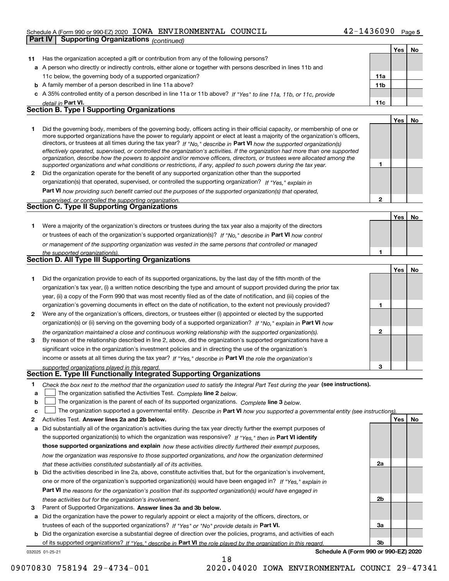#### Schedule A (Form 990 or 990-EZ) 2020 Page IOWA ENVIRONMENTAL COUNCIL 42-1436090

|    | <b>Supporting Organizations (continued)</b><br>Part IV                                                                                                                                                                                                                                                                                                                                 |                 |     |           |
|----|----------------------------------------------------------------------------------------------------------------------------------------------------------------------------------------------------------------------------------------------------------------------------------------------------------------------------------------------------------------------------------------|-----------------|-----|-----------|
|    |                                                                                                                                                                                                                                                                                                                                                                                        |                 | Yes | No        |
| 11 | Has the organization accepted a gift or contribution from any of the following persons?                                                                                                                                                                                                                                                                                                |                 |     |           |
|    | a A person who directly or indirectly controls, either alone or together with persons described in lines 11b and                                                                                                                                                                                                                                                                       |                 |     |           |
|    | 11c below, the governing body of a supported organization?                                                                                                                                                                                                                                                                                                                             | 11a             |     |           |
|    | <b>b</b> A family member of a person described in line 11a above?                                                                                                                                                                                                                                                                                                                      | 11 <sub>b</sub> |     |           |
|    | c A 35% controlled entity of a person described in line 11a or 11b above? If "Yes" to line 11a, 11b, or 11c, provide                                                                                                                                                                                                                                                                   |                 |     |           |
|    | detail in Part VI.                                                                                                                                                                                                                                                                                                                                                                     | 11c             |     |           |
|    | <b>Section B. Type I Supporting Organizations</b>                                                                                                                                                                                                                                                                                                                                      |                 |     |           |
|    |                                                                                                                                                                                                                                                                                                                                                                                        |                 | Yes | No        |
| 1  | Did the governing body, members of the governing body, officers acting in their official capacity, or membership of one or<br>more supported organizations have the power to regularly appoint or elect at least a majority of the organization's officers,<br>directors, or trustees at all times during the tax year? If "No," describe in Part VI how the supported organization(s) |                 |     |           |
|    | effectively operated, supervised, or controlled the organization's activities. If the organization had more than one supported<br>organization, describe how the powers to appoint and/or remove officers, directors, or trustees were allocated among the                                                                                                                             |                 |     |           |
|    | supported organizations and what conditions or restrictions, if any, applied to such powers during the tax year.                                                                                                                                                                                                                                                                       | 1               |     |           |
| 2  | Did the organization operate for the benefit of any supported organization other than the supported                                                                                                                                                                                                                                                                                    |                 |     |           |
|    | organization(s) that operated, supervised, or controlled the supporting organization? If "Yes," explain in                                                                                                                                                                                                                                                                             |                 |     |           |
|    | Part VI how providing such benefit carried out the purposes of the supported organization(s) that operated,                                                                                                                                                                                                                                                                            |                 |     |           |
|    | supervised, or controlled the supporting organization.                                                                                                                                                                                                                                                                                                                                 | $\overline{2}$  |     |           |
|    | <b>Section C. Type II Supporting Organizations</b>                                                                                                                                                                                                                                                                                                                                     |                 |     |           |
|    |                                                                                                                                                                                                                                                                                                                                                                                        |                 | Yes | No        |
| 1  | Were a majority of the organization's directors or trustees during the tax year also a majority of the directors                                                                                                                                                                                                                                                                       |                 |     |           |
|    | or trustees of each of the organization's supported organization(s)? If "No," describe in Part VI how control                                                                                                                                                                                                                                                                          |                 |     |           |
|    | or management of the supporting organization was vested in the same persons that controlled or managed                                                                                                                                                                                                                                                                                 |                 |     |           |
|    | the supported organization(s).                                                                                                                                                                                                                                                                                                                                                         | 1               |     |           |
|    | <b>Section D. All Type III Supporting Organizations</b>                                                                                                                                                                                                                                                                                                                                |                 |     |           |
|    |                                                                                                                                                                                                                                                                                                                                                                                        |                 | Yes | No        |
| 1  | Did the organization provide to each of its supported organizations, by the last day of the fifth month of the                                                                                                                                                                                                                                                                         |                 |     |           |
|    | organization's tax year, (i) a written notice describing the type and amount of support provided during the prior tax                                                                                                                                                                                                                                                                  |                 |     |           |
|    | year, (ii) a copy of the Form 990 that was most recently filed as of the date of notification, and (iii) copies of the                                                                                                                                                                                                                                                                 |                 |     |           |
|    | organization's governing documents in effect on the date of notification, to the extent not previously provided?                                                                                                                                                                                                                                                                       | 1               |     |           |
| 2  | Were any of the organization's officers, directors, or trustees either (i) appointed or elected by the supported                                                                                                                                                                                                                                                                       |                 |     |           |
|    | organization(s) or (ii) serving on the governing body of a supported organization? If "No." explain in Part VI how                                                                                                                                                                                                                                                                     |                 |     |           |
|    | the organization maintained a close and continuous working relationship with the supported organization(s).                                                                                                                                                                                                                                                                            | $\mathbf 2$     |     |           |
| 3  | By reason of the relationship described in line 2, above, did the organization's supported organizations have a                                                                                                                                                                                                                                                                        |                 |     |           |
|    | significant voice in the organization's investment policies and in directing the use of the organization's                                                                                                                                                                                                                                                                             |                 |     |           |
|    |                                                                                                                                                                                                                                                                                                                                                                                        |                 |     |           |
|    | income or assets at all times during the tax year? If "Yes," describe in Part VI the role the organization's                                                                                                                                                                                                                                                                           |                 |     |           |
|    | supported organizations played in this regard.                                                                                                                                                                                                                                                                                                                                         |                 |     |           |
|    | Section E. Type III Functionally Integrated Supporting Organizations                                                                                                                                                                                                                                                                                                                   |                 |     |           |
| 1  | Check the box next to the method that the organization used to satisfy the Integral Part Test during the year (see instructions).                                                                                                                                                                                                                                                      |                 |     |           |
| а  | The organization satisfied the Activities Test. Complete line 2 below.                                                                                                                                                                                                                                                                                                                 |                 |     |           |
| b  | The organization is the parent of each of its supported organizations. Complete line 3 below.                                                                                                                                                                                                                                                                                          |                 |     |           |
| c  | The organization supported a governmental entity. Describe in Part VI how you supported a governmental entity (see instructions).                                                                                                                                                                                                                                                      |                 |     |           |
| 2  | Activities Test. Answer lines 2a and 2b below.                                                                                                                                                                                                                                                                                                                                         |                 | Yes | <u>No</u> |
| а  | Did substantially all of the organization's activities during the tax year directly further the exempt purposes of                                                                                                                                                                                                                                                                     |                 |     |           |
|    | the supported organization(s) to which the organization was responsive? If "Yes," then in Part VI identify                                                                                                                                                                                                                                                                             |                 |     |           |
|    | those supported organizations and explain how these activities directly furthered their exempt purposes,                                                                                                                                                                                                                                                                               |                 |     |           |
|    | how the organization was responsive to those supported organizations, and how the organization determined                                                                                                                                                                                                                                                                              |                 |     |           |
|    | that these activities constituted substantially all of its activities.                                                                                                                                                                                                                                                                                                                 | 2a              |     |           |
| b  | Did the activities described in line 2a, above, constitute activities that, but for the organization's involvement,<br>one or more of the organization's supported organization(s) would have been engaged in? If "Yes," explain in                                                                                                                                                    |                 |     |           |

**Part VI**  *the reasons for the organization's position that its supported organization(s) would have engaged in these activities but for the organization's involvement.*

**3** Parent of Supported Organizations. Answer lines 3a and 3b below.

**a** Did the organization have the power to regularly appoint or elect a majority of the officers, directors, or trustees of each of the supported organizations? If "Yes" or "No" provide details in **Part VI.** 

032025 01-25-21 **b** Did the organization exercise a substantial degree of direction over the policies, programs, and activities of each of its supported organizations? If "Yes," describe in Part VI the role played by the organization in this regard.

18

**Schedule A (Form 990 or 990-EZ) 2020**

**2b**

**3a**

**3b**

09070830 758194 29-4734-001 2020.04020 IOWA ENVIRONMENTAL COUNCI 29-47341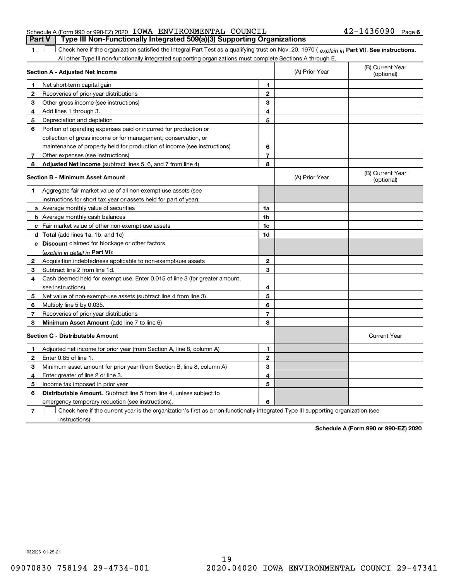| Schedule A (Form 990 or 990-EZ) 2020 IOWA ENVIRONMENTAL COUNCIL                       | $42 - 1436090$ Page 6 |  |
|---------------------------------------------------------------------------------------|-----------------------|--|
| <b>Part V</b> Type III Non-Functionally Integrated 509(a)(3) Supporting Organizations |                       |  |

1 Check here if the organization satisfied the Integral Part Test as a qualifying trust on Nov. 20, 1970 (explain in Part VI). See instructions. All other Type III non-functionally integrated supporting organizations must complete Sections A through E.

|   | Section A - Adjusted Net Income                                                                                                   |                | (A) Prior Year | (B) Current Year<br>(optional) |
|---|-----------------------------------------------------------------------------------------------------------------------------------|----------------|----------------|--------------------------------|
| 1 | Net short-term capital gain                                                                                                       | 1              |                |                                |
| 2 | Recoveries of prior-year distributions                                                                                            | $\overline{2}$ |                |                                |
| 3 | Other gross income (see instructions)                                                                                             | 3              |                |                                |
| 4 | Add lines 1 through 3.                                                                                                            | 4              |                |                                |
| 5 | Depreciation and depletion                                                                                                        | 5              |                |                                |
| 6 | Portion of operating expenses paid or incurred for production or                                                                  |                |                |                                |
|   | collection of gross income or for management, conservation, or                                                                    |                |                |                                |
|   | maintenance of property held for production of income (see instructions)                                                          | 6              |                |                                |
| 7 | Other expenses (see instructions)                                                                                                 | $\overline{7}$ |                |                                |
| 8 | Adjusted Net Income (subtract lines 5, 6, and 7 from line 4)                                                                      | 8              |                |                                |
|   | <b>Section B - Minimum Asset Amount</b>                                                                                           |                | (A) Prior Year | (B) Current Year<br>(optional) |
| 1 | Aggregate fair market value of all non-exempt-use assets (see                                                                     |                |                |                                |
|   | instructions for short tax year or assets held for part of year):                                                                 |                |                |                                |
|   | <b>a</b> Average monthly value of securities                                                                                      | 1a             |                |                                |
|   | <b>b</b> Average monthly cash balances                                                                                            | 1b             |                |                                |
|   | c Fair market value of other non-exempt-use assets                                                                                | 1c             |                |                                |
|   | <b>d</b> Total (add lines 1a, 1b, and 1c)                                                                                         | 1d             |                |                                |
|   | e Discount claimed for blockage or other factors                                                                                  |                |                |                                |
|   | (explain in detail in Part VI):                                                                                                   |                |                |                                |
| 2 | Acquisition indebtedness applicable to non-exempt-use assets                                                                      | 2              |                |                                |
| 3 | Subtract line 2 from line 1d.                                                                                                     | 3              |                |                                |
| 4 | Cash deemed held for exempt use. Enter 0.015 of line 3 (for greater amount,                                                       |                |                |                                |
|   | see instructions)                                                                                                                 | 4              |                |                                |
| 5 | Net value of non-exempt-use assets (subtract line 4 from line 3)                                                                  | 5              |                |                                |
| 6 | Multiply line 5 by 0.035.                                                                                                         | 6              |                |                                |
| 7 | Recoveries of prior-year distributions                                                                                            | 7              |                |                                |
| 8 | <b>Minimum Asset Amount</b> (add line 7 to line 6)                                                                                | 8              |                |                                |
|   | <b>Section C - Distributable Amount</b>                                                                                           |                |                | <b>Current Year</b>            |
| 1 | Adjusted net income for prior year (from Section A, line 8, column A)                                                             | 1              |                |                                |
| 2 | Enter 0.85 of line 1.                                                                                                             | $\overline{2}$ |                |                                |
| 3 | Minimum asset amount for prior year (from Section B, line 8, column A)                                                            | 3              |                |                                |
| 4 | Enter greater of line 2 or line 3.                                                                                                | 4              |                |                                |
| 5 | Income tax imposed in prior year                                                                                                  | 5              |                |                                |
| 6 | <b>Distributable Amount.</b> Subtract line 5 from line 4, unless subject to                                                       |                |                |                                |
|   | emergency temporary reduction (see instructions).                                                                                 | 6              |                |                                |
| 7 | Check here if the current year is the organization's first as a non-functionally integrated Type III supporting organization (see |                |                |                                |

instructions).

**1**

**Schedule A (Form 990 or 990-EZ) 2020**

032026 01-25-21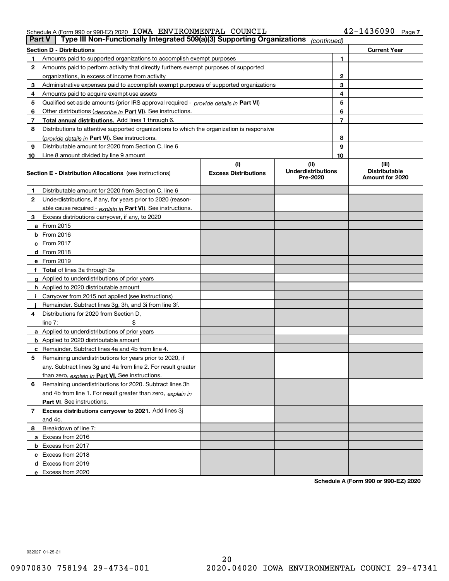#### Schedule A (Form 990 or 990-EZ) 2020 Page IOWA ENVIRONMENTAL COUNCIL 42-1436090

|    | Type III Non-Functionally Integrated 509(a)(3) Supporting Organizations<br><b>Part V</b><br>(continued)                                                        |                             |                                       |                |                                         |  |  |
|----|----------------------------------------------------------------------------------------------------------------------------------------------------------------|-----------------------------|---------------------------------------|----------------|-----------------------------------------|--|--|
|    | <b>Section D - Distributions</b>                                                                                                                               |                             |                                       |                | <b>Current Year</b>                     |  |  |
| 1  | Amounts paid to supported organizations to accomplish exempt purposes                                                                                          |                             |                                       | 1              |                                         |  |  |
| 2  | Amounts paid to perform activity that directly furthers exempt purposes of supported                                                                           |                             |                                       |                |                                         |  |  |
|    | organizations, in excess of income from activity                                                                                                               |                             |                                       | 2              |                                         |  |  |
| 3  | Administrative expenses paid to accomplish exempt purposes of supported organizations                                                                          |                             |                                       | 3              |                                         |  |  |
| 4  | Amounts paid to acquire exempt-use assets                                                                                                                      |                             | 4                                     |                |                                         |  |  |
| 5  | Qualified set-aside amounts (prior IRS approval required - provide details in Part VI)                                                                         |                             | 5                                     |                |                                         |  |  |
| 6  | Other distributions ( <i>describe in</i> Part VI). See instructions.                                                                                           |                             | 6                                     |                |                                         |  |  |
| 7  | Total annual distributions. Add lines 1 through 6.                                                                                                             |                             |                                       | $\overline{7}$ |                                         |  |  |
| 8  | Distributions to attentive supported organizations to which the organization is responsive                                                                     |                             |                                       |                |                                         |  |  |
|    | (provide details in Part VI). See instructions.                                                                                                                |                             |                                       | 8              |                                         |  |  |
| 9  | Distributable amount for 2020 from Section C, line 6                                                                                                           |                             |                                       | 9              |                                         |  |  |
| 10 | Line 8 amount divided by line 9 amount                                                                                                                         |                             |                                       | 10             |                                         |  |  |
|    |                                                                                                                                                                | (i)                         | (ii)                                  |                | (iii)                                   |  |  |
|    | <b>Section E - Distribution Allocations</b> (see instructions)                                                                                                 | <b>Excess Distributions</b> | <b>Underdistributions</b><br>Pre-2020 |                | <b>Distributable</b><br>Amount for 2020 |  |  |
| 1  | Distributable amount for 2020 from Section C, line 6                                                                                                           |                             |                                       |                |                                         |  |  |
| 2  | Underdistributions, if any, for years prior to 2020 (reason-                                                                                                   |                             |                                       |                |                                         |  |  |
|    | able cause required - explain in Part VI). See instructions.                                                                                                   |                             |                                       |                |                                         |  |  |
| 3  | Excess distributions carryover, if any, to 2020                                                                                                                |                             |                                       |                |                                         |  |  |
|    | <b>a</b> From 2015                                                                                                                                             |                             |                                       |                |                                         |  |  |
|    | <b>b</b> From 2016                                                                                                                                             |                             |                                       |                |                                         |  |  |
|    | c From 2017                                                                                                                                                    |                             |                                       |                |                                         |  |  |
|    | <b>d</b> From 2018                                                                                                                                             |                             |                                       |                |                                         |  |  |
|    | e From 2019                                                                                                                                                    |                             |                                       |                |                                         |  |  |
|    | f Total of lines 3a through 3e                                                                                                                                 |                             |                                       |                |                                         |  |  |
|    | g Applied to underdistributions of prior years                                                                                                                 |                             |                                       |                |                                         |  |  |
|    | <b>h</b> Applied to 2020 distributable amount                                                                                                                  |                             |                                       |                |                                         |  |  |
|    | Carryover from 2015 not applied (see instructions)                                                                                                             |                             |                                       |                |                                         |  |  |
|    | Remainder. Subtract lines 3g, 3h, and 3i from line 3f.                                                                                                         |                             |                                       |                |                                         |  |  |
| 4  | Distributions for 2020 from Section D,                                                                                                                         |                             |                                       |                |                                         |  |  |
|    | line $7:$                                                                                                                                                      |                             |                                       |                |                                         |  |  |
|    | a Applied to underdistributions of prior years                                                                                                                 |                             |                                       |                |                                         |  |  |
|    | <b>b</b> Applied to 2020 distributable amount                                                                                                                  |                             |                                       |                |                                         |  |  |
|    | c Remainder. Subtract lines 4a and 4b from line 4.                                                                                                             |                             |                                       |                |                                         |  |  |
| 5  | Remaining underdistributions for years prior to 2020, if                                                                                                       |                             |                                       |                |                                         |  |  |
|    | any. Subtract lines 3g and 4a from line 2. For result greater                                                                                                  |                             |                                       |                |                                         |  |  |
|    | than zero, explain in Part VI. See instructions.                                                                                                               |                             |                                       |                |                                         |  |  |
| 6  | Remaining underdistributions for 2020. Subtract lines 3h                                                                                                       |                             |                                       |                |                                         |  |  |
|    | and 4b from line 1. For result greater than zero, explain in                                                                                                   |                             |                                       |                |                                         |  |  |
|    | Part VI. See instructions.                                                                                                                                     |                             |                                       |                |                                         |  |  |
|    |                                                                                                                                                                |                             |                                       |                |                                         |  |  |
|    |                                                                                                                                                                |                             |                                       |                |                                         |  |  |
| 8  | Breakdown of line 7:                                                                                                                                           |                             |                                       |                |                                         |  |  |
|    |                                                                                                                                                                |                             |                                       |                |                                         |  |  |
|    |                                                                                                                                                                |                             |                                       |                |                                         |  |  |
|    |                                                                                                                                                                |                             |                                       |                |                                         |  |  |
|    |                                                                                                                                                                |                             |                                       |                |                                         |  |  |
|    | e Excess from 2020                                                                                                                                             |                             |                                       |                |                                         |  |  |
| 7  | Excess distributions carryover to 2021. Add lines 3j<br>and 4c.<br>a Excess from 2016<br><b>b</b> Excess from 2017<br>c Excess from 2018<br>d Excess from 2019 |                             |                                       |                |                                         |  |  |

**Schedule A (Form 990 or 990-EZ) 2020**

032027 01-25-21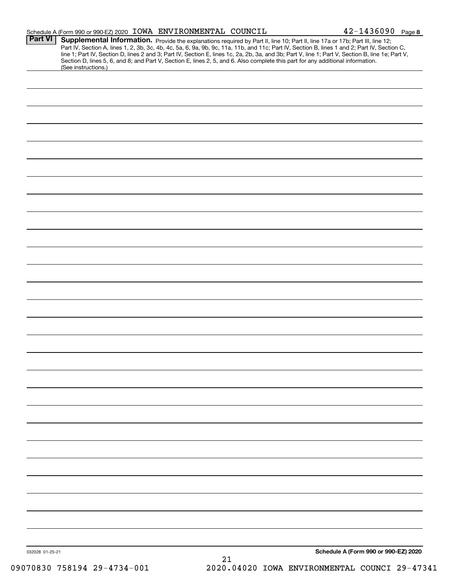|                 | Schedule A (Form 990 or 990-EZ) 2020 IOWA ENVIRONMENTAL COUNCIL                                                                                                                                                                                                                                                                                                                                                                                                                                                                                                                             |    | $42 - 1436090$ Page 8                |
|-----------------|---------------------------------------------------------------------------------------------------------------------------------------------------------------------------------------------------------------------------------------------------------------------------------------------------------------------------------------------------------------------------------------------------------------------------------------------------------------------------------------------------------------------------------------------------------------------------------------------|----|--------------------------------------|
| <b>Part VI</b>  | Supplemental Information. Provide the explanations required by Part II, line 10; Part II, line 17a or 17b; Part III, line 12;<br>Part IV, Section A, lines 1, 2, 3b, 3c, 4b, 4c, 5a, 6, 9a, 9b, 9c, 11a, 11b, and 11c; Part IV, Section B, lines 1 and 2; Part IV, Section C,<br>line 1; Part IV, Section D, lines 2 and 3; Part IV, Section E, lines 1c, 2a, 2b, 3a, and 3b; Part V, line 1; Part V, Section B, line 1e; Part V,<br>Section D, lines 5, 6, and 8; and Part V, Section E, lines 2, 5, and 6. Also complete this part for any additional information.<br>(See instructions.) |    |                                      |
|                 |                                                                                                                                                                                                                                                                                                                                                                                                                                                                                                                                                                                             |    |                                      |
|                 |                                                                                                                                                                                                                                                                                                                                                                                                                                                                                                                                                                                             |    |                                      |
|                 |                                                                                                                                                                                                                                                                                                                                                                                                                                                                                                                                                                                             |    |                                      |
|                 |                                                                                                                                                                                                                                                                                                                                                                                                                                                                                                                                                                                             |    |                                      |
|                 |                                                                                                                                                                                                                                                                                                                                                                                                                                                                                                                                                                                             |    |                                      |
|                 |                                                                                                                                                                                                                                                                                                                                                                                                                                                                                                                                                                                             |    |                                      |
|                 |                                                                                                                                                                                                                                                                                                                                                                                                                                                                                                                                                                                             |    |                                      |
|                 |                                                                                                                                                                                                                                                                                                                                                                                                                                                                                                                                                                                             |    |                                      |
|                 |                                                                                                                                                                                                                                                                                                                                                                                                                                                                                                                                                                                             |    |                                      |
|                 |                                                                                                                                                                                                                                                                                                                                                                                                                                                                                                                                                                                             |    |                                      |
|                 |                                                                                                                                                                                                                                                                                                                                                                                                                                                                                                                                                                                             |    |                                      |
|                 |                                                                                                                                                                                                                                                                                                                                                                                                                                                                                                                                                                                             |    |                                      |
|                 |                                                                                                                                                                                                                                                                                                                                                                                                                                                                                                                                                                                             |    |                                      |
|                 |                                                                                                                                                                                                                                                                                                                                                                                                                                                                                                                                                                                             |    |                                      |
|                 |                                                                                                                                                                                                                                                                                                                                                                                                                                                                                                                                                                                             |    |                                      |
|                 |                                                                                                                                                                                                                                                                                                                                                                                                                                                                                                                                                                                             |    |                                      |
|                 |                                                                                                                                                                                                                                                                                                                                                                                                                                                                                                                                                                                             |    |                                      |
|                 |                                                                                                                                                                                                                                                                                                                                                                                                                                                                                                                                                                                             |    |                                      |
|                 |                                                                                                                                                                                                                                                                                                                                                                                                                                                                                                                                                                                             |    |                                      |
|                 |                                                                                                                                                                                                                                                                                                                                                                                                                                                                                                                                                                                             |    |                                      |
|                 |                                                                                                                                                                                                                                                                                                                                                                                                                                                                                                                                                                                             |    |                                      |
|                 |                                                                                                                                                                                                                                                                                                                                                                                                                                                                                                                                                                                             |    |                                      |
|                 |                                                                                                                                                                                                                                                                                                                                                                                                                                                                                                                                                                                             |    |                                      |
|                 |                                                                                                                                                                                                                                                                                                                                                                                                                                                                                                                                                                                             |    |                                      |
|                 |                                                                                                                                                                                                                                                                                                                                                                                                                                                                                                                                                                                             |    |                                      |
|                 |                                                                                                                                                                                                                                                                                                                                                                                                                                                                                                                                                                                             |    |                                      |
|                 |                                                                                                                                                                                                                                                                                                                                                                                                                                                                                                                                                                                             |    |                                      |
|                 |                                                                                                                                                                                                                                                                                                                                                                                                                                                                                                                                                                                             |    |                                      |
|                 |                                                                                                                                                                                                                                                                                                                                                                                                                                                                                                                                                                                             |    |                                      |
|                 |                                                                                                                                                                                                                                                                                                                                                                                                                                                                                                                                                                                             |    |                                      |
|                 |                                                                                                                                                                                                                                                                                                                                                                                                                                                                                                                                                                                             |    |                                      |
| 032028 01-25-21 |                                                                                                                                                                                                                                                                                                                                                                                                                                                                                                                                                                                             | 21 | Schedule A (Form 990 or 990-EZ) 2020 |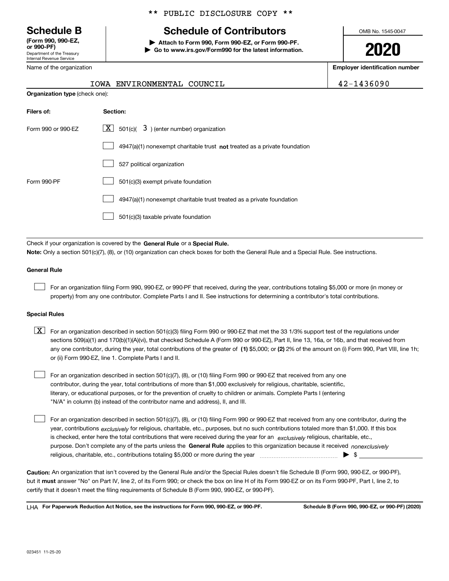Department of the Treasury Internal Revenue Service **(Form 990, 990-EZ, or 990-PF)**

Name of the organization

#### \*\* PUBLIC DISCLOSURE COPY \*\*

## **Schedule B Schedule of Contributors**

**| Attach to Form 990, Form 990-EZ, or Form 990-PF. | Go to www.irs.gov/Form990 for the latest information.** OMB No. 1545-0047

**2020**

**Employer identification number**

|  | IOWA ENVIRONMENTAL COUNCIL |  | 42-1436090 |
|--|----------------------------|--|------------|
|--|----------------------------|--|------------|

| <b>Organization type (check one):</b> |                                                                           |  |  |  |  |
|---------------------------------------|---------------------------------------------------------------------------|--|--|--|--|
| Filers of:                            | Section:                                                                  |  |  |  |  |
| Form 990 or 990-EZ                    | $\lfloor \mathbf{X} \rfloor$ 501(c)( 3) (enter number) organization       |  |  |  |  |
|                                       | 4947(a)(1) nonexempt charitable trust not treated as a private foundation |  |  |  |  |
|                                       | 527 political organization                                                |  |  |  |  |
| Form 990-PF                           | 501(c)(3) exempt private foundation                                       |  |  |  |  |
|                                       | 4947(a)(1) nonexempt charitable trust treated as a private foundation     |  |  |  |  |
|                                       | 501(c)(3) taxable private foundation                                      |  |  |  |  |

Check if your organization is covered by the **General Rule** or a **Special Rule. Note:**  Only a section 501(c)(7), (8), or (10) organization can check boxes for both the General Rule and a Special Rule. See instructions.

#### **General Rule**

 $\mathcal{L}^{\text{max}}$ 

For an organization filing Form 990, 990-EZ, or 990-PF that received, during the year, contributions totaling \$5,000 or more (in money or property) from any one contributor. Complete Parts I and II. See instructions for determining a contributor's total contributions.

#### **Special Rules**

any one contributor, during the year, total contributions of the greater of  $\,$  (1) \$5,000; or **(2)** 2% of the amount on (i) Form 990, Part VIII, line 1h;  $\boxed{\textbf{X}}$  For an organization described in section 501(c)(3) filing Form 990 or 990-EZ that met the 33 1/3% support test of the regulations under sections 509(a)(1) and 170(b)(1)(A)(vi), that checked Schedule A (Form 990 or 990-EZ), Part II, line 13, 16a, or 16b, and that received from or (ii) Form 990-EZ, line 1. Complete Parts I and II.

For an organization described in section 501(c)(7), (8), or (10) filing Form 990 or 990-EZ that received from any one contributor, during the year, total contributions of more than \$1,000 exclusively for religious, charitable, scientific, literary, or educational purposes, or for the prevention of cruelty to children or animals. Complete Parts I (entering "N/A" in column (b) instead of the contributor name and address), II, and III.  $\mathcal{L}^{\text{max}}$ 

purpose. Don't complete any of the parts unless the **General Rule** applies to this organization because it received *nonexclusively* year, contributions <sub>exclusively</sub> for religious, charitable, etc., purposes, but no such contributions totaled more than \$1,000. If this box is checked, enter here the total contributions that were received during the year for an  $\;$ exclusively religious, charitable, etc., For an organization described in section 501(c)(7), (8), or (10) filing Form 990 or 990-EZ that received from any one contributor, during the religious, charitable, etc., contributions totaling \$5,000 or more during the year  $\Box$ — $\Box$   $\Box$  $\mathcal{L}^{\text{max}}$ 

**Caution:**  An organization that isn't covered by the General Rule and/or the Special Rules doesn't file Schedule B (Form 990, 990-EZ, or 990-PF),  **must** but it answer "No" on Part IV, line 2, of its Form 990; or check the box on line H of its Form 990-EZ or on its Form 990-PF, Part I, line 2, to certify that it doesn't meet the filing requirements of Schedule B (Form 990, 990-EZ, or 990-PF).

**For Paperwork Reduction Act Notice, see the instructions for Form 990, 990-EZ, or 990-PF. Schedule B (Form 990, 990-EZ, or 990-PF) (2020)** LHA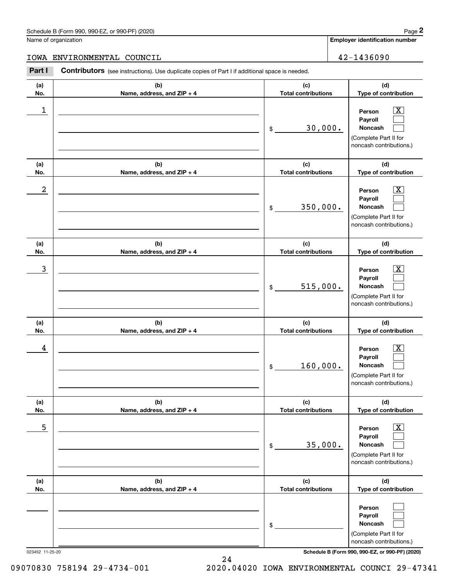#### Schedule B (Form 990, 990-EZ, or 990-PF) (2020) **Page 2** Page 2 and the state of the state of the state of the state of the state of the state of the state of the state of the state of the state of the state of the state o

Name of organization

**Employer identification number**

#### IOWA ENVIRONMENTAL COUNCIL 42-1436090

**(a)No.(b)Name, address, and ZIP + 4 (c)Total contributions (d)Type of contribution PersonPayrollNoncash (a)No.(b)Name, address, and ZIP + 4 (c)Total contributions (d)Type of contribution PersonPayrollNoncash (a)No.(b)Name, address, and ZIP + 4 (c)Total contributions (d)Type of contribution PersonPayrollNoncash (a) No.(b) Name, address, and ZIP + 4 (c) Total contributions (d) Type of contribution PersonPayrollNoncash (a) No.(b) Name, address, and ZIP + 4 (c) Total contributions (d) Type of contribution PersonPayrollNoncash (a) No.(b)Name, address, and ZIP + 4 (c) Total contributions (d)Type of contribution PersonPayrollNoncash Contributors** (see instructions). Use duplicate copies of Part I if additional space is needed. \$(Complete Part II for noncash contributions.) \$(Complete Part II for noncash contributions.) \$(Complete Part II for noncash contributions.) \$(Complete Part II for noncash contributions.) \$(Complete Part II for noncash contributions.) \$(Complete Part II for noncash contributions.) Employer identification Page 2<br>
Iame of organization<br> **2Part I 2Part I COUNCIL**<br> **2Part I 2Part I Contributors** (see instructions). Use duplicate copies of Part I if additional space is needed.  $|X|$  $\mathcal{L}^{\text{max}}$  $\mathcal{L}^{\text{max}}$  $\boxed{\text{X}}$  $\mathcal{L}^{\text{max}}$  $\mathcal{L}^{\text{max}}$  $|X|$  $\mathcal{L}^{\text{max}}$  $\mathcal{L}^{\text{max}}$  $\boxed{\text{X}}$  $\mathcal{L}^{\text{max}}$  $\mathcal{L}^{\text{max}}$  $\boxed{\text{X}}$  $\mathcal{L}^{\text{max}}$  $\mathcal{L}^{\text{max}}$  $\mathcal{L}^{\text{max}}$  $\mathcal{L}^{\text{max}}$  $\mathcal{L}^{\text{max}}$  $\begin{array}{c|c|c|c|c|c} 1 & \hspace{1.5cm} & \hspace{1.5cm} & \hspace{1.5cm} & \hspace{1.5cm} & \hspace{1.5cm} & \hspace{1.5cm} & \hspace{1.5cm} & \hspace{1.5cm} & \hspace{1.5cm} & \hspace{1.5cm} & \hspace{1.5cm} & \hspace{1.5cm} & \hspace{1.5cm} & \hspace{1.5cm} & \hspace{1.5cm} & \hspace{1.5cm} & \hspace{1.5cm} & \hspace{1.5cm} & \hspace{1.5cm} & \hspace{1.5cm} &$ 30,000.  $2$  | Person  $\overline{\text{X}}$ 350,000.  $\overline{3}$  | Person  $\overline{X}$ 515,000.  $4$  | Person  $\overline{\text{X}}$ 160,000.  $\sim$  5 | Person X 35,000.

023452 11-25-20 **Schedule B (Form 990, 990-EZ, or 990-PF) (2020)**

09070830 758194 29-4734-001 2020.04020 IOWA ENVIRONMENTAL COUNCI 29-47341

24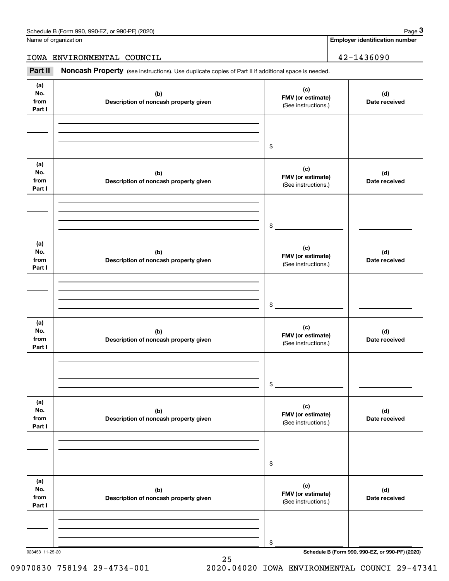Name of organization

**Employer identification number**

IOWA ENVIRONMENTAL COUNCIL 42-1436090

Chedule B (Form 990, 990-EZ, or 990-PF) (2020)<br>
lame of organization<br> **3Part II if additional space is needed.**<br> **Part II if additional space is needed.**<br> **Part II if additional space is needed.** 

| (a)<br>No.<br>from<br>Part I | (b)<br>Description of noncash property given | (c)<br>FMV (or estimate)<br>(See instructions.) | (d)<br>Date received |
|------------------------------|----------------------------------------------|-------------------------------------------------|----------------------|
|                              |                                              | \$                                              |                      |
|                              |                                              |                                                 |                      |
| (a)<br>No.<br>from<br>Part I | (b)<br>Description of noncash property given | (c)<br>FMV (or estimate)<br>(See instructions.) | (d)<br>Date received |
|                              |                                              | $\frac{1}{2}$                                   |                      |
| (a)<br>No.<br>from<br>Part I | (b)<br>Description of noncash property given | (c)<br>FMV (or estimate)<br>(See instructions.) | (d)<br>Date received |
|                              |                                              | $\frac{1}{2}$                                   |                      |
| (a)<br>No.<br>from<br>Part I | (b)<br>Description of noncash property given | (c)<br>FMV (or estimate)<br>(See instructions.) | (d)<br>Date received |
|                              |                                              | $$\circ$$                                       |                      |
| (a)<br>No.<br>from<br>Part I | (b)<br>Description of noncash property given | (c)<br>FMV (or estimate)<br>(See instructions.) | (d)<br>Date received |
|                              |                                              | \$                                              |                      |
| (a)<br>No.<br>from<br>Part I | (b)<br>Description of noncash property given | (c)<br>FMV (or estimate)<br>(See instructions.) | (d)<br>Date received |
|                              |                                              | \$                                              |                      |

25

09070830 758194 29-4734-001 2020.04020 IOWA ENVIRONMENTAL COUNCI 29-47341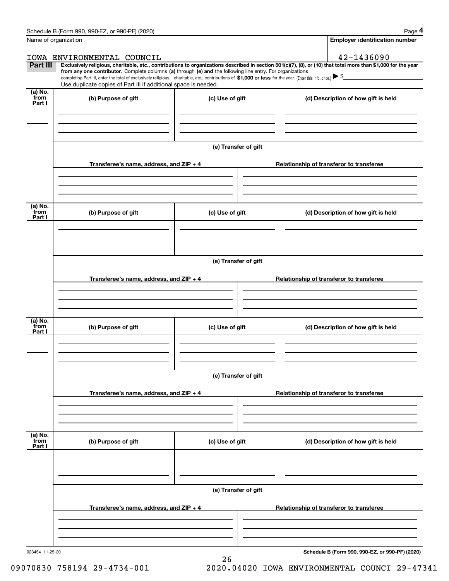|                           | Schedule B (Form 990, 990-EZ, or 990-PF) (2020)                                                                                                                                                                                                                                                 |                      | Page 4                                                                                                                                                         |  |  |  |  |
|---------------------------|-------------------------------------------------------------------------------------------------------------------------------------------------------------------------------------------------------------------------------------------------------------------------------------------------|----------------------|----------------------------------------------------------------------------------------------------------------------------------------------------------------|--|--|--|--|
|                           | Name of organization                                                                                                                                                                                                                                                                            |                      | <b>Employer identification number</b>                                                                                                                          |  |  |  |  |
|                           | IOWA ENVIRONMENTAL COUNCIL                                                                                                                                                                                                                                                                      |                      | 42-1436090                                                                                                                                                     |  |  |  |  |
| Part III                  | from any one contributor. Complete columns (a) through (e) and the following line entry. For organizations<br>completing Part III, enter the total of exclusively religious, charitable, etc., contributions of \$1,000 or less for the year. (Enter this info. once.) $\blacktriangleright$ \$ |                      | Exclusively religious, charitable, etc., contributions to organizations described in section 501(c)(7), (8), or (10) that total more than \$1,000 for the year |  |  |  |  |
|                           | Use duplicate copies of Part III if additional space is needed.                                                                                                                                                                                                                                 |                      |                                                                                                                                                                |  |  |  |  |
| (a) No.<br>from<br>Part I | (b) Purpose of gift                                                                                                                                                                                                                                                                             | (c) Use of gift      | (d) Description of how gift is held                                                                                                                            |  |  |  |  |
|                           |                                                                                                                                                                                                                                                                                                 |                      |                                                                                                                                                                |  |  |  |  |
|                           |                                                                                                                                                                                                                                                                                                 |                      |                                                                                                                                                                |  |  |  |  |
|                           |                                                                                                                                                                                                                                                                                                 | (e) Transfer of gift |                                                                                                                                                                |  |  |  |  |
|                           | Transferee's name, address, and ZIP + 4                                                                                                                                                                                                                                                         |                      | Relationship of transferor to transferee                                                                                                                       |  |  |  |  |
|                           |                                                                                                                                                                                                                                                                                                 |                      |                                                                                                                                                                |  |  |  |  |
| (a) No.<br>from<br>Part I | (b) Purpose of gift                                                                                                                                                                                                                                                                             | (c) Use of gift      | (d) Description of how gift is held                                                                                                                            |  |  |  |  |
|                           |                                                                                                                                                                                                                                                                                                 |                      |                                                                                                                                                                |  |  |  |  |
|                           | (e) Transfer of gift                                                                                                                                                                                                                                                                            |                      |                                                                                                                                                                |  |  |  |  |
|                           | Transferee's name, address, and ZIP + 4                                                                                                                                                                                                                                                         |                      | Relationship of transferor to transferee                                                                                                                       |  |  |  |  |
|                           |                                                                                                                                                                                                                                                                                                 |                      |                                                                                                                                                                |  |  |  |  |
| (a) No.                   |                                                                                                                                                                                                                                                                                                 |                      |                                                                                                                                                                |  |  |  |  |
| from<br>Part I            | (b) Purpose of gift                                                                                                                                                                                                                                                                             | (c) Use of gift      | (d) Description of how gift is held                                                                                                                            |  |  |  |  |
|                           |                                                                                                                                                                                                                                                                                                 |                      |                                                                                                                                                                |  |  |  |  |
|                           |                                                                                                                                                                                                                                                                                                 |                      |                                                                                                                                                                |  |  |  |  |
|                           | (e) Transfer of gift                                                                                                                                                                                                                                                                            |                      |                                                                                                                                                                |  |  |  |  |
|                           | Transferee's name, address, and ZIP + 4                                                                                                                                                                                                                                                         |                      | Relationship of transferor to transferee                                                                                                                       |  |  |  |  |
|                           |                                                                                                                                                                                                                                                                                                 |                      |                                                                                                                                                                |  |  |  |  |
| (a) No.<br>from<br>Part I | (b) Purpose of gift                                                                                                                                                                                                                                                                             | (c) Use of gift      | (d) Description of how gift is held                                                                                                                            |  |  |  |  |
|                           |                                                                                                                                                                                                                                                                                                 |                      |                                                                                                                                                                |  |  |  |  |
|                           |                                                                                                                                                                                                                                                                                                 |                      |                                                                                                                                                                |  |  |  |  |
|                           |                                                                                                                                                                                                                                                                                                 | (e) Transfer of gift |                                                                                                                                                                |  |  |  |  |
|                           | Transferee's name, address, and $ZIP + 4$                                                                                                                                                                                                                                                       |                      | Relationship of transferor to transferee                                                                                                                       |  |  |  |  |
|                           |                                                                                                                                                                                                                                                                                                 |                      |                                                                                                                                                                |  |  |  |  |
|                           |                                                                                                                                                                                                                                                                                                 |                      |                                                                                                                                                                |  |  |  |  |

26

**Schedule B (Form 990, 990-EZ, or 990-PF) (2020)**

09070830 758194 29-4734-001 2020.04020 IOWA ENVIRONMENTAL COUNCI 29-47341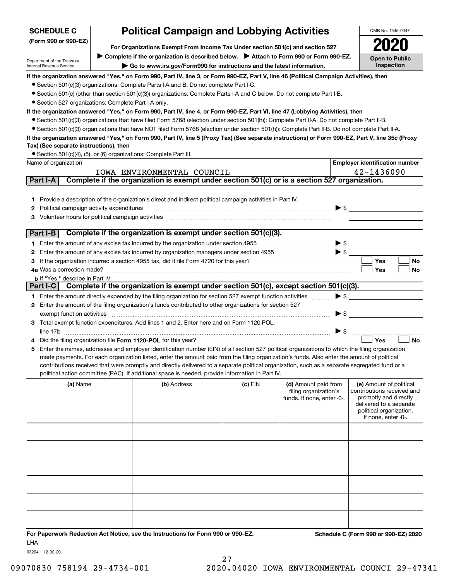| <b>SCHEDULE C</b>                                      | <b>Political Campaign and Lobbying Activities</b>                                                                                                                                                                      |         |                            |                          | OMB No. 1545-0047                                   |
|--------------------------------------------------------|------------------------------------------------------------------------------------------------------------------------------------------------------------------------------------------------------------------------|---------|----------------------------|--------------------------|-----------------------------------------------------|
| (Form 990 or 990-EZ)                                   | For Organizations Exempt From Income Tax Under section 501(c) and section 527                                                                                                                                          |         |                            |                          |                                                     |
|                                                        | ▶ Complete if the organization is described below. ▶ Attach to Form 990 or Form 990-EZ.                                                                                                                                |         |                            |                          | <b>Open to Public</b>                               |
| Department of the Treasury<br>Internal Revenue Service | Go to www.irs.gov/Form990 for instructions and the latest information.                                                                                                                                                 |         |                            |                          | Inspection                                          |
|                                                        | If the organization answered "Yes," on Form 990, Part IV, line 3, or Form 990-EZ, Part V, line 46 (Political Campaign Activities), then                                                                                |         |                            |                          |                                                     |
|                                                        | • Section 501(c)(3) organizations: Complete Parts I-A and B. Do not complete Part I-C.                                                                                                                                 |         |                            |                          |                                                     |
|                                                        | ● Section 501(c) (other than section 501(c)(3)) organizations: Complete Parts I-A and C below. Do not complete Part I-B.                                                                                               |         |                            |                          |                                                     |
| • Section 527 organizations: Complete Part I-A only.   |                                                                                                                                                                                                                        |         |                            |                          |                                                     |
|                                                        | If the organization answered "Yes," on Form 990, Part IV, line 4, or Form 990-EZ, Part VI, line 47 (Lobbying Activities), then                                                                                         |         |                            |                          |                                                     |
|                                                        | • Section 501(c)(3) organizations that have filed Form 5768 (election under section 501(h)): Complete Part II-A. Do not complete Part II-B.                                                                            |         |                            |                          |                                                     |
|                                                        | • Section 501(c)(3) organizations that have NOT filed Form 5768 (election under section 501(h)): Complete Part II-B. Do not complete Part II-A.                                                                        |         |                            |                          |                                                     |
|                                                        | If the organization answered "Yes," on Form 990, Part IV, line 5 (Proxy Tax) (See separate instructions) or Form 990-EZ, Part V, line 35c (Proxy                                                                       |         |                            |                          |                                                     |
| Tax) (See separate instructions), then                 | • Section 501(c)(4), (5), or (6) organizations: Complete Part III.                                                                                                                                                     |         |                            |                          |                                                     |
| Name of organization                                   |                                                                                                                                                                                                                        |         |                            |                          | <b>Employer identification number</b>               |
|                                                        | IOWA ENVIRONMENTAL COUNCIL                                                                                                                                                                                             |         |                            |                          | 42-1436090                                          |
| Part I-A                                               | Complete if the organization is exempt under section 501(c) or is a section 527 organization.                                                                                                                          |         |                            |                          |                                                     |
|                                                        |                                                                                                                                                                                                                        |         |                            |                          |                                                     |
|                                                        | 1 Provide a description of the organization's direct and indirect political campaign activities in Part IV.                                                                                                            |         |                            |                          |                                                     |
| Political campaign activity expenditures<br>2          |                                                                                                                                                                                                                        |         |                            |                          | $\blacktriangleright$ \$                            |
| 3 Volunteer hours for political campaign activities    |                                                                                                                                                                                                                        |         |                            |                          |                                                     |
|                                                        |                                                                                                                                                                                                                        |         |                            |                          |                                                     |
| Part I-B                                               | Complete if the organization is exempt under section 501(c)(3).                                                                                                                                                        |         |                            |                          |                                                     |
|                                                        | 1 Enter the amount of any excise tax incurred by the organization under section 4955                                                                                                                                   |         |                            |                          | $\bullet \mathsf{s} \_\_$                           |
|                                                        | 2 Enter the amount of any excise tax incurred by organization managers under section 4955                                                                                                                              |         |                            |                          |                                                     |
|                                                        |                                                                                                                                                                                                                        |         |                            |                          | <b>Yes</b><br>No                                    |
| 4a Was a correction made?                              |                                                                                                                                                                                                                        |         |                            |                          | Yes<br>No                                           |
| <b>b</b> If "Yes," describe in Part IV.                | Part I-C Complete if the organization is exempt under section 501(c), except section 501(c)(3).                                                                                                                        |         |                            |                          |                                                     |
|                                                        |                                                                                                                                                                                                                        |         |                            | $\blacktriangleright$ \$ |                                                     |
|                                                        | 1 Enter the amount directly expended by the filing organization for section 527 exempt function activities<br>2 Enter the amount of the filing organization's funds contributed to other organizations for section 527 |         |                            |                          |                                                     |
| exempt function activities                             |                                                                                                                                                                                                                        |         |                            | $\blacktriangleright$ \$ |                                                     |
|                                                        | 3 Total exempt function expenditures. Add lines 1 and 2. Enter here and on Form 1120-POL,                                                                                                                              |         |                            |                          |                                                     |
|                                                        |                                                                                                                                                                                                                        |         |                            | $\triangleright$ \$      |                                                     |
|                                                        | Did the filing organization file Form 1120-POL for this year?                                                                                                                                                          |         |                            |                          | Yes<br><b>No</b>                                    |
|                                                        | 5 Enter the names, addresses and employer identification number (EIN) of all section 527 political organizations to which the filing organization                                                                      |         |                            |                          |                                                     |
|                                                        | made payments. For each organization listed, enter the amount paid from the filing organization's funds. Also enter the amount of political                                                                            |         |                            |                          |                                                     |
|                                                        | contributions received that were promptly and directly delivered to a separate political organization, such as a separate segregated fund or a                                                                         |         |                            |                          |                                                     |
|                                                        | political action committee (PAC). If additional space is needed, provide information in Part IV.                                                                                                                       |         |                            |                          |                                                     |
| (a) Name                                               | (b) Address                                                                                                                                                                                                            | (c) EIN | (d) Amount paid from       |                          | (e) Amount of political                             |
|                                                        |                                                                                                                                                                                                                        |         | filing organization's      |                          | contributions received and<br>promptly and directly |
|                                                        |                                                                                                                                                                                                                        |         | funds. If none, enter -0-. |                          | delivered to a separate                             |
|                                                        |                                                                                                                                                                                                                        |         |                            |                          | political organization.                             |
|                                                        |                                                                                                                                                                                                                        |         |                            |                          | If none, enter -0-.                                 |
|                                                        |                                                                                                                                                                                                                        |         |                            |                          |                                                     |
|                                                        |                                                                                                                                                                                                                        |         |                            |                          |                                                     |
|                                                        |                                                                                                                                                                                                                        |         |                            |                          |                                                     |
|                                                        |                                                                                                                                                                                                                        |         |                            |                          |                                                     |
|                                                        |                                                                                                                                                                                                                        |         |                            |                          |                                                     |
|                                                        |                                                                                                                                                                                                                        |         |                            |                          |                                                     |
|                                                        |                                                                                                                                                                                                                        |         |                            |                          |                                                     |
|                                                        |                                                                                                                                                                                                                        |         |                            |                          |                                                     |
|                                                        |                                                                                                                                                                                                                        |         |                            |                          |                                                     |
|                                                        |                                                                                                                                                                                                                        |         |                            |                          |                                                     |
|                                                        |                                                                                                                                                                                                                        |         |                            |                          |                                                     |
|                                                        |                                                                                                                                                                                                                        |         |                            |                          | $0.00E - 21.000E$                                   |

**For Paperwork Reduction Act Notice, see the Instructions for Form 990 or 990-EZ. Schedule C (Form 990 or 990-EZ) 2020** LHA

032041 12-02-20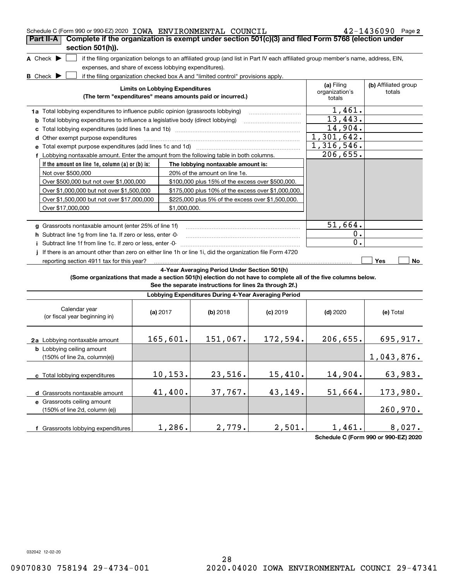| Schedule C (Form 990 or 990-EZ) 2020 IOWA ENVIRONMENTAL COUNCIL                                                 |                                        |              |                                                                                                                                   |            |                                        | $42 - 1436090$ Page 2          |
|-----------------------------------------------------------------------------------------------------------------|----------------------------------------|--------------|-----------------------------------------------------------------------------------------------------------------------------------|------------|----------------------------------------|--------------------------------|
| Complete if the organization is exempt under section 501(c)(3) and filed Form 5768 (election under<br>Part II-A |                                        |              |                                                                                                                                   |            |                                        |                                |
| section 501(h)).                                                                                                |                                        |              |                                                                                                                                   |            |                                        |                                |
| A Check $\blacktriangleright$                                                                                   |                                        |              | if the filing organization belongs to an affiliated group (and list in Part IV each affiliated group member's name, address, EIN, |            |                                        |                                |
| expenses, and share of excess lobbying expenditures).                                                           |                                        |              |                                                                                                                                   |            |                                        |                                |
| B Check $\blacktriangleright$                                                                                   |                                        |              | if the filing organization checked box A and "limited control" provisions apply.                                                  |            |                                        |                                |
|                                                                                                                 | <b>Limits on Lobbying Expenditures</b> |              | (The term "expenditures" means amounts paid or incurred.)                                                                         |            | (a) Filing<br>organization's<br>totals | (b) Affiliated group<br>totals |
| 1a Total lobbying expenditures to influence public opinion (grassroots lobbying)                                |                                        |              |                                                                                                                                   |            | 1,461.                                 |                                |
| <b>b</b> Total lobbying expenditures to influence a legislative body (direct lobbying)                          |                                        |              |                                                                                                                                   |            | 13,443.                                |                                |
| с                                                                                                               |                                        |              |                                                                                                                                   |            | 14,904.                                |                                |
| d Other exempt purpose expenditures                                                                             |                                        |              |                                                                                                                                   |            | 1,301,642.                             |                                |
| e Total exempt purpose expenditures (add lines 1c and 1d)                                                       |                                        |              | and a series of the contract of the contract of the contract of the contract of the contract of the contract of                   |            | 1,316,546.                             |                                |
| f Lobbying nontaxable amount. Enter the amount from the following table in both columns.                        |                                        |              |                                                                                                                                   |            | 206,655.                               |                                |
| If the amount on line 1e, column (a) or (b) is:                                                                 |                                        |              | The lobbying nontaxable amount is:                                                                                                |            |                                        |                                |
| Not over \$500,000                                                                                              |                                        |              | 20% of the amount on line 1e.                                                                                                     |            |                                        |                                |
| Over \$500,000 but not over \$1,000,000                                                                         |                                        |              | \$100,000 plus 15% of the excess over \$500,000.                                                                                  |            |                                        |                                |
| Over \$1,000,000 but not over \$1,500,000                                                                       |                                        |              | \$175,000 plus 10% of the excess over \$1,000,000.                                                                                |            |                                        |                                |
| Over \$1,500,000 but not over \$17,000,000                                                                      |                                        |              | \$225,000 plus 5% of the excess over \$1,500,000.                                                                                 |            |                                        |                                |
| Over \$17,000,000                                                                                               |                                        | \$1,000,000. |                                                                                                                                   |            |                                        |                                |
|                                                                                                                 |                                        |              |                                                                                                                                   |            |                                        |                                |
| g Grassroots nontaxable amount (enter 25% of line 1f)                                                           |                                        |              |                                                                                                                                   |            | 51,664.                                |                                |
| h Subtract line 1q from line 1a. If zero or less, enter -0-                                                     |                                        |              |                                                                                                                                   |            | 0.                                     |                                |
| i Subtract line 1f from line 1c. If zero or less, enter -0-                                                     |                                        |              |                                                                                                                                   |            | 0.                                     |                                |
| j If there is an amount other than zero on either line 1h or line 1i, did the organization file Form 4720       |                                        |              |                                                                                                                                   |            |                                        |                                |
| reporting section 4911 tax for this year?                                                                       |                                        |              |                                                                                                                                   |            |                                        | <b>Yes</b><br>No               |
|                                                                                                                 |                                        |              | 4-Year Averaging Period Under Section 501(h)                                                                                      |            |                                        |                                |
| (Some organizations that made a section 501(h) election do not have to complete all of the five columns below.  |                                        |              |                                                                                                                                   |            |                                        |                                |
|                                                                                                                 |                                        |              | See the separate instructions for lines 2a through 2f.)                                                                           |            |                                        |                                |
|                                                                                                                 |                                        |              | Lobbying Expenditures During 4-Year Averaging Period                                                                              |            |                                        |                                |
| Calendar year<br>(or fiscal year beginning in)                                                                  | (a) $2017$                             |              | $(b)$ 2018                                                                                                                        | $(c)$ 2019 | $(d)$ 2020                             | (e) Total                      |
| 2a Lobbying nontaxable amount                                                                                   | 165,601.                               |              | 151,067.                                                                                                                          | 172,594.   | 206, 655.                              | 695, 917.                      |
| <b>b</b> Lobbying ceiling amount<br>$(150\% \text{ of line } 2a, \text{ column}(e))$                            |                                        |              |                                                                                                                                   |            |                                        | 1,043,876.                     |
| c Total lobbying expenditures                                                                                   | 10, 153.                               |              | 23,516.                                                                                                                           | 15,410.    | 14,904.                                | 63,983.                        |
| d Grassroots nontaxable amount                                                                                  | 41,400.                                |              | 37,767.                                                                                                                           | 43,149.    | 51,664.                                | 173,980.                       |
| e Grassroots ceiling amount                                                                                     |                                        |              |                                                                                                                                   |            |                                        |                                |
| (150% of line 2d, column (e))                                                                                   |                                        |              |                                                                                                                                   |            |                                        | 260,970.                       |
|                                                                                                                 |                                        |              |                                                                                                                                   |            |                                        |                                |
| f Grassroots lobbying expenditures                                                                              |                                        | 1,286.       | 2,779.                                                                                                                            | 2,501.     | 1,461.                                 | 8,027.                         |

**Schedule C (Form 990 or 990-EZ) 2020**

032042 12-02-20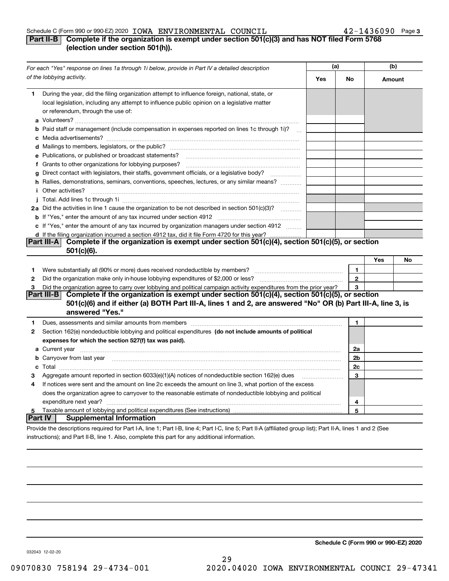#### Schedule C (Form 990 or 990-EZ) 2020 Page IOWA ENVIRONMENTAL COUNCIL 42-1436090

instructions); and Part II-B, line 1. Also, complete this part for any additional information.

### **Part II-B** Complete if the organization is exempt under section 501(c)(3) and has NOT filed Form 5768 **(election under section 501(h)).**

|                     | For each "Yes" response on lines 1a through 1i below, provide in Part IV a detailed description                                                                                                                                      | (a) |                      | (b)    |    |
|---------------------|--------------------------------------------------------------------------------------------------------------------------------------------------------------------------------------------------------------------------------------|-----|----------------------|--------|----|
|                     | of the lobbying activity.                                                                                                                                                                                                            | Yes | No                   | Amount |    |
| 1.                  | During the year, did the filing organization attempt to influence foreign, national, state, or<br>local legislation, including any attempt to influence public opinion on a legislative matter<br>or referendum, through the use of: |     |                      |        |    |
|                     | b Paid staff or management (include compensation in expenses reported on lines 1c through 1i)?                                                                                                                                       |     |                      |        |    |
|                     |                                                                                                                                                                                                                                      |     |                      |        |    |
|                     | e Publications, or published or broadcast statements?                                                                                                                                                                                |     |                      |        |    |
|                     | f Grants to other organizations for lobbying purposes?                                                                                                                                                                               |     |                      |        |    |
| g                   | Direct contact with legislators, their staffs, government officials, or a legislative body?<br>.                                                                                                                                     |     |                      |        |    |
|                     | h Rallies, demonstrations, seminars, conventions, speeches, lectures, or any similar means?                                                                                                                                          |     |                      |        |    |
|                     | <i>i</i> Other activities?                                                                                                                                                                                                           |     |                      |        |    |
|                     |                                                                                                                                                                                                                                      |     |                      |        |    |
|                     | 2a Did the activities in line 1 cause the organization to be not described in section 501(c)(3)?                                                                                                                                     |     |                      |        |    |
|                     |                                                                                                                                                                                                                                      |     |                      |        |    |
|                     | c If "Yes," enter the amount of any tax incurred by organization managers under section 4912                                                                                                                                         |     |                      |        |    |
|                     | d If the filing organization incurred a section 4912 tax, did it file Form 4720 for this year?                                                                                                                                       |     |                      |        |    |
|                     | Part III-A Complete if the organization is exempt under section 501(c)(4), section 501(c)(5), or section                                                                                                                             |     |                      |        |    |
|                     | 501(c)(6).                                                                                                                                                                                                                           |     |                      |        |    |
|                     |                                                                                                                                                                                                                                      |     |                      | Yes    | No |
| 1                   | Were substantially all (90% or more) dues received nondeductible by members?                                                                                                                                                         |     | 1                    |        |    |
| $\mathbf{2}$        | Did the organization make only in house lobbying expenditures of \$2,000 or less?                                                                                                                                                    |     | $\mathbf{2}$         |        |    |
| 3                   | Did the organization agree to carry over lobbying and political campaign activity expenditures from the prior year?                                                                                                                  |     | 3                    |        |    |
|                     | Complete if the organization is exempt under section 501(c)(4), section 501(c)(5), or section<br>Part III-B                                                                                                                          |     |                      |        |    |
|                     | 501(c)(6) and if either (a) BOTH Part III-A, lines 1 and 2, are answered "No" OR (b) Part III-A, line 3, is<br>answered "Yes."                                                                                                       |     |                      |        |    |
| 1                   | Dues, assessments and similar amounts from members [111] matter continuum matter and similar and similar amounts from members [11] matter continuum matter and similar amounts from members [11] matter and similar and simila       |     | $\mathbf{1}$         |        |    |
| 2                   | Section 162(e) nondeductible lobbying and political expenditures (do not include amounts of political                                                                                                                                |     |                      |        |    |
|                     | expenses for which the section 527(f) tax was paid).                                                                                                                                                                                 |     |                      |        |    |
|                     |                                                                                                                                                                                                                                      |     |                      |        |    |
|                     |                                                                                                                                                                                                                                      |     | 2a<br>2 <sub>b</sub> |        |    |
|                     | <b>b</b> Carryover from last year                                                                                                                                                                                                    |     | 2c                   |        |    |
|                     |                                                                                                                                                                                                                                      |     |                      |        |    |
| з                   | Aggregate amount reported in section 6033(e)(1)(A) notices of nondeductible section 162(e) dues                                                                                                                                      |     | 3                    |        |    |
| 4                   | If notices were sent and the amount on line 2c exceeds the amount on line 3, what portion of the excess                                                                                                                              |     |                      |        |    |
|                     | does the organization agree to carryover to the reasonable estimate of nondeductible lobbying and political                                                                                                                          |     |                      |        |    |
|                     | expenditure next year?                                                                                                                                                                                                               |     | 4<br>5               |        |    |
| 5<br><b>Part IV</b> | <b>Supplemental Information</b>                                                                                                                                                                                                      |     |                      |        |    |
|                     | Provide the descriptions required for Part I-A, line 1; Part I-B, line 4; Part I-C, line 5; Part II-A (affiliated group list); Part II-A, lines 1 and 2 (See                                                                         |     |                      |        |    |
|                     |                                                                                                                                                                                                                                      |     |                      |        |    |

032043 12-02-20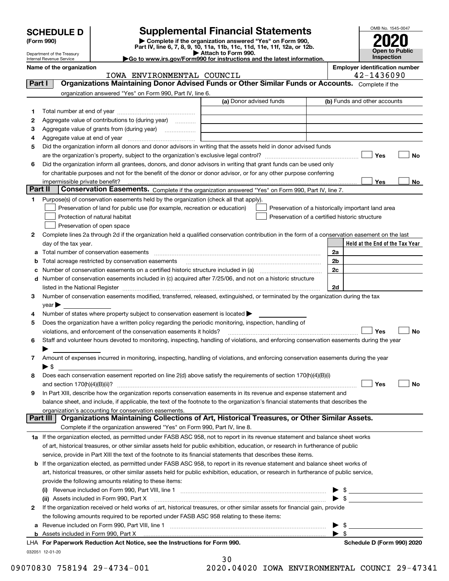| <b>SCHEDULE D</b> |  |
|-------------------|--|
|-------------------|--|

| (Form 990) |  |  |
|------------|--|--|
|------------|--|--|

### **Supplemental Financial Statements**

**(Form 990)** (**Form 990,**<br>Part IV, line 6, 7, 8, 9, 10, 11a, 11b, 11c, 11d, 11e, 11f, 12a, or 12b.<br>Department of the Treasury **and Exercise Connect Connect Connect Connect Connect Connect Connect Connect Connect** 

IOWA ENVIRONMENTAL COUNCIL 42-1436090



Department of the Treasury Internal Revenue Service

**|Go to www.irs.gov/Form990 for instructions and the latest information. Name of the organization Employer identification number**

032051 12-01-20 **Held at the End of the Tax Year** (a) Donor advised funds **123456Yes No Yes**<u>es \_\_\_\_\_\_\_\_ No</u> **12**Complete lines 2a through 2d if the organization held a qualified conservation contribution in the form of a conservation easement on the last **3456789abc** Number of conservation easements on a certified historic structure included in (a) www.communically **d2a2b2c2dYes No Yes No 1a** If the organization elected, as permitted under FASB ASC 958, not to report in its revenue statement and balance sheet works **2b** If the organization elected, as permitted under FASB ASC 958, to report in its revenue statement and balance sheet works of **(i)** Revenue included on Form 990, Part VIII, line 1 ~~~~~~~~~~~~~~~~~~~~~~~~~~~~ | \$ **(ii)** Assets included in Form 990, Part X ~~~~~~~~~~~~~~~~~~~~~~~~~~~~~~~~~ | \$ **a**Revenue included on Form 990, Part VIII, line 1 ~~~~~~~~~~~~~~~~~~~~~~~~~~~~~~**bFor Paperwork Reduction Act Notice, see the Instructions for Form 990. Schedule D (Form 990) 2020** LHAComplete if the organization answered "Yes" on Form 990, Part IV, line 6. (b) Funds and other accounts Total number at end of year ~~~~~~~~~~~~~~~ Aggregate value of contributions to (during year)  $\quad \quad \ldots \ldots \ldots$ Aggregate value of grants from (during year) www.community Aggregate value at end of year ~~~~~~~~~~~~~ Did the organization inform all donors and donor advisors in writing that the assets held in donor advised funds are the organization's property, subject to the organization's exclusive legal control? ~~~~~~~~~~~~~~~~~~ Did the organization inform all grantees, donors, and donor advisors in writing that grant funds can be used only for charitable purposes and not for the benefit of the donor or donor advisor, or for any other purpose conferring impermissible private benefit? **Part II | Conservation Easements.** Complete if the organization answered "Yes" on Form 990, Part IV, line 7. Purpose(s) of conservation easements held by the organization (check all that apply). Preservation of land for public use (for example, recreation or education) **Protection of natural habitat Example 2014** Preservation of open space Preservation of a historically important land area Preservation of a certified historic structure day of the tax year. Total number of conservation easements ~~~~~~~~~~~~~~~~~~~~~~~~~~~~~~~~Total acreage restricted by conservation easements ~~~~~~~~~~~~~~~~~~~~~~~~~~Number of conservation easements included in (c) acquired after 7/25/06, and not on a historic structure listed in the National Register ~~~~~~~~~~~~~~~~~~~~~~~~~~~~~~~~~~~~~~ Number of conservation easements modified, transferred, released, extinguished, or terminated by the organization during the tax  $year$ Number of states where property subject to conservation easement is located  $\blacktriangleright$ Does the organization have a written policy regarding the periodic monitoring, inspection, handling of violations, and enforcement of the conservation easements it holds?  $\Box$   $\Box$   $\Box$   $\Box$ Staff and volunteer hours devoted to monitoring, inspecting, handling of violations, and enforcing conservation easements during the year  $\blacktriangleright$ Amount of expenses incurred in monitoring, inspecting, handling of violations, and enforcing conservation easements during the year  $\blacktriangleright$  \$ Does each conservation easement reported on line 2(d) above satisfy the requirements of section 170(h)(4)(B)(i) and section 170(h)(4)(B)(ii)? ~~~~~~~~~~~~~~~~~~~~~~~~~~~~~~~~~~~~~~~~~~~~~~ In Part XIII, describe how the organization reports conservation easements in its revenue and expense statement and balance sheet, and include, if applicable, the text of the footnote to the organization's financial statements that describes the organization's accounting for conservation easements. Complete if the organization answered "Yes" on Form 990, Part IV, line 8. of art, historical treasures, or other similar assets held for public exhibition, education, or research in furtherance of public service, provide in Part XIII the text of the footnote to its financial statements that describes these items. art, historical treasures, or other similar assets held for public exhibition, education, or research in furtherance of public service, provide the following amounts relating to these items: If the organization received or held works of art, historical treasures, or other similar assets for financial gain, provide the following amounts required to be reported under FASB ASC 958 relating to these items: Assets included in Form 990, Part X  $\blacktriangleright$  \$  $\ldots$   $\blacktriangleright$  \$ **Part I Organizations Maintaining Donor Advised Funds or Other Similar Funds or Accounts. Part III Organizations Maintaining Collections of Art, Historical Treasures, or Other Similar Assets.**  $\mathcal{L}^{\text{max}}$  $\mathcal{L}^{\text{max}}$  $\Box$  Yes  $\Box$  $\mathcal{L}^{\text{max}}$  $\mathcal{L}^{\text{max}}$  $\mathcal{L}^{\text{max}}$ 

30

09070830 758194 29-4734-001 2020.04020 IOWA ENVIRONMENTAL COUNCI 29-47341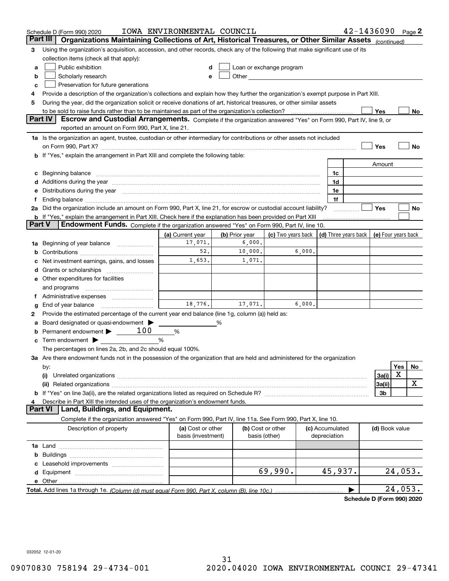|        | Schedule D (Form 990) 2020                                                                                                                                                                                                     | IOWA ENVIRONMENTAL COUNCIL              |                |                                                                                                                                                                                                                               |        |                                      | 42-1436090 |                     |         | Page $2$ |
|--------|--------------------------------------------------------------------------------------------------------------------------------------------------------------------------------------------------------------------------------|-----------------------------------------|----------------|-------------------------------------------------------------------------------------------------------------------------------------------------------------------------------------------------------------------------------|--------|--------------------------------------|------------|---------------------|---------|----------|
|        | Part III<br>Organizations Maintaining Collections of Art, Historical Treasures, or Other Similar Assets (continued)                                                                                                            |                                         |                |                                                                                                                                                                                                                               |        |                                      |            |                     |         |          |
| 3      | Using the organization's acquisition, accession, and other records, check any of the following that make significant use of its                                                                                                |                                         |                |                                                                                                                                                                                                                               |        |                                      |            |                     |         |          |
|        | collection items (check all that apply):                                                                                                                                                                                       |                                         |                |                                                                                                                                                                                                                               |        |                                      |            |                     |         |          |
| a      | Public exhibition                                                                                                                                                                                                              |                                         |                | Loan or exchange program                                                                                                                                                                                                      |        |                                      |            |                     |         |          |
| b      | Scholarly research                                                                                                                                                                                                             |                                         |                | Other and the contract of the contract of the contract of the contract of the contract of the contract of the contract of the contract of the contract of the contract of the contract of the contract of the contract of the |        |                                      |            |                     |         |          |
| с      | Preservation for future generations                                                                                                                                                                                            |                                         |                |                                                                                                                                                                                                                               |        |                                      |            |                     |         |          |
| 4      | Provide a description of the organization's collections and explain how they further the organization's exempt purpose in Part XIII.                                                                                           |                                         |                |                                                                                                                                                                                                                               |        |                                      |            |                     |         |          |
| 5      | During the year, did the organization solicit or receive donations of art, historical treasures, or other similar assets                                                                                                       |                                         |                |                                                                                                                                                                                                                               |        |                                      |            |                     |         |          |
|        | to be sold to raise funds rather than to be maintained as part of the organization's collection?                                                                                                                               |                                         |                |                                                                                                                                                                                                                               |        |                                      |            | Yes                 |         | No       |
|        | <b>Part IV</b><br>Escrow and Custodial Arrangements. Complete if the organization answered "Yes" on Form 990, Part IV, line 9, or                                                                                              |                                         |                |                                                                                                                                                                                                                               |        |                                      |            |                     |         |          |
|        | reported an amount on Form 990, Part X, line 21.                                                                                                                                                                               |                                         |                |                                                                                                                                                                                                                               |        |                                      |            |                     |         |          |
|        | 1a Is the organization an agent, trustee, custodian or other intermediary for contributions or other assets not included                                                                                                       |                                         |                |                                                                                                                                                                                                                               |        |                                      |            |                     |         |          |
|        | on Form 990, Part X? [11] matter contracts and contracts and contracts are contracted and contracts are contracted and contract and contract of the set of the set of the set of the set of the set of the set of the set of t |                                         |                |                                                                                                                                                                                                                               |        |                                      |            | Yes                 |         | No       |
|        | <b>b</b> If "Yes," explain the arrangement in Part XIII and complete the following table:                                                                                                                                      |                                         |                |                                                                                                                                                                                                                               |        |                                      |            |                     |         |          |
|        |                                                                                                                                                                                                                                |                                         |                |                                                                                                                                                                                                                               |        |                                      |            | Amount              |         |          |
| c      | Beginning balance material content contracts and all the content of the content of the content of the content of the content of the content of the content of the content of the content of the content of the content of the  |                                         |                |                                                                                                                                                                                                                               |        | 1c                                   |            |                     |         |          |
|        | Additions during the year manufactured and an according to the year manufactured and according the year manufactured and according the year manufactured and according the year manufactured and according the year manufactur |                                         |                |                                                                                                                                                                                                                               |        | 1d                                   |            |                     |         |          |
|        | Distributions during the year manufactured and an account of the year manufactured and the year manufactured and the year manufactured and the year manufactured and the year manufactured and the year manufactured and the y |                                         |                |                                                                                                                                                                                                                               |        | 1e                                   |            |                     |         |          |
| Ť.,    |                                                                                                                                                                                                                                |                                         |                |                                                                                                                                                                                                                               |        | 1f                                   |            |                     |         |          |
|        | 2a Did the organization include an amount on Form 990, Part X, line 21, for escrow or custodial account liability?                                                                                                             |                                         |                |                                                                                                                                                                                                                               |        |                                      |            | Yes                 |         | No       |
| Part V | <b>b</b> If "Yes," explain the arrangement in Part XIII. Check here if the explanation has been provided on Part XIII<br>Endowment Funds. Complete if the organization answered "Yes" on Form 990, Part IV, line 10.           |                                         |                |                                                                                                                                                                                                                               |        |                                      |            |                     |         |          |
|        |                                                                                                                                                                                                                                |                                         | (b) Prior year | (c) Two years back                                                                                                                                                                                                            |        |                                      |            | (e) Four years back |         |          |
|        |                                                                                                                                                                                                                                | (a) Current year<br>17,071.             | 6,000.         |                                                                                                                                                                                                                               |        | $\vert$ (d) Three years back $\vert$ |            |                     |         |          |
| 1a     | Beginning of year balance                                                                                                                                                                                                      | 52.                                     | 10,000.        |                                                                                                                                                                                                                               | 6,000. |                                      |            |                     |         |          |
|        |                                                                                                                                                                                                                                | 1,653.                                  | 1,071.         |                                                                                                                                                                                                                               |        |                                      |            |                     |         |          |
|        | Net investment earnings, gains, and losses                                                                                                                                                                                     |                                         |                |                                                                                                                                                                                                                               |        |                                      |            |                     |         |          |
| d      | e Other expenditures for facilities                                                                                                                                                                                            |                                         |                |                                                                                                                                                                                                                               |        |                                      |            |                     |         |          |
|        | and programs                                                                                                                                                                                                                   |                                         |                |                                                                                                                                                                                                                               |        |                                      |            |                     |         |          |
|        | f Administrative expenses                                                                                                                                                                                                      |                                         |                |                                                                                                                                                                                                                               |        |                                      |            |                     |         |          |
|        | End of year balance                                                                                                                                                                                                            | 18,776.                                 | 17,071.        |                                                                                                                                                                                                                               | 6,000. |                                      |            |                     |         |          |
| g<br>2 | Provide the estimated percentage of the current year end balance (line 1g, column (a)) held as:                                                                                                                                |                                         |                |                                                                                                                                                                                                                               |        |                                      |            |                     |         |          |
| а      | Board designated or quasi-endowment >                                                                                                                                                                                          |                                         | %              |                                                                                                                                                                                                                               |        |                                      |            |                     |         |          |
|        | Permanent endowment $\blacktriangleright$ ______100                                                                                                                                                                            | %                                       |                |                                                                                                                                                                                                                               |        |                                      |            |                     |         |          |
|        | Term endowment $\blacktriangleright$                                                                                                                                                                                           | %                                       |                |                                                                                                                                                                                                                               |        |                                      |            |                     |         |          |
|        | The percentages on lines 2a, 2b, and 2c should equal 100%.                                                                                                                                                                     |                                         |                |                                                                                                                                                                                                                               |        |                                      |            |                     |         |          |
|        | 3a Are there endowment funds not in the possession of the organization that are held and administered for the organization                                                                                                     |                                         |                |                                                                                                                                                                                                                               |        |                                      |            |                     |         |          |
|        | by:                                                                                                                                                                                                                            |                                         |                |                                                                                                                                                                                                                               |        |                                      |            |                     | Yes     | No       |
|        | (i)                                                                                                                                                                                                                            |                                         |                |                                                                                                                                                                                                                               |        |                                      |            | 3a(i)               | х       |          |
|        |                                                                                                                                                                                                                                |                                         |                |                                                                                                                                                                                                                               |        |                                      |            | 3a(ii)              |         | х        |
|        |                                                                                                                                                                                                                                |                                         |                |                                                                                                                                                                                                                               |        |                                      |            | 3b                  |         |          |
| 4      | Describe in Part XIII the intended uses of the organization's endowment funds.                                                                                                                                                 |                                         |                |                                                                                                                                                                                                                               |        |                                      |            |                     |         |          |
|        | Land, Buildings, and Equipment.<br>Part VI                                                                                                                                                                                     |                                         |                |                                                                                                                                                                                                                               |        |                                      |            |                     |         |          |
|        | Complete if the organization answered "Yes" on Form 990, Part IV, line 11a. See Form 990, Part X, line 10.                                                                                                                     |                                         |                |                                                                                                                                                                                                                               |        |                                      |            |                     |         |          |
|        | Description of property                                                                                                                                                                                                        | (a) Cost or other<br>basis (investment) |                | (b) Cost or other<br>basis (other)                                                                                                                                                                                            |        | (c) Accumulated<br>depreciation      |            | (d) Book value      |         |          |
|        |                                                                                                                                                                                                                                |                                         |                |                                                                                                                                                                                                                               |        |                                      |            |                     |         |          |
| b      |                                                                                                                                                                                                                                |                                         |                |                                                                                                                                                                                                                               |        |                                      |            |                     |         |          |
|        |                                                                                                                                                                                                                                |                                         |                |                                                                                                                                                                                                                               |        |                                      |            |                     |         |          |
|        |                                                                                                                                                                                                                                |                                         |                | 69,990.                                                                                                                                                                                                                       |        | 45,937.                              |            |                     | 24,053. |          |
|        | e Other                                                                                                                                                                                                                        |                                         |                |                                                                                                                                                                                                                               |        |                                      |            |                     |         |          |
|        |                                                                                                                                                                                                                                |                                         |                |                                                                                                                                                                                                                               |        |                                      |            |                     | 24,053. |          |

**Schedule D (Form 990) 2020**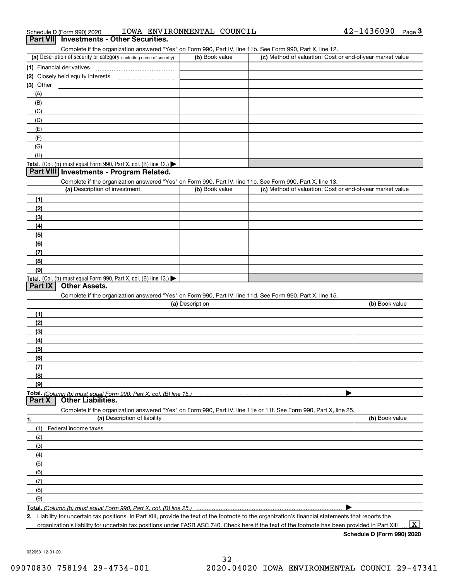| IOWA ENVIRONMENTAL COUNCIL<br>Schedule D (Form 990) 2020 | 42-1436090 | Page |  |
|----------------------------------------------------------|------------|------|--|
|----------------------------------------------------------|------------|------|--|

# Schedule D (Form 990) 2020 **10WA ENVI.**<br>**Part VII Investments - Other Securities.**

Complete if the organization answered "Yes" on Form 990, Part IV, line 11b. See Form 990, Part X, line 12.

| (a) Description of security or category (including name of security)                   | (b) Book value | (c) Method of valuation: Cost or end-of-year market value |
|----------------------------------------------------------------------------------------|----------------|-----------------------------------------------------------|
| (1) Financial derivatives                                                              |                |                                                           |
| (2) Closely held equity interests<br>                                                  |                |                                                           |
| $(3)$ Other                                                                            |                |                                                           |
| (A)                                                                                    |                |                                                           |
| (B)                                                                                    |                |                                                           |
| (C)                                                                                    |                |                                                           |
| (D)                                                                                    |                |                                                           |
| (E)                                                                                    |                |                                                           |
| (F)                                                                                    |                |                                                           |
| (G)                                                                                    |                |                                                           |
| (H)                                                                                    |                |                                                           |
| Total. (Col. (b) must equal Form 990, Part X, col. (B) line 12.) $\blacktriangleright$ |                |                                                           |

#### **Part VIII Investments - Program Related.**

Complete if the organization answered "Yes" on Form 990, Part IV, line 11c. See Form 990, Part X, line 13.

| (a) Description of investment                                       | (b) Book value | (c) Method of valuation: Cost or end-of-year market value |
|---------------------------------------------------------------------|----------------|-----------------------------------------------------------|
| (1)                                                                 |                |                                                           |
| (2)                                                                 |                |                                                           |
| $\frac{1}{2}$                                                       |                |                                                           |
| (4)                                                                 |                |                                                           |
| $\left(5\right)$                                                    |                |                                                           |
| (6)                                                                 |                |                                                           |
| (7)                                                                 |                |                                                           |
| (8)                                                                 |                |                                                           |
| (9)                                                                 |                |                                                           |
| Total. (Col. (b) must equal Form 990, Part X, col. (B) line $13.$ ) |                |                                                           |

#### **Part IX Other Assets.**

Complete if the organization answered "Yes" on Form 990, Part IV, line 11d. See Form 990, Part X, line 15.

| (a) Description                                                                                                   | (b) Book value |
|-------------------------------------------------------------------------------------------------------------------|----------------|
| (1)                                                                                                               |                |
| (2)                                                                                                               |                |
| $\frac{1}{2}$                                                                                                     |                |
| (4)                                                                                                               |                |
| (5)                                                                                                               |                |
| (6)                                                                                                               |                |
| (7)                                                                                                               |                |
| (8)                                                                                                               |                |
| (9)                                                                                                               |                |
|                                                                                                                   |                |
| <b>Part X</b> Other Liabilities.                                                                                  |                |
| Complete if the organization answered "Yes" on Form 990, Part IV, line 11e or 11f. See Form 990, Part X, line 25. |                |

| 1.                | (a) Description of liability | (b) Book value |
|-------------------|------------------------------|----------------|
| (1)               | Federal income taxes         |                |
| (2)               |                              |                |
| (3)               |                              |                |
| (4)               |                              |                |
| $\frac{1}{2}$ (5) |                              |                |
| (6)               |                              |                |
| $\qquad$ (7)      |                              |                |
| (8)               |                              |                |
| (9)               |                              |                |
|                   |                              |                |

*(Column (b) must equal Form 990, Part X, col. (B) line 25.)* 

**2.**Liability for uncertain tax positions. In Part XIII, provide the text of the footnote to the organization's financial statements that reports the organization's liability for uncertain tax positions under FASB ASC 740. Check here if the text of the footnote has been provided in Part XIII

**Schedule D (Form 990) 2020**

 $\boxed{\text{X}}$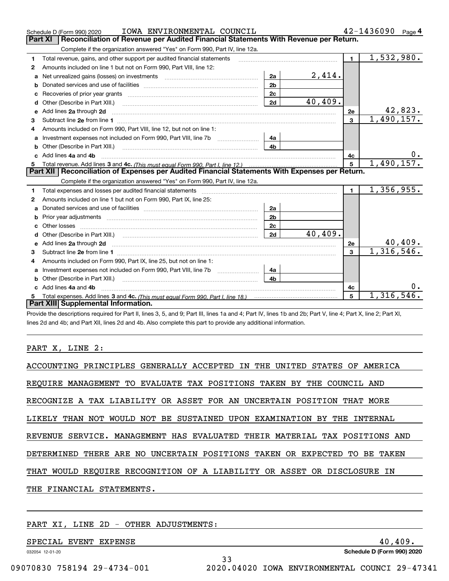|    | IOWA ENVIRONMENTAL COUNCIL<br>Schedule D (Form 990) 2020                                                                                                                                                                            |                |         |                | 42-1436090<br>Page 4         |
|----|-------------------------------------------------------------------------------------------------------------------------------------------------------------------------------------------------------------------------------------|----------------|---------|----------------|------------------------------|
|    | <b>Part XI</b><br>Reconciliation of Revenue per Audited Financial Statements With Revenue per Return.                                                                                                                               |                |         |                |                              |
|    | Complete if the organization answered "Yes" on Form 990, Part IV, line 12a.                                                                                                                                                         |                |         |                |                              |
| 1  | Total revenue, gains, and other support per audited financial statements                                                                                                                                                            |                |         | $\blacksquare$ | $\overline{1,532},980.$      |
| 2  | Amounts included on line 1 but not on Form 990, Part VIII, line 12:                                                                                                                                                                 |                |         |                |                              |
| a  | Net unrealized gains (losses) on investments [11] matter contracts and the unrealized gains (losses) on investments                                                                                                                 | 2a             | 2,414.  |                |                              |
| b  |                                                                                                                                                                                                                                     | 2 <sub>b</sub> |         |                |                              |
|    |                                                                                                                                                                                                                                     | 2c             |         |                |                              |
| d  | Other (Describe in Part XIII.)                                                                                                                                                                                                      | 2d             | 40,409. |                |                              |
| е  | Add lines 2a through 2d                                                                                                                                                                                                             |                |         | 2e             | 42,823.                      |
| 3  |                                                                                                                                                                                                                                     |                |         | $\mathbf{3}$   | 1,490,157.                   |
| 4  | Amounts included on Form 990, Part VIII, line 12, but not on line 1:                                                                                                                                                                |                |         |                |                              |
|    |                                                                                                                                                                                                                                     | 4a             |         |                |                              |
|    |                                                                                                                                                                                                                                     | 4 <sub>b</sub> |         |                |                              |
| c. | Add lines 4a and 4b                                                                                                                                                                                                                 |                |         | 4с             |                              |
|    |                                                                                                                                                                                                                                     |                |         | $5^{\circ}$    | 1,490,157.                   |
|    |                                                                                                                                                                                                                                     |                |         |                |                              |
|    | Part XII   Reconciliation of Expenses per Audited Financial Statements With Expenses per Return.                                                                                                                                    |                |         |                |                              |
|    | Complete if the organization answered "Yes" on Form 990, Part IV, line 12a.                                                                                                                                                         |                |         |                |                              |
| 1  | Total expenses and losses per audited financial statements [11] [11] Total expenses and losses per audited financial statements [11] [11] Total expenses and losses per audited financial statements                                |                |         | $\blacksquare$ | 1,356,955.                   |
| 2  | Amounts included on line 1 but not on Form 990, Part IX, line 25:                                                                                                                                                                   |                |         |                |                              |
| a  |                                                                                                                                                                                                                                     | 2a             |         |                |                              |
|    |                                                                                                                                                                                                                                     | 2 <sub>b</sub> |         |                |                              |
|    | Other losses                                                                                                                                                                                                                        | 2 <sub>c</sub> |         |                |                              |
| d  | Other (Describe in Part XIII.) (COLORGIAL CONSERVITION) (CONSERVITION) (CONSERVITION) (CONSERVITION)                                                                                                                                | 2d             | 40,409. |                |                              |
|    | Add lines 2a through 2d <b>contained a contained a contained a contained a</b> contained a contact the state of the state of the state of the state of the state of the state of the state of the state of the state of the state o |                |         | 2e             |                              |
| 3  |                                                                                                                                                                                                                                     |                |         | 3              | $\frac{40,409.}{1,316,546.}$ |
| 4  | Amounts included on Form 990, Part IX, line 25, but not on line 1:                                                                                                                                                                  |                |         |                |                              |
| a  |                                                                                                                                                                                                                                     | 4a             |         |                |                              |
|    | <b>b</b> Other (Describe in Part XIII.)                                                                                                                                                                                             | 4 <sub>b</sub> |         |                |                              |
| c  | Add lines 4a and 4b                                                                                                                                                                                                                 |                |         | 4с             |                              |
|    | Part XIII Supplemental Information.                                                                                                                                                                                                 |                |         | 5              | 1,316,546.                   |

Provide the descriptions required for Part II, lines 3, 5, and 9; Part III, lines 1a and 4; Part IV, lines 1b and 2b; Part V, line 4; Part X, line 2; Part XI, lines 2d and 4b; and Part XII, lines 2d and 4b. Also complete this part to provide any additional information.

#### PART X, LINE 2:

| ACCOUNTING PRINCIPLES GENERALLY ACCEPTED IN THE UNITED STATES OF AMERICA   |
|----------------------------------------------------------------------------|
| REQUIRE MANAGEMENT TO EVALUATE TAX POSITIONS TAKEN BY THE COUNCIL AND      |
| RECOGNIZE A TAX LIABILITY OR ASSET FOR AN UNCERTAIN POSITION THAT MORE     |
| LIKELY THAN NOT WOULD NOT BE SUSTAINED UPON EXAMINATION BY THE INTERNAL    |
| REVENUE SERVICE. MANAGEMENT HAS EVALUATED THEIR MATERIAL TAX POSITIONS AND |
| DETERMINED THERE ARE NO UNCERTAIN POSITIONS TAKEN OR EXPECTED TO BE TAKEN  |
| THAT WOULD REQUIRE RECOGNITION OF A LIABILITY OR ASSET OR DISCLOSURE IN    |
| THE FINANCIAL STATEMENTS.                                                  |
|                                                                            |

33

#### PART XI, LINE 2D - OTHER ADJUSTMENTS:

SPECIAL EVENT EXPENSE 40,409.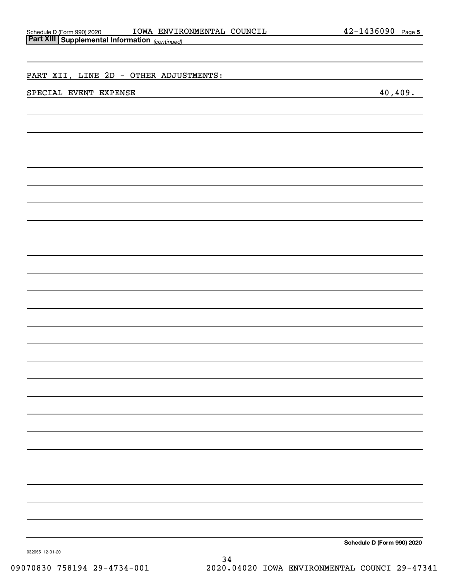| Schedule D (Form 990) 2020                               |
|----------------------------------------------------------|
| $D_{\alpha}$ $\sim$ VIIII $\alpha$ . The set of $\alpha$ |

| Part XIII Supplemental Information (continued) |                                                                                                                   |
|------------------------------------------------|-------------------------------------------------------------------------------------------------------------------|
|                                                |                                                                                                                   |
|                                                |                                                                                                                   |
| PART XII, LINE 2D - OTHER ADJUSTMENTS:         |                                                                                                                   |
| SPECIAL EVENT EXPENSE                          | 40,409.                                                                                                           |
|                                                |                                                                                                                   |
|                                                |                                                                                                                   |
|                                                |                                                                                                                   |
|                                                |                                                                                                                   |
|                                                |                                                                                                                   |
|                                                |                                                                                                                   |
|                                                |                                                                                                                   |
|                                                |                                                                                                                   |
|                                                |                                                                                                                   |
|                                                |                                                                                                                   |
|                                                |                                                                                                                   |
|                                                |                                                                                                                   |
|                                                |                                                                                                                   |
|                                                |                                                                                                                   |
|                                                |                                                                                                                   |
|                                                |                                                                                                                   |
|                                                |                                                                                                                   |
|                                                |                                                                                                                   |
|                                                |                                                                                                                   |
|                                                |                                                                                                                   |
|                                                |                                                                                                                   |
|                                                |                                                                                                                   |
|                                                |                                                                                                                   |
|                                                |                                                                                                                   |
|                                                |                                                                                                                   |
|                                                |                                                                                                                   |
|                                                |                                                                                                                   |
|                                                |                                                                                                                   |
|                                                |                                                                                                                   |
|                                                |                                                                                                                   |
|                                                |                                                                                                                   |
|                                                |                                                                                                                   |
|                                                |                                                                                                                   |
|                                                |                                                                                                                   |
|                                                |                                                                                                                   |
|                                                |                                                                                                                   |
|                                                | $d_{\text{min}} = \sum_{n=1}^{n} \sum_{n=1}^{n} \frac{1}{n} \left( \sum_{n=1}^{n} \frac{1}{n} \right)$<br>$0 - 1$ |

**Schedule D (Form 990) 2020**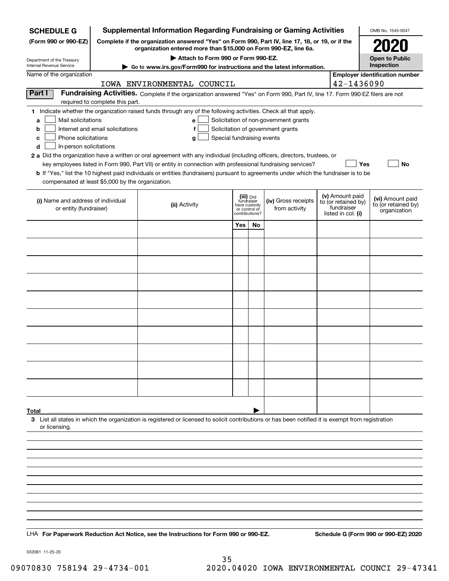| <b>SCHEDULE G</b>                                                                                                                     |                                                                                                                                                                     | <b>Supplemental Information Regarding Fundraising or Gaming Activities</b>                                                                                                                                                                |                               |           |                                       |  |                                   | OMB No. 1545-0047                     |
|---------------------------------------------------------------------------------------------------------------------------------------|---------------------------------------------------------------------------------------------------------------------------------------------------------------------|-------------------------------------------------------------------------------------------------------------------------------------------------------------------------------------------------------------------------------------------|-------------------------------|-----------|---------------------------------------|--|-----------------------------------|---------------------------------------|
| (Form 990 or 990-EZ)                                                                                                                  | Complete if the organization answered "Yes" on Form 990, Part IV, line 17, 18, or 19, or if the<br>organization entered more than \$15,000 on Form 990-EZ, line 6a. |                                                                                                                                                                                                                                           |                               |           |                                       |  |                                   | 2021                                  |
| Department of the Treasury                                                                                                            | Attach to Form 990 or Form 990-EZ.                                                                                                                                  |                                                                                                                                                                                                                                           |                               |           |                                       |  |                                   | <b>Open to Public</b>                 |
| <b>Internal Revenue Service</b><br>Go to www.irs.gov/Form990 for instructions and the latest information.<br>Name of the organization |                                                                                                                                                                     |                                                                                                                                                                                                                                           |                               |           |                                       |  | Inspection                        |                                       |
|                                                                                                                                       |                                                                                                                                                                     | IOWA ENVIRONMENTAL COUNCIL                                                                                                                                                                                                                |                               |           |                                       |  | 42-1436090                        | <b>Employer identification number</b> |
| Part I                                                                                                                                |                                                                                                                                                                     | Fundraising Activities. Complete if the organization answered "Yes" on Form 990, Part IV, line 17. Form 990-EZ filers are not                                                                                                             |                               |           |                                       |  |                                   |                                       |
|                                                                                                                                       | required to complete this part.                                                                                                                                     |                                                                                                                                                                                                                                           |                               |           |                                       |  |                                   |                                       |
| Mail solicitations<br>a                                                                                                               |                                                                                                                                                                     | 1 Indicate whether the organization raised funds through any of the following activities. Check all that apply.<br>e l                                                                                                                    |                               |           | Solicitation of non-government grants |  |                                   |                                       |
| b                                                                                                                                     | Internet and email solicitations                                                                                                                                    | f                                                                                                                                                                                                                                         |                               |           | Solicitation of government grants     |  |                                   |                                       |
| Phone solicitations<br>с                                                                                                              |                                                                                                                                                                     | Special fundraising events<br>g                                                                                                                                                                                                           |                               |           |                                       |  |                                   |                                       |
| d<br>In-person solicitations                                                                                                          |                                                                                                                                                                     |                                                                                                                                                                                                                                           |                               |           |                                       |  |                                   |                                       |
|                                                                                                                                       |                                                                                                                                                                     | 2 a Did the organization have a written or oral agreement with any individual (including officers, directors, trustees, or<br>key employees listed in Form 990, Part VII) or entity in connection with professional fundraising services? |                               |           |                                       |  | Yes                               | No                                    |
|                                                                                                                                       |                                                                                                                                                                     | <b>b</b> If "Yes," list the 10 highest paid individuals or entities (fundraisers) pursuant to agreements under which the fundraiser is to be                                                                                              |                               |           |                                       |  |                                   |                                       |
| compensated at least \$5,000 by the organization.                                                                                     |                                                                                                                                                                     |                                                                                                                                                                                                                                           |                               |           |                                       |  |                                   |                                       |
| (i) Name and address of individual                                                                                                    |                                                                                                                                                                     |                                                                                                                                                                                                                                           | (iii) Did<br>fundraiser       |           | (iv) Gross receipts                   |  | (v) Amount paid                   | (vi) Amount paid                      |
| or entity (fundraiser)                                                                                                                |                                                                                                                                                                     | (ii) Activity                                                                                                                                                                                                                             | have custody<br>or control of |           | from activity                         |  | to (or retained by)<br>fundraiser | to (or retained by)<br>organization   |
|                                                                                                                                       |                                                                                                                                                                     |                                                                                                                                                                                                                                           | contributions?                |           |                                       |  | listed in col. (i)                |                                       |
|                                                                                                                                       |                                                                                                                                                                     |                                                                                                                                                                                                                                           | Yes                           | <b>No</b> |                                       |  |                                   |                                       |
|                                                                                                                                       |                                                                                                                                                                     |                                                                                                                                                                                                                                           |                               |           |                                       |  |                                   |                                       |
|                                                                                                                                       |                                                                                                                                                                     |                                                                                                                                                                                                                                           |                               |           |                                       |  |                                   |                                       |
|                                                                                                                                       |                                                                                                                                                                     |                                                                                                                                                                                                                                           |                               |           |                                       |  |                                   |                                       |
|                                                                                                                                       |                                                                                                                                                                     |                                                                                                                                                                                                                                           |                               |           |                                       |  |                                   |                                       |
|                                                                                                                                       |                                                                                                                                                                     |                                                                                                                                                                                                                                           |                               |           |                                       |  |                                   |                                       |
|                                                                                                                                       |                                                                                                                                                                     |                                                                                                                                                                                                                                           |                               |           |                                       |  |                                   |                                       |
|                                                                                                                                       |                                                                                                                                                                     |                                                                                                                                                                                                                                           |                               |           |                                       |  |                                   |                                       |
|                                                                                                                                       |                                                                                                                                                                     |                                                                                                                                                                                                                                           |                               |           |                                       |  |                                   |                                       |
|                                                                                                                                       |                                                                                                                                                                     |                                                                                                                                                                                                                                           |                               |           |                                       |  |                                   |                                       |
|                                                                                                                                       |                                                                                                                                                                     |                                                                                                                                                                                                                                           |                               |           |                                       |  |                                   |                                       |
|                                                                                                                                       |                                                                                                                                                                     |                                                                                                                                                                                                                                           |                               |           |                                       |  |                                   |                                       |
|                                                                                                                                       |                                                                                                                                                                     |                                                                                                                                                                                                                                           |                               |           |                                       |  |                                   |                                       |
|                                                                                                                                       |                                                                                                                                                                     |                                                                                                                                                                                                                                           |                               |           |                                       |  |                                   |                                       |
|                                                                                                                                       |                                                                                                                                                                     |                                                                                                                                                                                                                                           |                               |           |                                       |  |                                   |                                       |
|                                                                                                                                       |                                                                                                                                                                     |                                                                                                                                                                                                                                           |                               |           |                                       |  |                                   |                                       |
| Total                                                                                                                                 |                                                                                                                                                                     |                                                                                                                                                                                                                                           |                               |           |                                       |  |                                   |                                       |
| or licensing.                                                                                                                         |                                                                                                                                                                     | 3 List all states in which the organization is registered or licensed to solicit contributions or has been notified it is exempt from registration                                                                                        |                               |           |                                       |  |                                   |                                       |
|                                                                                                                                       |                                                                                                                                                                     |                                                                                                                                                                                                                                           |                               |           |                                       |  |                                   |                                       |
|                                                                                                                                       |                                                                                                                                                                     |                                                                                                                                                                                                                                           |                               |           |                                       |  |                                   |                                       |
|                                                                                                                                       |                                                                                                                                                                     |                                                                                                                                                                                                                                           |                               |           |                                       |  |                                   |                                       |
|                                                                                                                                       |                                                                                                                                                                     |                                                                                                                                                                                                                                           |                               |           |                                       |  |                                   |                                       |
|                                                                                                                                       |                                                                                                                                                                     |                                                                                                                                                                                                                                           |                               |           |                                       |  |                                   |                                       |
|                                                                                                                                       |                                                                                                                                                                     |                                                                                                                                                                                                                                           |                               |           |                                       |  |                                   |                                       |
|                                                                                                                                       |                                                                                                                                                                     |                                                                                                                                                                                                                                           |                               |           |                                       |  |                                   |                                       |
|                                                                                                                                       |                                                                                                                                                                     |                                                                                                                                                                                                                                           |                               |           |                                       |  |                                   |                                       |
|                                                                                                                                       |                                                                                                                                                                     |                                                                                                                                                                                                                                           |                               |           |                                       |  |                                   |                                       |
|                                                                                                                                       |                                                                                                                                                                     | LHA For Paperwork Reduction Act Notice, see the Instructions for Form 990 or 990-EZ.                                                                                                                                                      |                               |           |                                       |  |                                   | Schedule G (Form 990 or 990-EZ) 2020  |

032081 11-25-20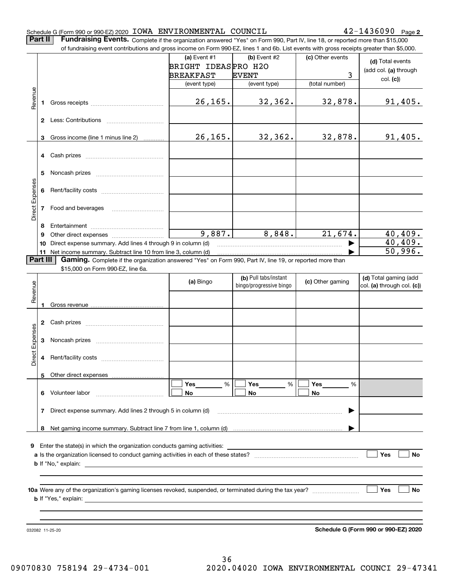#### Schedule G (Form 990 or 990-EZ) 2020 Page IOWA ENVIRONMENTAL COUNCIL 42-1436090

**2**

**Part II** | Fundraising Events. Complete if the organization answered "Yes" on Form 990, Part IV, line 18, or reported more than \$15,000

|                 |              | of fundraising event contributions and gross income on Form 990-EZ, lines 1 and 6b. List events with gross receipts greater than \$5,000. |                     |                         |                  |                                      |
|-----------------|--------------|-------------------------------------------------------------------------------------------------------------------------------------------|---------------------|-------------------------|------------------|--------------------------------------|
|                 |              |                                                                                                                                           | (a) Event #1        | (b) Event #2            | (c) Other events | (d) Total events                     |
|                 |              |                                                                                                                                           | BRIGHT IDEASPRO H2O |                         |                  | (add col. (a) through                |
|                 |              |                                                                                                                                           | <b>BREAKFAST</b>    | <b>EVENT</b>            | 3                | col. (c)                             |
|                 |              |                                                                                                                                           | (event type)        | (event type)            | (total number)   |                                      |
| Revenue         |              |                                                                                                                                           |                     |                         |                  |                                      |
|                 | 1            |                                                                                                                                           | 26, 165.            | 32,362.                 | 32,878.          | 91,405.                              |
|                 |              |                                                                                                                                           |                     |                         |                  |                                      |
|                 |              |                                                                                                                                           |                     |                         |                  |                                      |
|                 |              |                                                                                                                                           |                     |                         |                  |                                      |
|                 | 3            | Gross income (line 1 minus line 2)                                                                                                        | 26, 165.            | $32, 362$ .             | 32,878.          | 91,405.                              |
|                 |              |                                                                                                                                           |                     |                         |                  |                                      |
|                 | 4            |                                                                                                                                           |                     |                         |                  |                                      |
|                 |              |                                                                                                                                           |                     |                         |                  |                                      |
|                 | 5            |                                                                                                                                           |                     |                         |                  |                                      |
|                 |              |                                                                                                                                           |                     |                         |                  |                                      |
|                 | 6            |                                                                                                                                           |                     |                         |                  |                                      |
| Direct Expenses |              |                                                                                                                                           |                     |                         |                  |                                      |
|                 | 7            | Food and beverages                                                                                                                        |                     |                         |                  |                                      |
|                 | 8            |                                                                                                                                           |                     |                         |                  |                                      |
|                 | 9            |                                                                                                                                           | 9,887.              | 8,848.                  | 21,674.          | 40,409.                              |
|                 | 10           | Direct expense summary. Add lines 4 through 9 in column (d)                                                                               |                     |                         |                  | 40, 409.                             |
|                 |              | 11 Net income summary. Subtract line 10 from line 3, column (d)                                                                           |                     |                         |                  | 50,996.                              |
|                 | Part III     | Gaming. Complete if the organization answered "Yes" on Form 990, Part IV, line 19, or reported more than                                  |                     |                         |                  |                                      |
|                 |              | \$15,000 on Form 990-EZ, line 6a.                                                                                                         |                     |                         |                  |                                      |
|                 |              |                                                                                                                                           |                     | (b) Pull tabs/instant   |                  | (d) Total gaming (add                |
|                 |              |                                                                                                                                           | (a) Bingo           | bingo/progressive bingo | (c) Other gaming | col. (a) through col. (c))           |
| Revenue         |              |                                                                                                                                           |                     |                         |                  |                                      |
|                 | 1            |                                                                                                                                           |                     |                         |                  |                                      |
|                 |              |                                                                                                                                           |                     |                         |                  |                                      |
|                 | $\mathbf{2}$ |                                                                                                                                           |                     |                         |                  |                                      |
|                 |              |                                                                                                                                           |                     |                         |                  |                                      |
| Expenses        | 3            |                                                                                                                                           |                     |                         |                  |                                      |
|                 |              |                                                                                                                                           |                     |                         |                  |                                      |
| Direct          | 4            |                                                                                                                                           |                     |                         |                  |                                      |
|                 |              |                                                                                                                                           |                     |                         |                  |                                      |
|                 |              | 5 Other direct expenses                                                                                                                   |                     |                         |                  |                                      |
|                 |              |                                                                                                                                           | %<br>Yes            | %<br>Yes                | Yes<br>%         |                                      |
|                 | 6.           | Volunteer labor                                                                                                                           | No                  | No                      | No               |                                      |
|                 |              |                                                                                                                                           |                     |                         |                  |                                      |
|                 | 7            | Direct expense summary. Add lines 2 through 5 in column (d)                                                                               |                     |                         |                  |                                      |
|                 |              |                                                                                                                                           |                     |                         |                  |                                      |
|                 |              |                                                                                                                                           |                     |                         |                  |                                      |
|                 |              |                                                                                                                                           |                     |                         |                  |                                      |
| 9               |              |                                                                                                                                           |                     |                         |                  |                                      |
|                 |              |                                                                                                                                           |                     |                         |                  | Yes<br>No                            |
|                 |              |                                                                                                                                           |                     |                         |                  |                                      |
|                 |              |                                                                                                                                           |                     |                         |                  |                                      |
|                 |              |                                                                                                                                           |                     |                         |                  |                                      |
|                 |              |                                                                                                                                           |                     |                         |                  | Yes<br>No                            |
|                 |              |                                                                                                                                           |                     |                         |                  |                                      |
|                 |              |                                                                                                                                           |                     |                         |                  |                                      |
|                 |              |                                                                                                                                           |                     |                         |                  |                                      |
|                 |              | 032082 11-25-20                                                                                                                           |                     |                         |                  | Schedule G (Form 990 or 990-EZ) 2020 |

**Schedule G (Form 990 or 990-EZ) 2020**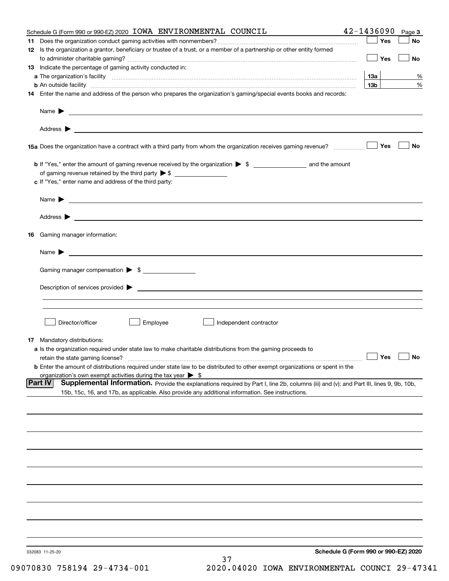| Schedule G (Form 990 or 990-EZ) 2020 IOWA ENVIRONMENTAL COUNCIL                                                                                                                                                                      | 42-1436090      | Page 3    |
|--------------------------------------------------------------------------------------------------------------------------------------------------------------------------------------------------------------------------------------|-----------------|-----------|
|                                                                                                                                                                                                                                      | Yes             | No        |
| 12 Is the organization a grantor, beneficiary or trustee of a trust, or a member of a partnership or other entity formed                                                                                                             |                 |           |
|                                                                                                                                                                                                                                      | Yes             | No        |
| 13 Indicate the percentage of gaming activity conducted in:                                                                                                                                                                          |                 |           |
|                                                                                                                                                                                                                                      | 13а             | %         |
| <b>b</b> An outside facility <i>www.communicality www.communicality.communicality www.communicality www.communicality.communicality www.communicality.com</i>                                                                        | 13 <sub>b</sub> | %         |
| 14 Enter the name and address of the person who prepares the organization's gaming/special events books and records:                                                                                                                 |                 |           |
|                                                                                                                                                                                                                                      |                 |           |
|                                                                                                                                                                                                                                      |                 |           |
|                                                                                                                                                                                                                                      |                 |           |
|                                                                                                                                                                                                                                      |                 |           |
|                                                                                                                                                                                                                                      |                 |           |
| 15a Does the organization have a contract with a third party from whom the organization receives gaming revenue?                                                                                                                     | Yes             | No        |
|                                                                                                                                                                                                                                      |                 |           |
|                                                                                                                                                                                                                                      |                 |           |
|                                                                                                                                                                                                                                      |                 |           |
| c If "Yes," enter name and address of the third party:                                                                                                                                                                               |                 |           |
|                                                                                                                                                                                                                                      |                 |           |
| $Name \rightarrow$                                                                                                                                                                                                                   |                 |           |
|                                                                                                                                                                                                                                      |                 |           |
| Address <b>Department of the Contract Contract Contract Contract Contract Contract Contract Contract Contract Contract Contract Contract Contract Contract Contract Contract Contract Contract Contract Contract Contract Contra</b> |                 |           |
|                                                                                                                                                                                                                                      |                 |           |
| 16 Gaming manager information:                                                                                                                                                                                                       |                 |           |
|                                                                                                                                                                                                                                      |                 |           |
| Name $\blacktriangleright$ $\lrcorner$                                                                                                                                                                                               |                 |           |
|                                                                                                                                                                                                                                      |                 |           |
| Gaming manager compensation > \$                                                                                                                                                                                                     |                 |           |
|                                                                                                                                                                                                                                      |                 |           |
|                                                                                                                                                                                                                                      |                 |           |
|                                                                                                                                                                                                                                      |                 |           |
|                                                                                                                                                                                                                                      |                 |           |
|                                                                                                                                                                                                                                      |                 |           |
| Employee<br>Director/officer<br>Independent contractor                                                                                                                                                                               |                 |           |
|                                                                                                                                                                                                                                      |                 |           |
| <b>17</b> Mandatory distributions:                                                                                                                                                                                                   |                 |           |
| a Is the organization required under state law to make charitable distributions from the gaming proceeds to                                                                                                                          |                 |           |
| retain the state gaming license?                                                                                                                                                                                                     | $\Box$ Yes      | $\Box$ No |
| <b>b</b> Enter the amount of distributions required under state law to be distributed to other exempt organizations or spent in the                                                                                                  |                 |           |
| organization's own exempt activities during the tax year $\triangleright$ \$                                                                                                                                                         |                 |           |
| Supplemental Information. Provide the explanations required by Part I, line 2b, columns (iii) and (v); and Part III, lines 9, 9b, 10b,<br> Part IV                                                                                   |                 |           |
| 15b, 15c, 16, and 17b, as applicable. Also provide any additional information. See instructions.                                                                                                                                     |                 |           |
|                                                                                                                                                                                                                                      |                 |           |
|                                                                                                                                                                                                                                      |                 |           |
|                                                                                                                                                                                                                                      |                 |           |
|                                                                                                                                                                                                                                      |                 |           |
|                                                                                                                                                                                                                                      |                 |           |
|                                                                                                                                                                                                                                      |                 |           |
|                                                                                                                                                                                                                                      |                 |           |
|                                                                                                                                                                                                                                      |                 |           |
|                                                                                                                                                                                                                                      |                 |           |
|                                                                                                                                                                                                                                      |                 |           |
|                                                                                                                                                                                                                                      |                 |           |
|                                                                                                                                                                                                                                      |                 |           |
|                                                                                                                                                                                                                                      |                 |           |
|                                                                                                                                                                                                                                      |                 |           |
|                                                                                                                                                                                                                                      |                 |           |
|                                                                                                                                                                                                                                      |                 |           |
|                                                                                                                                                                                                                                      |                 |           |
| Schedule G (Form 990 or 990-EZ) 2020<br>032083 11-25-20                                                                                                                                                                              |                 |           |
| 37                                                                                                                                                                                                                                   |                 |           |
|                                                                                                                                                                                                                                      |                 |           |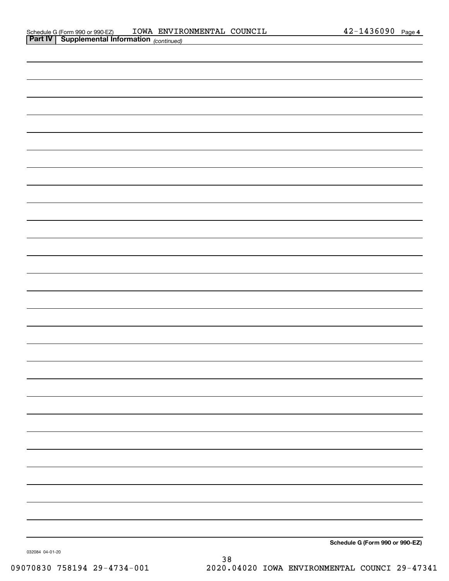| <b>Part IV Supplemental Information</b> $_{(continued)}$ |                                 |
|----------------------------------------------------------|---------------------------------|
|                                                          |                                 |
|                                                          |                                 |
|                                                          |                                 |
|                                                          |                                 |
|                                                          |                                 |
|                                                          |                                 |
|                                                          |                                 |
|                                                          |                                 |
|                                                          |                                 |
|                                                          |                                 |
|                                                          |                                 |
|                                                          |                                 |
|                                                          |                                 |
|                                                          |                                 |
|                                                          |                                 |
|                                                          |                                 |
|                                                          |                                 |
|                                                          |                                 |
|                                                          |                                 |
|                                                          |                                 |
|                                                          |                                 |
|                                                          |                                 |
|                                                          |                                 |
|                                                          |                                 |
|                                                          |                                 |
|                                                          |                                 |
|                                                          |                                 |
|                                                          |                                 |
|                                                          | Schedule G (Form 990 or 990-EZ) |
|                                                          |                                 |

032084 04-01-20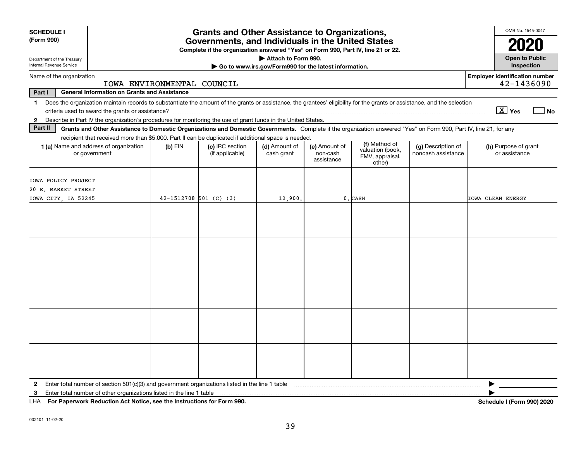| <b>SCHEDULE I</b><br>(Form 990)                                                                                                                                                                                                                                                                                          |                            | <b>Grants and Other Assistance to Organizations,</b><br>Governments, and Individuals in the United States |                                                       |                                         |                                                                |                                          | OMB No. 1545-0047<br>2020                           |
|--------------------------------------------------------------------------------------------------------------------------------------------------------------------------------------------------------------------------------------------------------------------------------------------------------------------------|----------------------------|-----------------------------------------------------------------------------------------------------------|-------------------------------------------------------|-----------------------------------------|----------------------------------------------------------------|------------------------------------------|-----------------------------------------------------|
| Department of the Treasury                                                                                                                                                                                                                                                                                               |                            | Complete if the organization answered "Yes" on Form 990, Part IV, line 21 or 22.                          | Attach to Form 990.                                   |                                         |                                                                |                                          | <b>Open to Public</b>                               |
| Internal Revenue Service                                                                                                                                                                                                                                                                                                 |                            |                                                                                                           | Go to www.irs.gov/Form990 for the latest information. |                                         |                                                                |                                          | Inspection                                          |
| Name of the organization<br>IOWA ENVIRONMENTAL COUNCIL                                                                                                                                                                                                                                                                   |                            |                                                                                                           |                                                       |                                         |                                                                |                                          | <b>Employer identification number</b><br>42-1436090 |
| Part I<br><b>General Information on Grants and Assistance</b>                                                                                                                                                                                                                                                            |                            |                                                                                                           |                                                       |                                         |                                                                |                                          |                                                     |
| Does the organization maintain records to substantiate the amount of the grants or assistance, the grantees' eligibility for the grants or assistance, and the selection<br>$\mathbf 1$<br>Describe in Part IV the organization's procedures for monitoring the use of grant funds in the United States.<br>$\mathbf{2}$ |                            |                                                                                                           |                                                       |                                         |                                                                |                                          | $\boxed{\text{X}}$ Yes<br>$\exists$ No              |
| Part II<br>Grants and Other Assistance to Domestic Organizations and Domestic Governments. Complete if the organization answered "Yes" on Form 990, Part IV, line 21, for any                                                                                                                                            |                            |                                                                                                           |                                                       |                                         |                                                                |                                          |                                                     |
| recipient that received more than \$5,000. Part II can be duplicated if additional space is needed.                                                                                                                                                                                                                      |                            |                                                                                                           |                                                       |                                         |                                                                |                                          |                                                     |
| 1 (a) Name and address of organization<br>or government                                                                                                                                                                                                                                                                  | $(b)$ EIN                  | (c) IRC section<br>(if applicable)                                                                        | (d) Amount of<br>cash grant                           | (e) Amount of<br>non-cash<br>assistance | (f) Method of<br>valuation (book,<br>FMV, appraisal,<br>other) | (g) Description of<br>noncash assistance | (h) Purpose of grant<br>or assistance               |
| IOWA POLICY PROJECT<br>20 E. MARKET STREET<br>IOWA CITY, IA 52245                                                                                                                                                                                                                                                        | $42 - 1512708$ 501 (C) (3) |                                                                                                           | 12,900.                                               |                                         | 0. CASH                                                        |                                          | IOWA CLEAN ENERGY                                   |
|                                                                                                                                                                                                                                                                                                                          |                            |                                                                                                           |                                                       |                                         |                                                                |                                          |                                                     |
|                                                                                                                                                                                                                                                                                                                          |                            |                                                                                                           |                                                       |                                         |                                                                |                                          |                                                     |
|                                                                                                                                                                                                                                                                                                                          |                            |                                                                                                           |                                                       |                                         |                                                                |                                          |                                                     |
|                                                                                                                                                                                                                                                                                                                          |                            |                                                                                                           |                                                       |                                         |                                                                |                                          |                                                     |
| 2<br>Enter total number of other organizations listed in the line 1 table<br>3                                                                                                                                                                                                                                           |                            |                                                                                                           |                                                       |                                         |                                                                |                                          | ▶                                                   |

**For Paperwork Reduction Act Notice, see the Instructions for Form 990. Schedule I (Form 990) 2020** LHA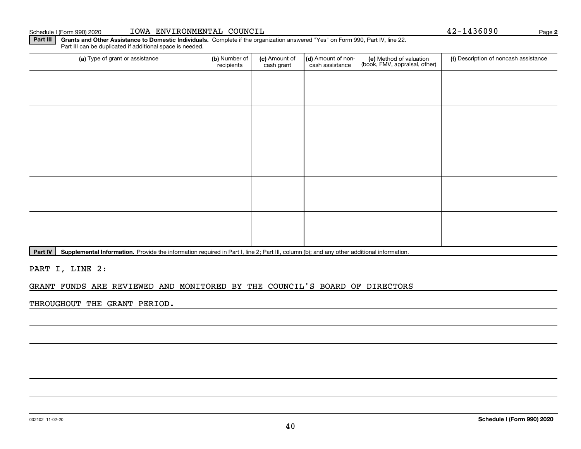### **Part III** | Grants and Other Assistance to Domestic Individuals. Complete if the organization answered "Yes" on Form 990, Part IV, line 22.

(a) Type of grant or assistance **(b)** Number of **(c)** Amount of **(d)** Amount of non-**(e)** Method of valuation (f)<br>cash are continuous cash are cash assistance (book, FMV, appraisal, other) Part III can be duplicated if additional space is needed. (a) Type of grant or assistance (b) Number of recipients(c) Amount of cash grant (d) Amount of noncash assistance (f) Description of noncash assistance

Part IV | Supplemental Information. Provide the information required in Part I, line 2; Part III, column (b); and any other additional information.

PART I, LINE 2:

#### GRANT FUNDS ARE REVIEWED AND MONITORED BY THE COUNCIL'S BOARD OF DIRECTORS

THROUGHOUT THE GRANT PERIOD.

Schedule I (Form 990) 2020 Page IOWA ENVIRONMENTAL COUNCIL 42-1436090

**2**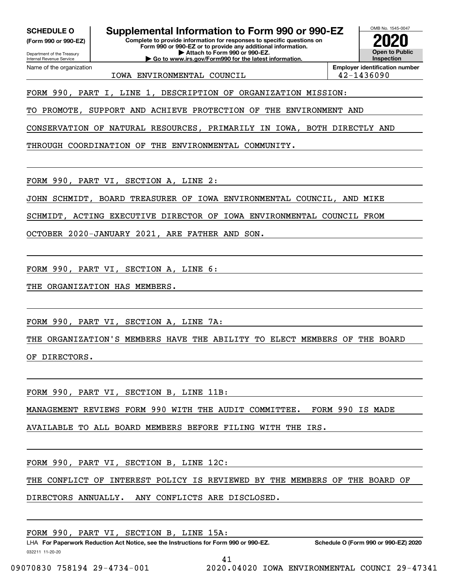**(Form 990 or 990-EZ)**

Department of the Treasury Internal Revenue Service Name of the organization

**SCHEDULE O Supplemental Information to Form 990 or 990-EZ**

**Complete to provide information for responses to specific questions on Form 990 or 990-EZ or to provide any additional information. | Attach to Form 990 or 990-EZ. | Go to www.irs.gov/Form990 for the latest information.**



IOWA ENVIRONMENTAL COUNCIL 42-1436090

**Employer identification number**

FORM 990, PART I, LINE 1, DESCRIPTION OF ORGANIZATION MISSION:

TO PROMOTE, SUPPORT AND ACHIEVE PROTECTION OF THE ENVIRONMENT AND

CONSERVATION OF NATURAL RESOURCES, PRIMARILY IN IOWA, BOTH DIRECTLY AND

THROUGH COORDINATION OF THE ENVIRONMENTAL COMMUNITY.

FORM 990, PART VI, SECTION A, LINE 2:

JOHN SCHMIDT, BOARD TREASURER OF IOWA ENVIRONMENTAL COUNCIL, AND MIKE

SCHMIDT, ACTING EXECUTIVE DIRECTOR OF IOWA ENVIRONMENTAL COUNCIL FROM

OCTOBER 2020-JANUARY 2021, ARE FATHER AND SON.

FORM 990, PART VI, SECTION A, LINE 6:

THE ORGANIZATION HAS MEMBERS.

FORM 990, PART VI, SECTION A, LINE 7A:

THE ORGANIZATION'S MEMBERS HAVE THE ABILITY TO ELECT MEMBERS OF THE BOARD OF DIRECTORS.

FORM 990, PART VI, SECTION B, LINE 11B:

MANAGEMENT REVIEWS FORM 990 WITH THE AUDIT COMMITTEE. FORM 990 IS MADE

AVAILABLE TO ALL BOARD MEMBERS BEFORE FILING WITH THE IRS.

FORM 990, PART VI, SECTION B, LINE 12C:

THE CONFLICT OF INTEREST POLICY IS REVIEWED BY THE MEMBERS OF THE BOARD OF

DIRECTORS ANNUALLY. ANY CONFLICTS ARE DISCLOSED.

FORM 990, PART VI, SECTION B, LINE 15A:

032211 11-20-20 LHA For Paperwork Reduction Act Notice, see the Instructions for Form 990 or 990-EZ. Schedule O (Form 990 or 990-EZ) 2020 41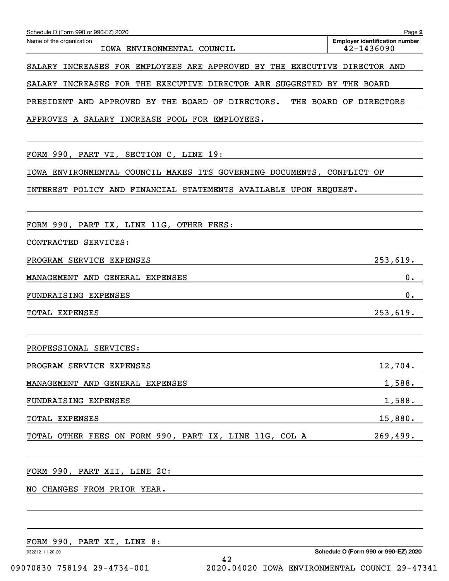| Schedule O (Form 990 or 990-EZ) 2020                                      | Page 2                                              |
|---------------------------------------------------------------------------|-----------------------------------------------------|
| Name of the organization<br>IOWA ENVIRONMENTAL COUNCIL                    | <b>Employer identification number</b><br>42-1436090 |
| SALARY INCREASES FOR EMPLOYEES ARE APPROVED BY THE EXECUTIVE DIRECTOR AND |                                                     |
| SALARY INCREASES FOR THE EXECUTIVE DIRECTOR ARE SUGGESTED BY THE BOARD    |                                                     |
| PRESIDENT AND APPROVED BY THE BOARD OF DIRECTORS.                         | THE BOARD OF DIRECTORS                              |
| APPROVES A SALARY INCREASE POOL FOR EMPLOYEES.                            |                                                     |
|                                                                           |                                                     |
| FORM 990, PART VI, SECTION C, LINE 19:                                    |                                                     |
| IOWA ENVIRONMENTAL COUNCIL MAKES ITS GOVERNING DOCUMENTS, CONFLICT OF     |                                                     |
| INTEREST POLICY AND FINANCIAL STATEMENTS AVAILABLE UPON REQUEST.          |                                                     |
|                                                                           |                                                     |
| FORM 990, PART IX, LINE 11G, OTHER FEES:                                  |                                                     |
| CONTRACTED SERVICES:                                                      |                                                     |
| PROGRAM SERVICE EXPENSES                                                  | 253,619.                                            |
| MANAGEMENT AND GENERAL EXPENSES                                           | 0.                                                  |
| FUNDRAISING EXPENSES                                                      | $0$ .                                               |
| TOTAL EXPENSES                                                            | 253,619.                                            |
|                                                                           |                                                     |
| PROFESSIONAL SERVICES:                                                    |                                                     |
| PROGRAM SERVICE EXPENSES                                                  | 12,704.                                             |
| MANAGEMENT AND GENERAL EXPENSES                                           | 1,588.                                              |
| FUNDRAISING EXPENSES                                                      | <u>1,588.</u>                                       |
| TOTAL EXPENSES                                                            | 15,880.                                             |
| TOTAL OTHER FEES ON FORM 990, PART IX, LINE 11G, COL A                    | 269,499.                                            |
|                                                                           |                                                     |
| FORM 990, PART XII, LINE 2C:                                              |                                                     |
| CHANGES FROM PRIOR YEAR.<br>NO.                                           |                                                     |
|                                                                           |                                                     |
|                                                                           |                                                     |
| FORM 990, PART XI, LINE 8:                                                |                                                     |
| 032212 11-20-20<br>42                                                     | Schedule O (Form 990 or 990-EZ) 2020                |